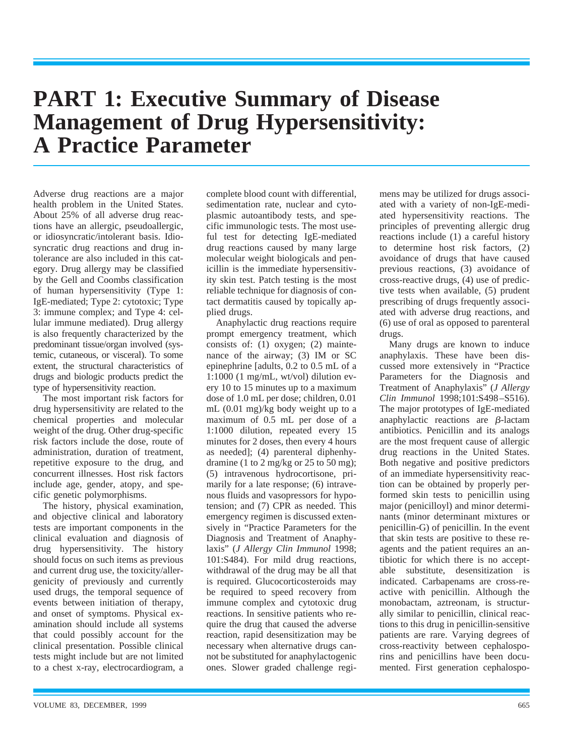# **PART 1: Executive Summary of Disease Management of Drug Hypersensitivity: A Practice Parameter**

Adverse drug reactions are a major health problem in the United States. About 25% of all adverse drug reactions have an allergic, pseudoallergic, or idiosyncratic/intolerant basis. Idiosyncratic drug reactions and drug intolerance are also included in this category. Drug allergy may be classified by the Gell and Coombs classification of human hypersensitivity (Type 1: IgE-mediated; Type 2: cytotoxic; Type 3: immune complex; and Type 4: cellular immune mediated). Drug allergy is also frequently characterized by the predominant tissue/organ involved (systemic, cutaneous, or visceral). To some extent, the structural characteristics of drugs and biologic products predict the type of hypersensitivity reaction.

The most important risk factors for drug hypersensitivity are related to the chemical properties and molecular weight of the drug. Other drug-specific risk factors include the dose, route of administration, duration of treatment, repetitive exposure to the drug, and concurrent illnesses. Host risk factors include age, gender, atopy, and specific genetic polymorphisms.

The history, physical examination, and objective clinical and laboratory tests are important components in the clinical evaluation and diagnosis of drug hypersensitivity. The history should focus on such items as previous and current drug use, the toxicity/allergenicity of previously and currently used drugs, the temporal sequence of events between initiation of therapy, and onset of symptoms. Physical examination should include all systems that could possibly account for the clinical presentation. Possible clinical tests might include but are not limited to a chest x-ray, electrocardiogram, a

complete blood count with differential, sedimentation rate, nuclear and cytoplasmic autoantibody tests, and specific immunologic tests. The most useful test for detecting IgE-mediated drug reactions caused by many large molecular weight biologicals and penicillin is the immediate hypersensitivity skin test. Patch testing is the most reliable technique for diagnosis of contact dermatitis caused by topically applied drugs.

Anaphylactic drug reactions require prompt emergency treatment, which consists of: (1) oxygen; (2) maintenance of the airway; (3) IM or SC epinephrine [adults, 0.2 to 0.5 mL of a 1:1000 (1 mg/mL, wt/vol) dilution every 10 to 15 minutes up to a maximum dose of 1.0 mL per dose; children, 0.01 mL (0.01 mg)/kg body weight up to a maximum of 0.5 mL per dose of a 1:1000 dilution, repeated every 15 minutes for 2 doses, then every 4 hours as needed]; (4) parenteral diphenhydramine (1 to 2 mg/kg or 25 to 50 mg); (5) intravenous hydrocortisone, primarily for a late response; (6) intravenous fluids and vasopressors for hypotension; and (7) CPR as needed. This emergency regimen is discussed extensively in "Practice Parameters for the Diagnosis and Treatment of Anaphylaxis" (*J Allergy Clin Immunol* 1998; 101:S484). For mild drug reactions, withdrawal of the drug may be all that is required. Glucocorticosteroids may be required to speed recovery from immune complex and cytotoxic drug reactions. In sensitive patients who require the drug that caused the adverse reaction, rapid desensitization may be necessary when alternative drugs cannot be substituted for anaphylactogenic ones. Slower graded challenge regimens may be utilized for drugs associated with a variety of non-IgE-mediated hypersensitivity reactions. The principles of preventing allergic drug reactions include (1) a careful history to determine host risk factors, (2) avoidance of drugs that have caused previous reactions, (3) avoidance of cross-reactive drugs, (4) use of predictive tests when available, (5) prudent prescribing of drugs frequently associated with adverse drug reactions, and (6) use of oral as opposed to parenteral drugs.

Many drugs are known to induce anaphylaxis. These have been discussed more extensively in "Practice Parameters for the Diagnosis and Treatment of Anaphylaxis" (*J Allergy Clin Immunol* 1998;101:S498–S516). The major prototypes of IgE-mediated anaphylactic reactions are  $\beta$ -lactam antibiotics. Penicillin and its analogs are the most frequent cause of allergic drug reactions in the United States. Both negative and positive predictors of an immediate hypersensitivity reaction can be obtained by properly performed skin tests to penicillin using major (penicilloyl) and minor determinants (minor determinant mixtures or penicillin-G) of penicillin. In the event that skin tests are positive to these reagents and the patient requires an antibiotic for which there is no acceptable substitute, desensitization is indicated. Carbapenams are cross-reactive with penicillin. Although the monobactam, aztreonam, is structurally similar to penicillin, clinical reactions to this drug in penicillin-sensitive patients are rare. Varying degrees of cross-reactivity between cephalosporins and penicillins have been documented. First generation cephalospo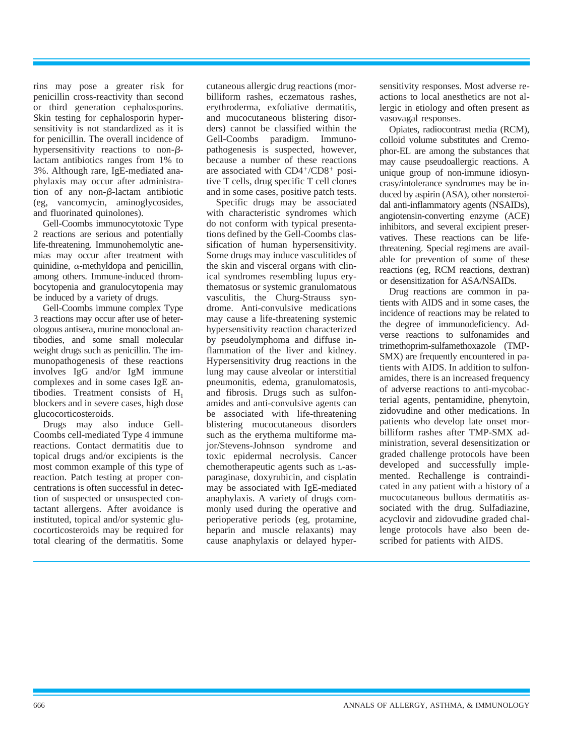rins may pose a greater risk for penicillin cross-reactivity than second or third generation cephalosporins. Skin testing for cephalosporin hypersensitivity is not standardized as it is for penicillin. The overall incidence of hypersensitivity reactions to non- $\beta$ lactam antibiotics ranges from 1% to 3%. Although rare, IgE-mediated anaphylaxis may occur after administration of any non- $\beta$ -lactam antibiotic (eg, vancomycin, aminoglycosides, and fluorinated quinolones).

Gell-Coombs immunocytotoxic Type 2 reactions are serious and potentially life-threatening. Immunohemolytic anemias may occur after treatment with quinidine,  $\alpha$ -methyldopa and penicillin, among others. Immune-induced thrombocytopenia and granulocytopenia may be induced by a variety of drugs.

Gell-Coombs immune complex Type 3 reactions may occur after use of heterologous antisera, murine monoclonal antibodies, and some small molecular weight drugs such as penicillin. The immunopathogenesis of these reactions involves IgG and/or IgM immune complexes and in some cases IgE antibodies. Treatment consists of  $H_1$ blockers and in severe cases, high dose glucocorticosteroids.

Drugs may also induce Gell-Coombs cell-mediated Type 4 immune reactions. Contact dermatitis due to topical drugs and/or excipients is the most common example of this type of reaction. Patch testing at proper concentrations is often successful in detection of suspected or unsuspected contactant allergens. After avoidance is instituted, topical and/or systemic glucocorticosteroids may be required for total clearing of the dermatitis. Some

cutaneous allergic drug reactions (morbilliform rashes, eczematous rashes, erythroderma, exfoliative dermatitis, and mucocutaneous blistering disorders) cannot be classified within the Gell-Coombs paradigm. Immunopathogenesis is suspected, however, because a number of these reactions are associated with  $CD4^+/CD8^+$  positive T cells, drug specific T cell clones and in some cases, positive patch tests.

Specific drugs may be associated with characteristic syndromes which do not conform with typical presentations defined by the Gell-Coombs classification of human hypersensitivity. Some drugs may induce vasculitides of the skin and visceral organs with clinical syndromes resembling lupus erythematosus or systemic granulomatous vasculitis, the Churg-Strauss syndrome. Anti-convulsive medications may cause a life-threatening systemic hypersensitivity reaction characterized by pseudolymphoma and diffuse inflammation of the liver and kidney. Hypersensitivity drug reactions in the lung may cause alveolar or interstitial pneumonitis, edema, granulomatosis, and fibrosis. Drugs such as sulfonamides and anti-convulsive agents can be associated with life-threatening blistering mucocutaneous disorders such as the erythema multiforme major/Stevens-Johnson syndrome and toxic epidermal necrolysis. Cancer chemotherapeutic agents such as L-asparaginase, doxyrubicin, and cisplatin may be associated with IgE-mediated anaphylaxis. A variety of drugs commonly used during the operative and perioperative periods (eg, protamine, heparin and muscle relaxants) may cause anaphylaxis or delayed hypersensitivity responses. Most adverse reactions to local anesthetics are not allergic in etiology and often present as vasovagal responses.

Opiates, radiocontrast media (RCM), colloid volume substitutes and Cremophor-EL are among the substances that may cause pseudoallergic reactions. A unique group of non-immune idiosyncrasy/intolerance syndromes may be induced by aspirin (ASA), other nonsteroidal anti-inflammatory agents (NSAIDs), angiotensin-converting enzyme (ACE) inhibitors, and several excipient preservatives. These reactions can be lifethreatening. Special regimens are available for prevention of some of these reactions (eg, RCM reactions, dextran) or desensitization for ASA/NSAIDs.

Drug reactions are common in patients with AIDS and in some cases, the incidence of reactions may be related to the degree of immunodeficiency. Adverse reactions to sulfonamides and trimethoprim-sulfamethoxazole (TMP-SMX) are frequently encountered in patients with AIDS. In addition to sulfonamides, there is an increased frequency of adverse reactions to anti-mycobacterial agents, pentamidine, phenytoin, zidovudine and other medications. In patients who develop late onset morbilliform rashes after TMP-SMX administration, several desensitization or graded challenge protocols have been developed and successfully implemented. Rechallenge is contraindicated in any patient with a history of a mucocutaneous bullous dermatitis associated with the drug. Sulfadiazine, acyclovir and zidovudine graded challenge protocols have also been described for patients with AIDS.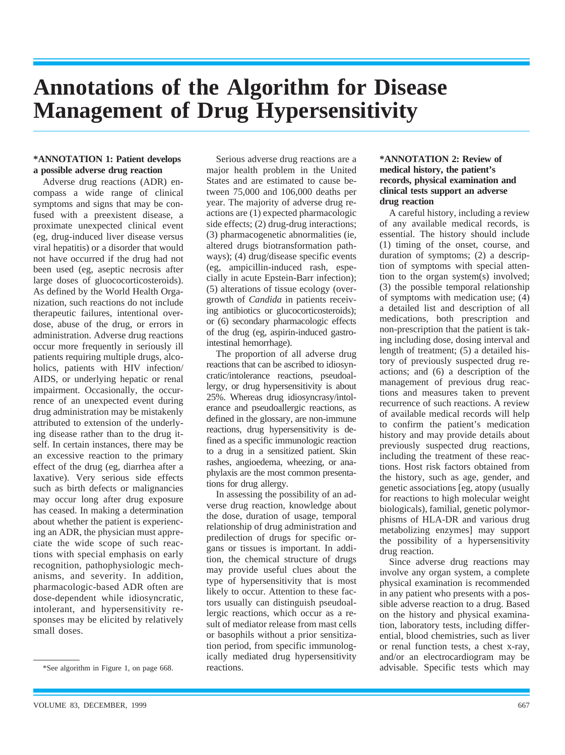# **Annotations of the Algorithm for Disease Management of Drug Hypersensitivity**

## **\*ANNOTATION 1: Patient develops a possible adverse drug reaction**

Adverse drug reactions (ADR) encompass a wide range of clinical symptoms and signs that may be confused with a preexistent disease, a proximate unexpected clinical event (eg, drug-induced liver disease versus viral hepatitis) or a disorder that would not have occurred if the drug had not been used (eg, aseptic necrosis after large doses of gluococorticosteroids). As defined by the World Health Organization, such reactions do not include therapeutic failures, intentional overdose, abuse of the drug, or errors in administration. Adverse drug reactions occur more frequently in seriously ill patients requiring multiple drugs, alcoholics, patients with HIV infection/ AIDS, or underlying hepatic or renal impairment. Occasionally, the occurrence of an unexpected event during drug administration may be mistakenly attributed to extension of the underlying disease rather than to the drug itself. In certain instances, there may be an excessive reaction to the primary effect of the drug (eg, diarrhea after a laxative). Very serious side effects such as birth defects or malignancies may occur long after drug exposure has ceased. In making a determination about whether the patient is experiencing an ADR, the physician must appreciate the wide scope of such reactions with special emphasis on early recognition, pathophysiologic mechanisms, and severity. In addition, pharmacologic-based ADR often are dose-dependent while idiosyncratic, intolerant, and hypersensitivity responses may be elicited by relatively small doses.

Serious adverse drug reactions are a major health problem in the United States and are estimated to cause between 75,000 and 106,000 deaths per year. The majority of adverse drug reactions are (1) expected pharmacologic side effects; (2) drug-drug interactions; (3) pharmacogenetic abnormalities (ie, altered drugs biotransformation pathways); (4) drug/disease specific events (eg, ampicillin-induced rash, especially in acute Epstein-Barr infection); (5) alterations of tissue ecology (overgrowth of *Candida* in patients receiving antibiotics or glucocorticosteroids); or (6) secondary pharmacologic effects of the drug (eg, aspirin-induced gastrointestinal hemorrhage).

The proportion of all adverse drug reactions that can be ascribed to idiosyncratic/intolerance reactions, pseudoallergy, or drug hypersensitivity is about 25%. Whereas drug idiosyncrasy/intolerance and pseudoallergic reactions, as defined in the glossary, are non-immune reactions, drug hypersensitivity is defined as a specific immunologic reaction to a drug in a sensitized patient. Skin rashes, angioedema, wheezing, or anaphylaxis are the most common presentations for drug allergy.

In assessing the possibility of an adverse drug reaction, knowledge about the dose, duration of usage, temporal relationship of drug administration and predilection of drugs for specific organs or tissues is important. In addition, the chemical structure of drugs may provide useful clues about the type of hypersensitivity that is most likely to occur. Attention to these factors usually can distinguish pseudoallergic reactions, which occur as a result of mediator release from mast cells or basophils without a prior sensitization period, from specific immunologically mediated drug hypersensitivity reactions.

#### **\*ANNOTATION 2: Review of medical history, the patient's records, physical examination and clinical tests support an adverse drug reaction**

A careful history, including a review of any available medical records, is essential. The history should include (1) timing of the onset, course, and duration of symptoms; (2) a description of symptoms with special attention to the organ system(s) involved; (3) the possible temporal relationship of symptoms with medication use; (4) a detailed list and description of all medications, both prescription and non-prescription that the patient is taking including dose, dosing interval and length of treatment; (5) a detailed history of previously suspected drug reactions; and (6) a description of the management of previous drug reactions and measures taken to prevent recurrence of such reactions. A review of available medical records will help to confirm the patient's medication history and may provide details about previously suspected drug reactions, including the treatment of these reactions. Host risk factors obtained from the history, such as age, gender, and genetic associations [eg, atopy (usually for reactions to high molecular weight biologicals), familial, genetic polymorphisms of HLA-DR and various drug metabolizing enzymes] may support the possibility of a hypersensitivity drug reaction.

Since adverse drug reactions may involve any organ system, a complete physical examination is recommended in any patient who presents with a possible adverse reaction to a drug. Based on the history and physical examination, laboratory tests, including differential, blood chemistries, such as liver or renal function tests, a chest x-ray, and/or an electrocardiogram may be \*See algorithm in Figure 1, on page 668. **a** reactions. **a** reactions advisable. Specific tests which may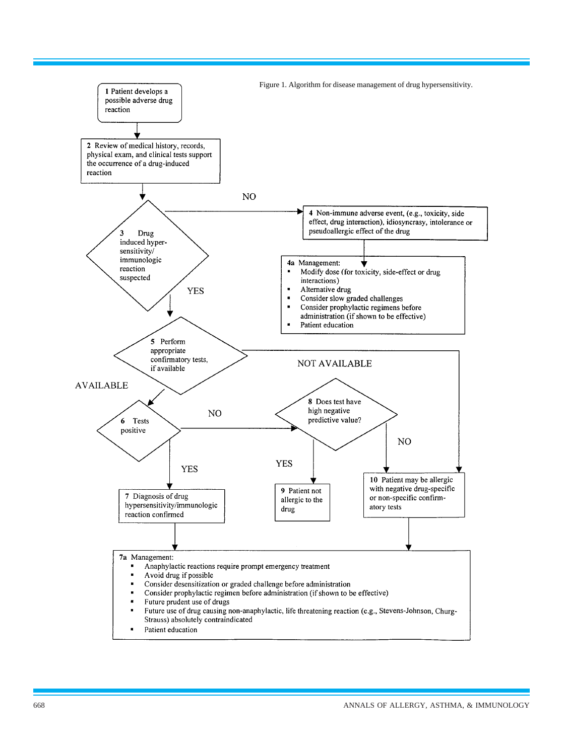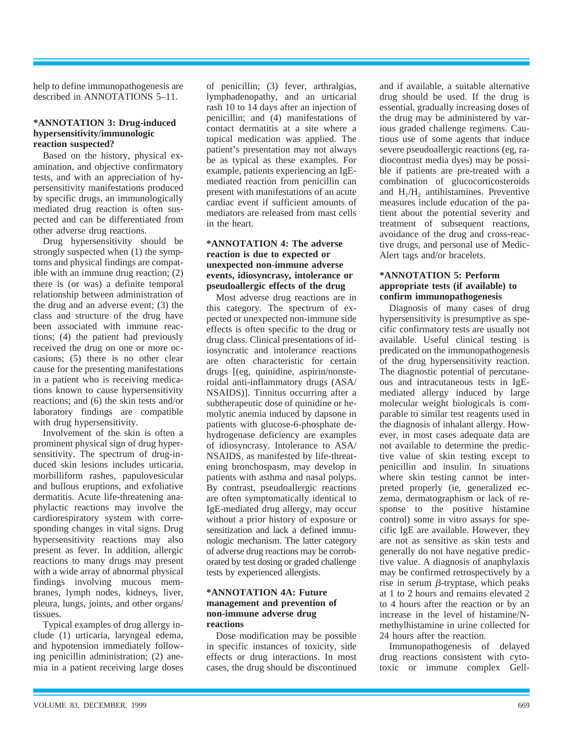help to define immunopathogenesis are described in ANNOTATIONS 5–11.

#### **\*ANNOTATION 3: Drug-induced hypersensitivity/immunologic reaction suspected?**

Based on the history, physical examination, and objective confirmatory tests, and with an appreciation of hypersensitivity manifestations produced by specific drugs, an immunologically mediated drug reaction is often suspected and can be differentiated from other adverse drug reactions.

Drug hypersensitivity should be strongly suspected when (1) the symptoms and physical findings are compatible with an immune drug reaction; (2) there is (or was) a definite temporal relationship between administration of the drug and an adverse event; (3) the class and structure of the drug have been associated with immune reactions; (4) the patient had previously received the drug on one or more occasions; (5) there is no other clear cause for the presenting manifestations in a patient who is receiving medications known to cause hypersensitivity reactions; and (6) the skin tests and/or laboratory findings are compatible with drug hypersensitivity.

Involvement of the skin is often a prominent physical sign of drug hypersensitivity. The spectrum of drug-induced skin lesions includes urticaria, morbilliform rashes, papulovesicular and bullous eruptions, and exfoliative dermatitis. Acute life-threatening anaphylactic reactions may involve the cardiorespiratory system with corresponding changes in vital signs. Drug hypersensitivity reactions may also present as fever. In addition, allergic reactions to many drugs may present with a wide array of abnormal physical findings involving mucous membranes, lymph nodes, kidneys, liver, pleura, lungs, joints, and other organs/ tissues.

Typical examples of drug allergy include (1) urticaria, laryngeal edema, and hypotension immediately following penicillin administration; (2) anemia in a patient receiving large doses of penicillin; (3) fever, arthralgias, lymphadenopathy, and an urticarial rash 10 to 14 days after an injection of penicillin; and (4) manifestations of contact dermatitis at a site where a topical medication was applied. The patient's presentation may not always be as typical as these examples. For example, patients experiencing an IgEmediated reaction from penicillin can present with manifestations of an acute cardiac event if sufficient amounts of mediators are released from mast cells in the heart.

### **\*ANNOTATION 4: The adverse reaction is due to expected or unexpected non-immune adverse events, idiosyncrasy, intolerance or pseudoallergic effects of the drug**

Most adverse drug reactions are in this category. The spectrum of expected or unexpected non-immune side effects is often specific to the drug or drug class. Clinical presentations of idiosyncratic and intolerance reactions are often characteristic for certain drugs [(eg, quinidine, aspirin/nonsteroidal anti-inflammatory drugs (ASA/ NSAIDS)]. Tinnitus occurring after a subtherapeutic dose of quinidine or hemolytic anemia induced by dapsone in patients with glucose-6-phosphate dehydrogenase deficiency are examples of idiosyncrasy. Intolerance to ASA/ NSAIDS, as manifested by life-threatening bronchospasm, may develop in patients with asthma and nasal polyps. By contrast, pseudoallergic reactions are often symptomatically identical to IgE-mediated drug allergy, may occur without a prior history of exposure or sensitization and lack a defined immunologic mechanism. The latter category of adverse drug reactions may be corroborated by test dosing or graded challenge tests by experienced allergists.

### **\*ANNOTATION 4A: Future management and prevention of non-immune adverse drug reactions**

Dose modification may be possible in specific instances of toxicity, side effects or drug interactions. In most cases, the drug should be discontinued and if available, a suitable alternative drug should be used. If the drug is essential, gradually increasing doses of the drug may be administered by various graded challenge regimens. Cautious use of some agents that induce severe pseudoallergic reactions (eg, radiocontrast media dyes) may be possible if patients are pre-treated with a combination of glucocorticosteroids and  $H_1/H_2$  antihistamines. Preventive measures include education of the patient about the potential severity and treatment of subsequent reactions, avoidance of the drug and cross-reactive drugs, and personal use of Medic-Alert tags and/or bracelets.

## **\*ANNOTATION 5: Perform appropriate tests (if available) to confirm immunopathogenesis**

Diagnosis of many cases of drug hypersensitivity is presumptive as specific confirmatory tests are usually not available. Useful clinical testing is predicated on the immunopathogenesis of the drug hypersensitivity reaction. The diagnostic potential of percutaneous and intracutaneous tests in IgEmediated allergy induced by large molecular weight biologicals is comparable to similar test reagents used in the diagnosis of inhalant allergy. However, in most cases adequate data are not available to determine the predictive value of skin testing except to penicillin and insulin. In situations where skin testing cannot be interpreted properly (ie, generalized eczema, dermatographism or lack of response to the positive histamine control) some in vitro assays for specific IgE are available. However, they are not as sensitive as skin tests and generally do not have negative predictive value. A diagnosis of anaphylaxis may be confirmed retrospectively by a rise in serum  $\beta$ -tryptase, which peaks at 1 to 2 hours and remains elevated 2 to 4 hours after the reaction or by an increase in the level of histamine/Nmethylhistamine in urine collected for 24 hours after the reaction.

Immunopathogenesis of delayed drug reactions consistent with cytotoxic or immune complex Gell-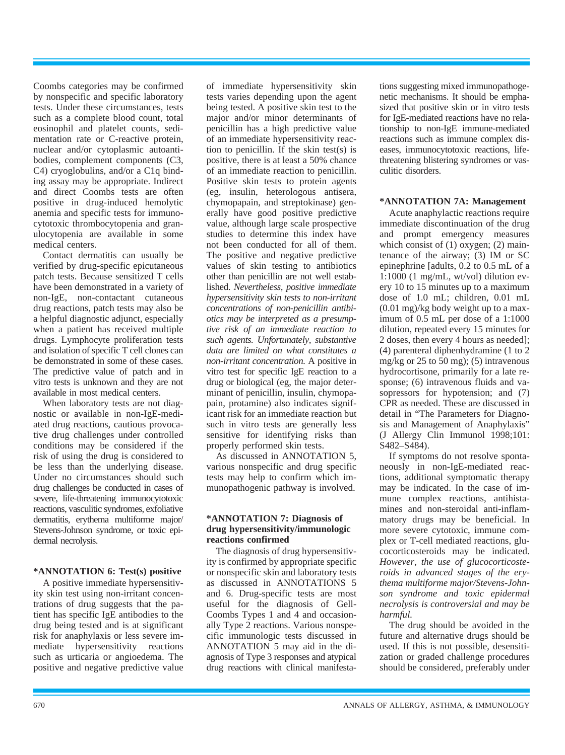Coombs categories may be confirmed by nonspecific and specific laboratory tests. Under these circumstances, tests such as a complete blood count, total eosinophil and platelet counts, sedimentation rate or C-reactive protein, nuclear and/or cytoplasmic autoantibodies, complement components (C3, C4) cryoglobulins, and/or a C1q binding assay may be appropriate. Indirect and direct Coombs tests are often positive in drug-induced hemolytic anemia and specific tests for immunocytotoxic thrombocytopenia and granulocytopenia are available in some medical centers.

Contact dermatitis can usually be verified by drug-specific epicutaneous patch tests. Because sensitized T cells have been demonstrated in a variety of non-IgE, non-contactant cutaneous drug reactions, patch tests may also be a helpful diagnostic adjunct, especially when a patient has received multiple drugs. Lymphocyte proliferation tests and isolation of specific T cell clones can be demonstrated in some of these cases. The predictive value of patch and in vitro tests is unknown and they are not available in most medical centers.

When laboratory tests are not diagnostic or available in non-IgE-mediated drug reactions, cautious provocative drug challenges under controlled conditions may be considered if the risk of using the drug is considered to be less than the underlying disease. Under no circumstances should such drug challenges be conducted in cases of severe, life-threatening immunocytotoxic reactions, vasculitic syndromes, exfoliative dermatitis, erythema multiforme major/ Stevens-Johnson syndrome, or toxic epidermal necrolysis.

## **\*ANNOTATION 6: Test(s) positive**

A positive immediate hypersensitivity skin test using non-irritant concentrations of drug suggests that the patient has specific IgE antibodies to the drug being tested and is at significant risk for anaphylaxis or less severe immediate hypersensitivity reactions such as urticaria or angioedema. The positive and negative predictive value of immediate hypersensitivity skin tests varies depending upon the agent being tested. A positive skin test to the major and/or minor determinants of penicillin has a high predictive value of an immediate hypersensitivity reaction to penicillin. If the skin test(s) is positive, there is at least a 50% chance of an immediate reaction to penicillin. Positive skin tests to protein agents (eg, insulin, heterologous antisera, chymopapain, and streptokinase) generally have good positive predictive value, although large scale prospective studies to determine this index have not been conducted for all of them. The positive and negative predictive values of skin testing to antibiotics other than penicillin are not well established. *Nevertheless, positive immediate hypersensitivity skin tests to non-irritant concentrations of non-penicillin antibiotics may be interpreted as a presumptive risk of an immediate reaction to such agents. Unfortunately, substantive data are limited on what constitutes a non-irritant concentration.* A positive in vitro test for specific IgE reaction to a drug or biological (eg, the major determinant of penicillin, insulin, chymopapain, protamine) also indicates significant risk for an immediate reaction but such in vitro tests are generally less sensitive for identifying risks than properly performed skin tests.

As discussed in ANNOTATION 5, various nonspecific and drug specific tests may help to confirm which immunopathogenic pathway is involved.

#### **\*ANNOTATION 7: Diagnosis of drug hypersensitivity/immunologic reactions confirmed**

The diagnosis of drug hypersensitivity is confirmed by appropriate specific or nonspecific skin and laboratory tests as discussed in ANNOTATIONS 5 and 6. Drug-specific tests are most useful for the diagnosis of Gell-Coombs Types 1 and 4 and occasionally Type 2 reactions. Various nonspecific immunologic tests discussed in ANNOTATION 5 may aid in the diagnosis of Type 3 responses and atypical drug reactions with clinical manifestations suggesting mixed immunopathogenetic mechanisms. It should be emphasized that positive skin or in vitro tests for IgE-mediated reactions have no relationship to non-IgE immune-mediated reactions such as immune complex diseases, immunocytotoxic reactions, lifethreatening blistering syndromes or vasculitic disorders.

### **\*ANNOTATION 7A: Management**

Acute anaphylactic reactions require immediate discontinuation of the drug and prompt emergency measures which consist of (1) oxygen; (2) maintenance of the airway; (3) IM or SC epinephrine [adults, 0.2 to 0.5 mL of a 1:1000 (1 mg/mL, wt/vol) dilution every 10 to 15 minutes up to a maximum dose of 1.0 mL; children, 0.01 mL (0.01 mg)/kg body weight up to a maximum of 0.5 mL per dose of a 1:1000 dilution, repeated every 15 minutes for 2 doses, then every 4 hours as needed]; (4) parenteral diphenhydramine (1 to 2 mg/kg or  $25$  to  $50$  mg); (5) intravenous hydrocortisone, primarily for a late response; (6) intravenous fluids and vasopressors for hypotension; and  $(7)$ CPR as needed. These are discussed in detail in "The Parameters for Diagnosis and Management of Anaphylaxis" (J Allergy Clin Immunol 1998;101: S482–S484).

If symptoms do not resolve spontaneously in non-IgE-mediated reactions, additional symptomatic therapy may be indicated. In the case of immune complex reactions, antihistamines and non-steroidal anti-inflammatory drugs may be beneficial. In more severe cytotoxic, immune complex or T-cell mediated reactions, glucocorticosteroids may be indicated. *However, the use of glucocorticosteroids in advanced stages of the erythema multiforme major/Stevens-Johnson syndrome and toxic epidermal necrolysis is controversial and may be harmful.*

The drug should be avoided in the future and alternative drugs should be used. If this is not possible, desensitization or graded challenge procedures should be considered, preferably under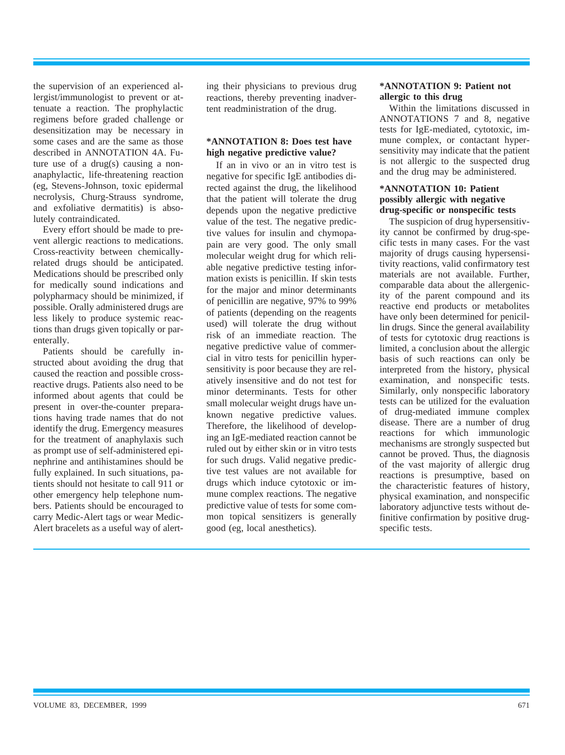the supervision of an experienced allergist/immunologist to prevent or attenuate a reaction. The prophylactic regimens before graded challenge or desensitization may be necessary in some cases and are the same as those described in ANNOTATION 4A. Future use of a drug(s) causing a nonanaphylactic, life-threatening reaction (eg, Stevens-Johnson, toxic epidermal necrolysis, Churg-Strauss syndrome, and exfoliative dermatitis) is absolutely contraindicated.

Every effort should be made to prevent allergic reactions to medications. Cross-reactivity between chemicallyrelated drugs should be anticipated. Medications should be prescribed only for medically sound indications and polypharmacy should be minimized, if possible. Orally administered drugs are less likely to produce systemic reactions than drugs given topically or parenterally.

Patients should be carefully instructed about avoiding the drug that caused the reaction and possible crossreactive drugs. Patients also need to be informed about agents that could be present in over-the-counter preparations having trade names that do not identify the drug. Emergency measures for the treatment of anaphylaxis such as prompt use of self-administered epinephrine and antihistamines should be fully explained. In such situations, patients should not hesitate to call 911 or other emergency help telephone numbers. Patients should be encouraged to carry Medic-Alert tags or wear Medic-Alert bracelets as a useful way of alerting their physicians to previous drug reactions, thereby preventing inadvertent readministration of the drug.

#### **\*ANNOTATION 8: Does test have high negative predictive value?**

If an in vivo or an in vitro test is negative for specific IgE antibodies directed against the drug, the likelihood that the patient will tolerate the drug depends upon the negative predictive value of the test. The negative predictive values for insulin and chymopapain are very good. The only small molecular weight drug for which reliable negative predictive testing information exists is penicillin. If skin tests for the major and minor determinants of penicillin are negative, 97% to 99% of patients (depending on the reagents used) will tolerate the drug without risk of an immediate reaction. The negative predictive value of commercial in vitro tests for penicillin hypersensitivity is poor because they are relatively insensitive and do not test for minor determinants. Tests for other small molecular weight drugs have unknown negative predictive values. Therefore, the likelihood of developing an IgE-mediated reaction cannot be ruled out by either skin or in vitro tests for such drugs. Valid negative predictive test values are not available for drugs which induce cytotoxic or immune complex reactions. The negative predictive value of tests for some common topical sensitizers is generally good (eg, local anesthetics).

### **\*ANNOTATION 9: Patient not allergic to this drug**

Within the limitations discussed in ANNOTATIONS 7 and 8, negative tests for IgE-mediated, cytotoxic, immune complex, or contactant hypersensitivity may indicate that the patient is not allergic to the suspected drug and the drug may be administered.

#### **\*ANNOTATION 10: Patient possibly allergic with negative drug-specific or nonspecific tests**

The suspicion of drug hypersensitivity cannot be confirmed by drug-specific tests in many cases. For the vast majority of drugs causing hypersensitivity reactions, valid confirmatory test materials are not available. Further, comparable data about the allergenicity of the parent compound and its reactive end products or metabolites have only been determined for penicillin drugs. Since the general availability of tests for cytotoxic drug reactions is limited, a conclusion about the allergic basis of such reactions can only be interpreted from the history, physical examination, and nonspecific tests. Similarly, only nonspecific laboratory tests can be utilized for the evaluation of drug-mediated immune complex disease. There are a number of drug reactions for which immunologic mechanisms are strongly suspected but cannot be proved. Thus, the diagnosis of the vast majority of allergic drug reactions is presumptive, based on the characteristic features of history, physical examination, and nonspecific laboratory adjunctive tests without definitive confirmation by positive drugspecific tests.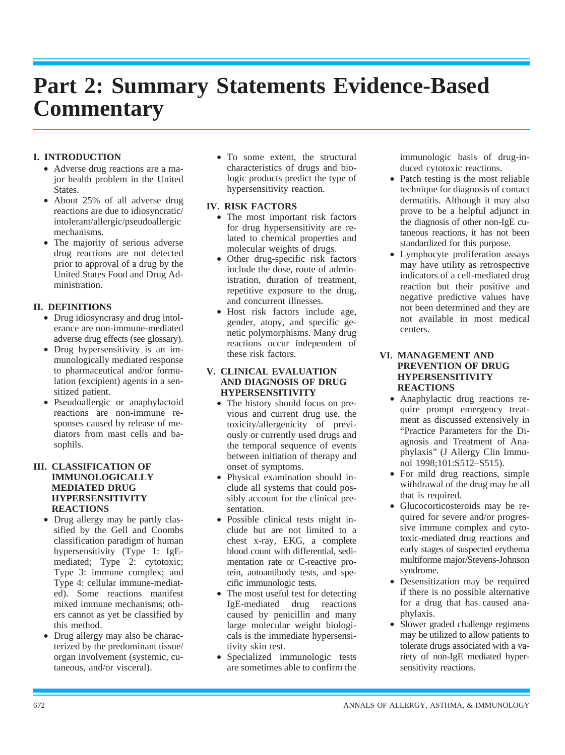# **Part 2: Summary Statements Evidence-Based Commentary**

## **I. INTRODUCTION**

- Adverse drug reactions are a major health problem in the United States.
- About 25% of all adverse drug reactions are due to idiosyncratic/ intolerant/allergic/pseudoallergic mechanisms.
- The majority of serious adverse drug reactions are not detected prior to approval of a drug by the United States Food and Drug Administration.

## **II. DEFINITIONS**

- Drug idiosyncrasy and drug intolerance are non-immune-mediated adverse drug effects (see glossary).
- Drug hypersensitivity is an immunologically mediated response to pharmaceutical and/or formulation (excipient) agents in a sensitized patient.
- Pseudoallergic or anaphylactoid reactions are non-immune responses caused by release of mediators from mast cells and basophils.

### **III. CLASSIFICATION OF IMMUNOLOGICALLY MEDIATED DRUG HYPERSENSITIVITY REACTIONS**

- Drug allergy may be partly classified by the Gell and Coombs classification paradigm of human hypersensitivity (Type 1: IgEmediated; Type 2: cytotoxic; Type 3: immune complex; and Type 4: cellular immune-mediated). Some reactions manifest mixed immune mechanisms; others cannot as yet be classified by this method.
- Drug allergy may also be characterized by the predominant tissue/ organ involvement (systemic, cutaneous, and/or visceral).

• To some extent, the structural characteristics of drugs and biologic products predict the type of hypersensitivity reaction.

## **IV. RISK FACTORS**

- The most important risk factors for drug hypersensitivity are related to chemical properties and molecular weights of drugs.
- Other drug-specific risk factors include the dose, route of administration, duration of treatment, repetitive exposure to the drug, and concurrent illnesses.
- Host risk factors include age, gender, atopy, and specific genetic polymorphisms. Many drug reactions occur independent of these risk factors.

### **V. CLINICAL EVALUATION AND DIAGNOSIS OF DRUG HYPERSENSITIVITY**

- The history should focus on previous and current drug use, the toxicity/allergenicity of previously or currently used drugs and the temporal sequence of events between initiation of therapy and onset of symptoms.
- Physical examination should include all systems that could possibly account for the clinical presentation.
- Possible clinical tests might include but are not limited to a chest x-ray, EKG, a complete blood count with differential, sedimentation rate or C-reactive protein, autoantibody tests, and specific immunologic tests.
- The most useful test for detecting IgE-mediated drug reactions caused by penicillin and many large molecular weight biologicals is the immediate hypersensitivity skin test.
- Specialized immunologic tests are sometimes able to confirm the

immunologic basis of drug-induced cytotoxic reactions.

- Patch testing is the most reliable technique for diagnosis of contact dermatitis. Although it may also prove to be a helpful adjunct in the diagnosis of other non-IgE cutaneous reactions, it has not been standardized for this purpose.
- Lymphocyte proliferation assays may have utility as retrospective indicators of a cell-mediated drug reaction but their positive and negative predictive values have not been determined and they are not available in most medical centers.

## **VI. MANAGEMENT AND PREVENTION OF DRUG HYPERSENSITIVITY REACTIONS**

- Anaphylactic drug reactions require prompt emergency treatment as discussed extensively in "Practice Parameters for the Diagnosis and Treatment of Anaphylaxis" (J Allergy Clin Immunol 1998;101:S512–S515).
- For mild drug reactions, simple withdrawal of the drug may be all that is required.
- Glucocorticosteroids may be required for severe and/or progressive immune complex and cytotoxic-mediated drug reactions and early stages of suspected erythema multiforme major/Stevens-Johnson syndrome.
- Desensitization may be required if there is no possible alternative for a drug that has caused anaphylaxis.
- Slower graded challenge regimens may be utilized to allow patients to tolerate drugs associated with a variety of non-IgE mediated hypersensitivity reactions.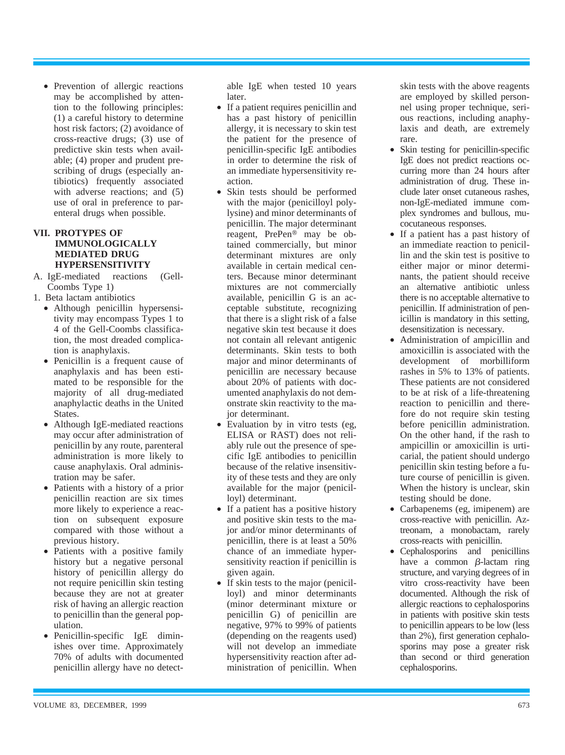• Prevention of allergic reactions may be accomplished by attention to the following principles: (1) a careful history to determine host risk factors; (2) avoidance of cross-reactive drugs; (3) use of predictive skin tests when available; (4) proper and prudent prescribing of drugs (especially antibiotics) frequently associated with adverse reactions; and  $(5)$ use of oral in preference to parenteral drugs when possible.

## **VII. PROTYPES OF IMMUNOLOGICALLY MEDIATED DRUG HYPERSENSITIVITY**

- A. IgE-mediated reactions (Gell-Coombs Type 1)
- 1. Beta lactam antibiotics
	- Although penicillin hypersensitivity may encompass Types 1 to 4 of the Gell-Coombs classification, the most dreaded complication is anaphylaxis.
	- Penicillin is a frequent cause of anaphylaxis and has been estimated to be responsible for the majority of all drug-mediated anaphylactic deaths in the United States.
	- Although IgE-mediated reactions may occur after administration of penicillin by any route, parenteral administration is more likely to cause anaphylaxis. Oral administration may be safer.
	- Patients with a history of a prior penicillin reaction are six times more likely to experience a reaction on subsequent exposure compared with those without a previous history.
	- Patients with a positive family history but a negative personal history of penicillin allergy do not require penicillin skin testing because they are not at greater risk of having an allergic reaction to penicillin than the general population.
	- Penicillin-specific IgE diminishes over time. Approximately 70% of adults with documented penicillin allergy have no detect-

able IgE when tested 10 years later.

- If a patient requires penicillin and has a past history of penicillin allergy, it is necessary to skin test the patient for the presence of penicillin-specific IgE antibodies in order to determine the risk of an immediate hypersensitivity reaction.
- Skin tests should be performed with the major (penicilloyl polylysine) and minor determinants of penicillin. The major determinant reagent, PrePen<sup>®</sup> may be obtained commercially, but minor determinant mixtures are only available in certain medical centers. Because minor determinant mixtures are not commercially available, penicillin G is an acceptable substitute, recognizing that there is a slight risk of a false negative skin test because it does not contain all relevant antigenic determinants. Skin tests to both major and minor determinants of penicillin are necessary because about 20% of patients with documented anaphylaxis do not demonstrate skin reactivity to the major determinant.
- Evaluation by in vitro tests (eg, ELISA or RAST) does not reliably rule out the presence of specific IgE antibodies to penicillin because of the relative insensitivity of these tests and they are only available for the major (penicilloyl) determinant.
- If a patient has a positive history and positive skin tests to the major and/or minor determinants of penicillin, there is at least a 50% chance of an immediate hypersensitivity reaction if penicillin is given again.
- If skin tests to the major (penicilloyl) and minor determinants (minor determinant mixture or penicillin G) of penicillin are negative, 97% to 99% of patients (depending on the reagents used) will not develop an immediate hypersensitivity reaction after administration of penicillin. When

skin tests with the above reagents are employed by skilled personnel using proper technique, serious reactions, including anaphylaxis and death, are extremely rare.

- Skin testing for penicillin-specific IgE does not predict reactions occurring more than 24 hours after administration of drug. These include later onset cutaneous rashes, non-IgE-mediated immune complex syndromes and bullous, mucocutaneous responses.
- If a patient has a past history of an immediate reaction to penicillin and the skin test is positive to either major or minor determinants, the patient should receive an alternative antibiotic unless there is no acceptable alternative to penicillin. If administration of penicillin is mandatory in this setting, desensitization is necessary.
- Administration of ampicillin and amoxicillin is associated with the development of morbilliform rashes in 5% to 13% of patients. These patients are not considered to be at risk of a life-threatening reaction to penicillin and therefore do not require skin testing before penicillin administration. On the other hand, if the rash to ampicillin or amoxicillin is urticarial, the patient should undergo penicillin skin testing before a future course of penicillin is given. When the history is unclear, skin testing should be done.
- Carbapenems (eg, imipenem) are cross-reactive with penicillin. Aztreonam, a monobactam, rarely cross-reacts with penicillin.
- Cephalosporins and penicillins have a common  $\beta$ -lactam ring structure, and varying degrees of in vitro cross-reactivity have been documented. Although the risk of allergic reactions to cephalosporins in patients with positive skin tests to penicillin appears to be low (less than 2%), first generation cephalosporins may pose a greater risk than second or third generation cephalosporins.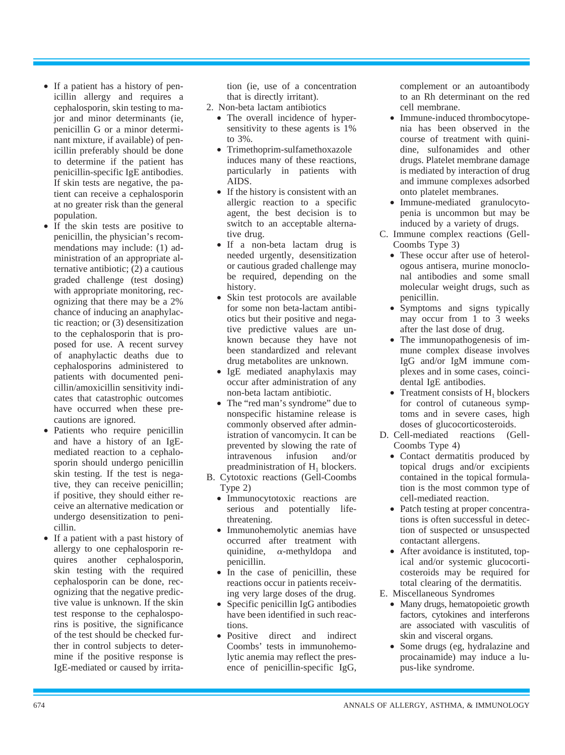- If a patient has a history of penicillin allergy and requires a cephalosporin, skin testing to major and minor determinants (ie, penicillin G or a minor determinant mixture, if available) of penicillin preferably should be done to determine if the patient has penicillin-specific IgE antibodies. If skin tests are negative, the patient can receive a cephalosporin at no greater risk than the general population.
- If the skin tests are positive to penicillin, the physician's recommendations may include: (1) administration of an appropriate alternative antibiotic; (2) a cautious graded challenge (test dosing) with appropriate monitoring, recognizing that there may be a 2% chance of inducing an anaphylactic reaction; or (3) desensitization to the cephalosporin that is proposed for use. A recent survey of anaphylactic deaths due to cephalosporins administered to patients with documented penicillin/amoxicillin sensitivity indicates that catastrophic outcomes have occurred when these precautions are ignored.
- Patients who require penicillin and have a history of an IgEmediated reaction to a cephalosporin should undergo penicillin skin testing. If the test is negative, they can receive penicillin; if positive, they should either receive an alternative medication or undergo desensitization to penicillin.
- If a patient with a past history of allergy to one cephalosporin requires another cephalosporin, skin testing with the required cephalosporin can be done, recognizing that the negative predictive value is unknown. If the skin test response to the cephalosporins is positive, the significance of the test should be checked further in control subjects to determine if the positive response is IgE-mediated or caused by irrita-

tion (ie, use of a concentration that is directly irritant).

- 2. Non-beta lactam antibiotics
	- The overall incidence of hypersensitivity to these agents is 1% to 3%.
	- Trimethoprim-sulfamethoxazole induces many of these reactions, particularly in patients with AIDS.
	- If the history is consistent with an allergic reaction to a specific agent, the best decision is to switch to an acceptable alternative drug.
	- If a non-beta lactam drug is needed urgently, desensitization or cautious graded challenge may be required, depending on the history.
	- Skin test protocols are available for some non beta-lactam antibiotics but their positive and negative predictive values are unknown because they have not been standardized and relevant drug metabolites are unknown.
	- IgE mediated anaphylaxis may occur after administration of any non-beta lactam antibiotic.
	- The "red man's syndrome" due to nonspecific histamine release is commonly observed after administration of vancomycin. It can be prevented by slowing the rate of intravenous infusion and/or preadministration of  $H_1$  blockers.
- B. Cytotoxic reactions (Gell-Coombs Type 2)
	- Immunocytotoxic reactions are serious and potentially lifethreatening.
	- Immunohemolytic anemias have occurred after treatment with quinidine,  $\alpha$ -methyldopa and penicillin.
	- In the case of penicillin, these reactions occur in patients receiving very large doses of the drug.
	- Specific penicillin IgG antibodies have been identified in such reactions.
	- Positive direct and indirect Coombs' tests in immunohemolytic anemia may reflect the presence of penicillin-specific IgG,

complement or an autoantibody to an Rh determinant on the red cell membrane.

- Immune-induced thrombocytopenia has been observed in the course of treatment with quinidine, sulfonamides and other drugs. Platelet membrane damage is mediated by interaction of drug and immune complexes adsorbed onto platelet membranes.
- Immune-mediated granulocytopenia is uncommon but may be induced by a variety of drugs.
- C. Immune complex reactions (Gell-Coombs Type 3)
	- These occur after use of heterologous antisera, murine monoclonal antibodies and some small molecular weight drugs, such as penicillin.
	- Symptoms and signs typically may occur from 1 to 3 weeks after the last dose of drug.
	- The immunopathogenesis of immune complex disease involves IgG and/or IgM immune complexes and in some cases, coincidental IgE antibodies.
	- Treatment consists of  $H_1$  blockers for control of cutaneous symptoms and in severe cases, high doses of glucocorticosteroids.
- D. Cell-mediated reactions (Gell-Coombs Type 4)
	- Contact dermatitis produced by topical drugs and/or excipients contained in the topical formulation is the most common type of cell-mediated reaction.
	- Patch testing at proper concentrations is often successful in detection of suspected or unsuspected contactant allergens.
	- After avoidance is instituted, topical and/or systemic glucocorticosteroids may be required for total clearing of the dermatitis.
- E. Miscellaneous Syndromes
	- Many drugs, hematopoietic growth factors, cytokines and interferons are associated with vasculitis of skin and visceral organs.
	- Some drugs (eg, hydralazine and procainamide) may induce a lupus-like syndrome.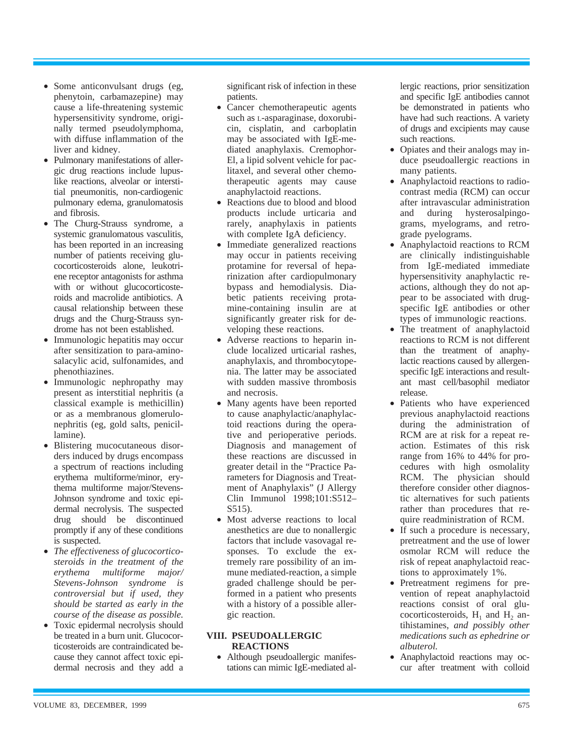- Some anticonvulsant drugs (eg, phenytoin, carbamazepine) may cause a life-threatening systemic hypersensitivity syndrome, originally termed pseudolymphoma, with diffuse inflammation of the liver and kidney.
- Pulmonary manifestations of allergic drug reactions include lupuslike reactions, alveolar or interstitial pneumonitis, non-cardiogenic pulmonary edema, granulomatosis and fibrosis.
- The Churg-Strauss syndrome, a systemic granulomatous vasculitis, has been reported in an increasing number of patients receiving glucocorticosteroids alone, leukotriene receptor antagonists for asthma with or without glucocorticosteroids and macrolide antibiotics. A causal relationship between these drugs and the Churg-Strauss syndrome has not been established.
- Immunologic hepatitis may occur after sensitization to para-aminosalacylic acid, sulfonamides, and phenothiazines.
- Immunologic nephropathy may present as interstitial nephritis (a classical example is methicillin) or as a membranous glomerulonephritis (eg, gold salts, penicillamine).
- Blistering mucocutaneous disorders induced by drugs encompass a spectrum of reactions including erythema multiforme/minor, erythema multiforme major/Stevens-Johnson syndrome and toxic epidermal necrolysis. The suspected drug should be discontinued promptly if any of these conditions is suspected.
- *The effectiveness of glucocorticosteroids in the treatment of the erythema multiforme major/ Stevens-Johnson syndrome is controversial but if used, they should be started as early in the course of the disease as possible.*
- Toxic epidermal necrolysis should be treated in a burn unit. Glucocorticosteroids are contraindicated because they cannot affect toxic epidermal necrosis and they add a

significant risk of infection in these patients.

- Cancer chemotherapeutic agents such as L-asparaginase, doxorubicin, cisplatin, and carboplatin may be associated with IgE-mediated anaphylaxis. Cremophor-El, a lipid solvent vehicle for paclitaxel, and several other chemotherapeutic agents may cause anaphylactoid reactions.
- Reactions due to blood and blood products include urticaria and rarely, anaphylaxis in patients with complete IgA deficiency.
- Immediate generalized reactions may occur in patients receiving protamine for reversal of heparinization after cardiopulmonary bypass and hemodialysis. Diabetic patients receiving protamine-containing insulin are at significantly greater risk for developing these reactions.
- Adverse reactions to heparin include localized urticarial rashes, anaphylaxis, and thrombocytopenia. The latter may be associated with sudden massive thrombosis and necrosis.
- Many agents have been reported to cause anaphylactic/anaphylactoid reactions during the operative and perioperative periods. Diagnosis and management of these reactions are discussed in greater detail in the "Practice Parameters for Diagnosis and Treatment of Anaphylaxis" (J Allergy Clin Immunol 1998;101:S512– S515).
- Most adverse reactions to local anesthetics are due to nonallergic factors that include vasovagal responses. To exclude the extremely rare possibility of an immune mediated-reaction, a simple graded challenge should be performed in a patient who presents with a history of a possible allergic reaction.

## **VIII. PSEUDOALLERGIC REACTIONS**

• Although pseudoallergic manifestations can mimic IgE-mediated allergic reactions, prior sensitization and specific IgE antibodies cannot be demonstrated in patients who have had such reactions. A variety of drugs and excipients may cause such reactions.

- Opiates and their analogs may induce pseudoallergic reactions in many patients.
- Anaphylactoid reactions to radiocontrast media (RCM) can occur after intravascular administration and during hysterosalpingograms, myelograms, and retrograde pyelograms.
- Anaphylactoid reactions to RCM are clinically indistinguishable from IgE-mediated immediate hypersensitivity anaphylactic reactions, although they do not appear to be associated with drugspecific IgE antibodies or other types of immunologic reactions.
- The treatment of anaphylactoid reactions to RCM is not different than the treatment of anaphylactic reactions caused by allergenspecific IgE interactions and resultant mast cell/basophil mediator release.
- Patients who have experienced previous anaphylactoid reactions during the administration of RCM are at risk for a repeat reaction. Estimates of this risk range from 16% to 44% for procedures with high osmolality RCM. The physician should therefore consider other diagnostic alternatives for such patients rather than procedures that require readministration of RCM.
- If such a procedure is necessary, pretreatment and the use of lower osmolar RCM will reduce the risk of repeat anaphylactoid reactions to approximately 1%.
- Pretreatment regimens for prevention of repeat anaphylactoid reactions consist of oral glucocorticosteroids,  $H_1$  and  $H_2$  antihistamines, *and possibly other medications such as ephedrine or albuterol.*
- Anaphylactoid reactions may occur after treatment with colloid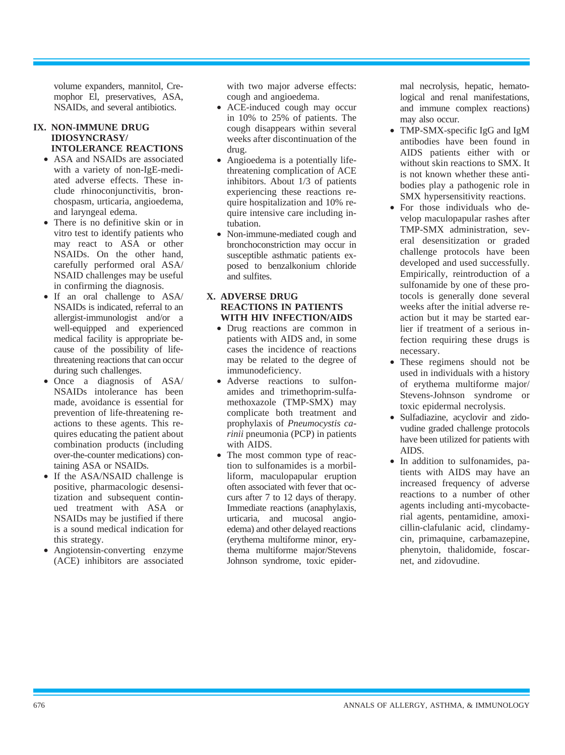volume expanders, mannitol, Cremophor El, preservatives, ASA, NSAIDs, and several antibiotics.

#### **IX. NON-IMMUNE DRUG IDIOSYNCRASY/ INTOLERANCE REACTIONS**

- ASA and NSAIDs are associated with a variety of non-IgE-mediated adverse effects. These include rhinoconjunctivitis, bronchospasm, urticaria, angioedema, and laryngeal edema.
- There is no definitive skin or in vitro test to identify patients who may react to ASA or other NSAIDs. On the other hand, carefully performed oral ASA/ NSAID challenges may be useful in confirming the diagnosis.
- If an oral challenge to ASA/ NSAIDs is indicated, referral to an allergist-immunologist and/or a well-equipped and experienced medical facility is appropriate because of the possibility of lifethreatening reactions that can occur during such challenges.
- Once a diagnosis of ASA/ NSAIDs intolerance has been made, avoidance is essential for prevention of life-threatening reactions to these agents. This requires educating the patient about combination products (including over-the-counter medications) containing ASA or NSAIDs.
- If the ASA/NSAID challenge is positive, pharmacologic desensitization and subsequent continued treatment with ASA or NSAIDs may be justified if there is a sound medical indication for this strategy.
- Angiotensin-converting enzyme (ACE) inhibitors are associated

with two major adverse effects: cough and angioedema.

- ACE-induced cough may occur in 10% to 25% of patients. The cough disappears within several weeks after discontinuation of the drug.
- Angioedema is a potentially lifethreatening complication of ACE inhibitors. About 1/3 of patients experiencing these reactions require hospitalization and 10% require intensive care including intubation.
- Non-immune-mediated cough and bronchoconstriction may occur in susceptible asthmatic patients exposed to benzalkonium chloride and sulfites.

### **X. ADVERSE DRUG REACTIONS IN PATIENTS WITH HIV INFECTION/AIDS**

- Drug reactions are common in patients with AIDS and, in some cases the incidence of reactions may be related to the degree of immunodeficiency.
- Adverse reactions to sulfonamides and trimethoprim-sulfamethoxazole (TMP-SMX) may complicate both treatment and prophylaxis of *Pneumocystis carinii* pneumonia (PCP) in patients with AIDS.
- The most common type of reaction to sulfonamides is a morbilliform, maculopapular eruption often associated with fever that occurs after 7 to 12 days of therapy. Immediate reactions (anaphylaxis, urticaria, and mucosal angioedema) and other delayed reactions (erythema multiforme minor, erythema multiforme major/Stevens Johnson syndrome, toxic epider-

mal necrolysis, hepatic, hematological and renal manifestations, and immune complex reactions) may also occur.

- TMP-SMX-specific IgG and IgM antibodies have been found in AIDS patients either with or without skin reactions to SMX. It is not known whether these antibodies play a pathogenic role in SMX hypersensitivity reactions.
- For those individuals who develop maculopapular rashes after TMP-SMX administration, several desensitization or graded challenge protocols have been developed and used successfully. Empirically, reintroduction of a sulfonamide by one of these protocols is generally done several weeks after the initial adverse reaction but it may be started earlier if treatment of a serious infection requiring these drugs is necessary.
- These regimens should not be used in individuals with a history of erythema multiforme major/ Stevens-Johnson syndrome or toxic epidermal necrolysis.
- Sulfadiazine, acyclovir and zidovudine graded challenge protocols have been utilized for patients with AIDS.
- In addition to sulfonamides, patients with AIDS may have an increased frequency of adverse reactions to a number of other agents including anti-mycobacterial agents, pentamidine, amoxicillin-clafulanic acid, clindamycin, primaquine, carbamazepine, phenytoin, thalidomide, foscarnet, and zidovudine.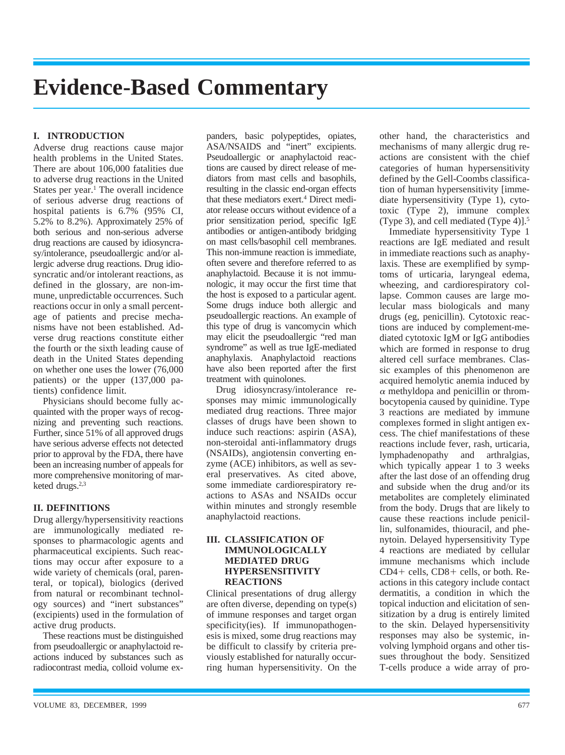# **Evidence-Based Commentary**

## **I. INTRODUCTION**

Adverse drug reactions cause major health problems in the United States. There are about 106,000 fatalities due to adverse drug reactions in the United States per year.<sup>1</sup> The overall incidence of serious adverse drug reactions of hospital patients is 6.7% (95% CI, 5.2% to 8.2%). Approximately 25% of both serious and non-serious adverse drug reactions are caused by idiosyncrasy/intolerance, pseudoallergic and/or allergic adverse drug reactions. Drug idiosyncratic and/or intolerant reactions, as defined in the glossary, are non-immune, unpredictable occurrences. Such reactions occur in only a small percentage of patients and precise mechanisms have not been established. Adverse drug reactions constitute either the fourth or the sixth leading cause of death in the United States depending on whether one uses the lower (76,000 patients) or the upper (137,000 patients) confidence limit.

Physicians should become fully acquainted with the proper ways of recognizing and preventing such reactions. Further, since 51% of all approved drugs have serious adverse effects not detected prior to approval by the FDA, there have been an increasing number of appeals for more comprehensive monitoring of marketed drugs.<sup>2,3</sup>

## **II. DEFINITIONS**

Drug allergy/hypersensitivity reactions are immunologically mediated responses to pharmacologic agents and pharmaceutical excipients. Such reactions may occur after exposure to a wide variety of chemicals (oral, parenteral, or topical), biologics (derived from natural or recombinant technology sources) and "inert substances" (excipients) used in the formulation of active drug products.

These reactions must be distinguished from pseudoallergic or anaphylactoid reactions induced by substances such as radiocontrast media, colloid volume expanders, basic polypeptides, opiates, ASA/NSAIDS and "inert" excipients. Pseudoallergic or anaphylactoid reactions are caused by direct release of mediators from mast cells and basophils, resulting in the classic end-organ effects that these mediators exert.<sup>4</sup> Direct mediator release occurs without evidence of a prior sensitization period, specific IgE antibodies or antigen-antibody bridging on mast cells/basophil cell membranes. This non-immune reaction is immediate, often severe and therefore referred to as anaphylactoid. Because it is not immunologic, it may occur the first time that the host is exposed to a particular agent. Some drugs induce both allergic and pseudoallergic reactions. An example of this type of drug is vancomycin which may elicit the pseudoallergic "red man syndrome" as well as true IgE-mediated anaphylaxis. Anaphylactoid reactions have also been reported after the first treatment with quinolones.

Drug idiosyncrasy/intolerance responses may mimic immunologically mediated drug reactions. Three major classes of drugs have been shown to induce such reactions: aspirin (ASA), non-steroidal anti-inflammatory drugs (NSAIDs), angiotensin converting enzyme (ACE) inhibitors, as well as several preservatives. As cited above, some immediate cardiorespiratory reactions to ASAs and NSAIDs occur within minutes and strongly resemble anaphylactoid reactions.

### **III. CLASSIFICATION OF IMMUNOLOGICALLY MEDIATED DRUG HYPERSENSITIVITY REACTIONS**

Clinical presentations of drug allergy are often diverse, depending on type(s) of immune responses and target organ specificity(ies). If immunopathogenesis is mixed, some drug reactions may be difficult to classify by criteria previously established for naturally occurring human hypersensitivity. On the

other hand, the characteristics and mechanisms of many allergic drug reactions are consistent with the chief categories of human hypersensitivity defined by the Gell-Coombs classification of human hypersensitivity [immediate hypersensitivity (Type 1), cytotoxic (Type 2), immune complex (Type 3), and cell mediated (Type 4)].5

Immediate hypersensitivity Type 1 reactions are IgE mediated and result in immediate reactions such as anaphylaxis. These are exemplified by symptoms of urticaria, laryngeal edema, wheezing, and cardiorespiratory collapse. Common causes are large molecular mass biologicals and many drugs (eg, penicillin). Cytotoxic reactions are induced by complement-mediated cytotoxic IgM or IgG antibodies which are formed in response to drug altered cell surface membranes. Classic examples of this phenomenon are acquired hemolytic anemia induced by  $\alpha$  methyldopa and penicillin or thrombocytopenia caused by quinidine. Type 3 reactions are mediated by immune complexes formed in slight antigen excess. The chief manifestations of these reactions include fever, rash, urticaria, lymphadenopathy and arthralgias, which typically appear 1 to 3 weeks after the last dose of an offending drug and subside when the drug and/or its metabolites are completely eliminated from the body. Drugs that are likely to cause these reactions include penicillin, sulfonamides, thiouracil, and phenytoin. Delayed hypersensitivity Type 4 reactions are mediated by cellular immune mechanisms which include  $CD4+$  cells,  $CD8+$  cells, or both. Reactions in this category include contact dermatitis, a condition in which the topical induction and elicitation of sensitization by a drug is entirely limited to the skin. Delayed hypersensitivity responses may also be systemic, involving lymphoid organs and other tissues throughout the body. Sensitized T-cells produce a wide array of pro-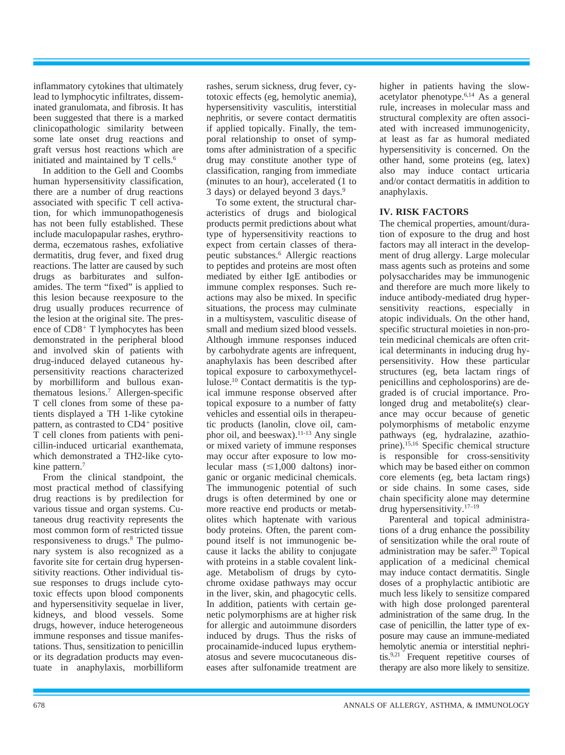inflammatory cytokines that ultimately lead to lymphocytic infiltrates, disseminated granulomata, and fibrosis. It has been suggested that there is a marked clinicopathologic similarity between some late onset drug reactions and graft versus host reactions which are initiated and maintained by T cells.<sup>6</sup>

In addition to the Gell and Coombs human hypersensitivity classification, there are a number of drug reactions associated with specific T cell activation, for which immunopathogenesis has not been fully established. These include maculopapular rashes, erythroderma, eczematous rashes, exfoliative dermatitis, drug fever, and fixed drug reactions. The latter are caused by such drugs as barbiturates and sulfonamides. The term "fixed" is applied to this lesion because reexposure to the drug usually produces recurrence of the lesion at the original site. The presence of  $CD8<sup>+</sup>$  T lymphocytes has been demonstrated in the peripheral blood and involved skin of patients with drug-induced delayed cutaneous hypersensitivity reactions characterized by morbilliform and bullous exanthematous lesions.7 Allergen-specific T cell clones from some of these patients displayed a TH 1-like cytokine pattern, as contrasted to  $CD4<sup>+</sup>$  positive T cell clones from patients with penicillin-induced urticarial exanthemata, which demonstrated a TH2-like cytokine pattern.<sup>7</sup>

From the clinical standpoint, the most practical method of classifying drug reactions is by predilection for various tissue and organ systems. Cutaneous drug reactivity represents the most common form of restricted tissue responsiveness to drugs.8 The pulmonary system is also recognized as a favorite site for certain drug hypersensitivity reactions. Other individual tissue responses to drugs include cytotoxic effects upon blood components and hypersensitivity sequelae in liver, kidneys, and blood vessels. Some drugs, however, induce heterogeneous immune responses and tissue manifestations. Thus, sensitization to penicillin or its degradation products may eventuate in anaphylaxis, morbilliform rashes, serum sickness, drug fever, cytotoxic effects (eg, hemolytic anemia), hypersensitivity vasculitis, interstitial nephritis, or severe contact dermatitis if applied topically. Finally, the temporal relationship to onset of symptoms after administration of a specific drug may constitute another type of classification, ranging from immediate (minutes to an hour), accelerated (1 to 3 days) or delayed beyond 3 days.9

To some extent, the structural characteristics of drugs and biological products permit predictions about what type of hypersensitivity reactions to expect from certain classes of therapeutic substances.6 Allergic reactions to peptides and proteins are most often mediated by either IgE antibodies or immune complex responses. Such reactions may also be mixed. In specific situations, the process may culminate in a multisystem, vasculitic disease of small and medium sized blood vessels. Although immune responses induced by carbohydrate agents are infrequent, anaphylaxis has been described after topical exposure to carboxymethycellulose.10 Contact dermatitis is the typical immune response observed after topical exposure to a number of fatty vehicles and essential oils in therapeutic products (lanolin, clove oil, camphor oil, and beeswax).<sup>11-13</sup> Any single or mixed variety of immune responses may occur after exposure to low molecular mass  $(\leq 1,000$  daltons) inorganic or organic medicinal chemicals. The immunogenic potential of such drugs is often determined by one or more reactive end products or metabolites which haptenate with various body proteins. Often, the parent compound itself is not immunogenic because it lacks the ability to conjugate with proteins in a stable covalent linkage. Metabolism of drugs by cytochrome oxidase pathways may occur in the liver, skin, and phagocytic cells. In addition, patients with certain genetic polymorphisms are at higher risk for allergic and autoimmune disorders induced by drugs. Thus the risks of procainamide-induced lupus erythematosus and severe mucocutaneous diseases after sulfonamide treatment are

higher in patients having the slowacetylator phenotype.6,14 As a general rule, increases in molecular mass and structural complexity are often associated with increased immunogenicity, at least as far as humoral mediated hypersensitivity is concerned. On the other hand, some proteins (eg, latex) also may induce contact urticaria and/or contact dermatitis in addition to anaphylaxis.

## **IV. RISK FACTORS**

The chemical properties, amount/duration of exposure to the drug and host factors may all interact in the development of drug allergy. Large molecular mass agents such as proteins and some polysaccharides may be immunogenic and therefore are much more likely to induce antibody-mediated drug hypersensitivity reactions, especially in atopic individuals. On the other hand, specific structural moieties in non-protein medicinal chemicals are often critical determinants in inducing drug hypersensitivity. How these particular structures (eg, beta lactam rings of penicillins and cepholosporins) are degraded is of crucial importance. Prolonged drug and metabolite(s) clearance may occur because of genetic polymorphisms of metabolic enzyme pathways (eg, hydralazine, azathioprine).15,16 Specific chemical structure is responsible for cross-sensitivity which may be based either on common core elements (eg, beta lactam rings) or side chains. In some cases, side chain specificity alone may determine drug hypersensitivity.<sup>17-19</sup>

Parenteral and topical administrations of a drug enhance the possibility of sensitization while the oral route of administration may be safer.20 Topical application of a medicinal chemical may induce contact dermatitis. Single doses of a prophylactic antibiotic are much less likely to sensitize compared with high dose prolonged parenteral administration of the same drug. In the case of penicillin, the latter type of exposure may cause an immune-mediated hemolytic anemia or interstitial nephritis.9,21 Frequent repetitive courses of therapy are also more likely to sensitize.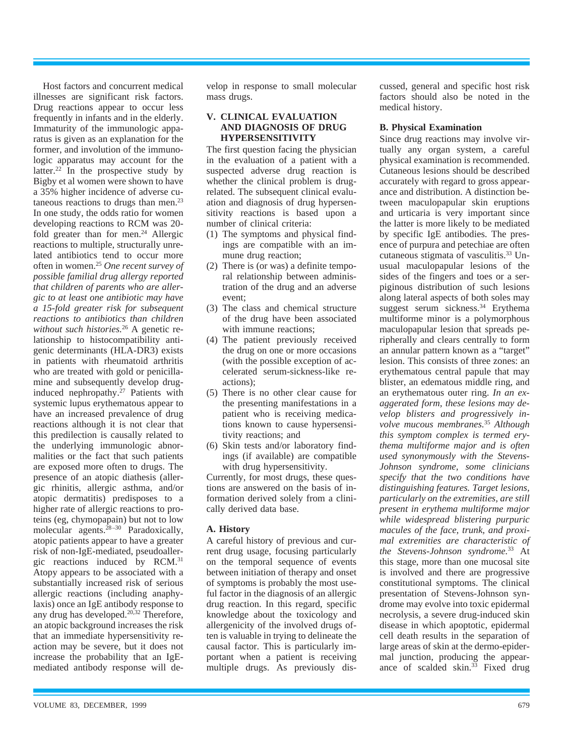Host factors and concurrent medical illnesses are significant risk factors. Drug reactions appear to occur less frequently in infants and in the elderly. Immaturity of the immunologic apparatus is given as an explanation for the former, and involution of the immunologic apparatus may account for the latter.<sup>22</sup> In the prospective study by Bigby et al women were shown to have a 35% higher incidence of adverse cutaneous reactions to drugs than men.<sup>23</sup> In one study, the odds ratio for women developing reactions to RCM was 20 fold greater than for men.<sup>24</sup> Allergic reactions to multiple, structurally unrelated antibiotics tend to occur more often in women.25 *One recent survey of possible familial drug allergy reported that children of parents who are allergic to at least one antibiotic may have a 15-fold greater risk for subsequent reactions to antibiotics than children without such histories.*<sup>26</sup> A genetic relationship to histocompatibility antigenic determinants (HLA-DR3) exists in patients with rheumatoid arthritis who are treated with gold or penicillamine and subsequently develop druginduced nephropathy.<sup>27</sup> Patients with systemic lupus erythematous appear to have an increased prevalence of drug reactions although it is not clear that this predilection is causally related to the underlying immunologic abnormalities or the fact that such patients are exposed more often to drugs. The presence of an atopic diathesis (allergic rhinitis, allergic asthma, and/or atopic dermatitis) predisposes to a higher rate of allergic reactions to proteins (eg, chymopapain) but not to low molecular agents. $28-30$  Paradoxically, atopic patients appear to have a greater risk of non-IgE-mediated, pseudoallergic reactions induced by RCM.31 Atopy appears to be associated with a substantially increased risk of serious allergic reactions (including anaphylaxis) once an IgE antibody response to any drug has developed.<sup>20,32</sup> Therefore, an atopic background increases the risk that an immediate hypersensitivity reaction may be severe, but it does not increase the probability that an IgEmediated antibody response will develop in response to small molecular mass drugs.

#### **V. CLINICAL EVALUATION AND DIAGNOSIS OF DRUG HYPERSENSITIVITY**

The first question facing the physician in the evaluation of a patient with a suspected adverse drug reaction is whether the clinical problem is drugrelated. The subsequent clinical evaluation and diagnosis of drug hypersensitivity reactions is based upon a number of clinical criteria:

- (1) The symptoms and physical findings are compatible with an immune drug reaction;
- (2) There is (or was) a definite temporal relationship between administration of the drug and an adverse event;
- (3) The class and chemical structure of the drug have been associated with immune reactions;
- (4) The patient previously received the drug on one or more occasions (with the possible exception of accelerated serum-sickness-like reactions);
- (5) There is no other clear cause for the presenting manifestations in a patient who is receiving medications known to cause hypersensitivity reactions; and
- (6) Skin tests and/or laboratory findings (if available) are compatible with drug hypersensitivity.

Currently, for most drugs, these questions are answered on the basis of information derived solely from a clinically derived data base.

## **A. History**

A careful history of previous and current drug usage, focusing particularly on the temporal sequence of events between initiation of therapy and onset of symptoms is probably the most useful factor in the diagnosis of an allergic drug reaction. In this regard, specific knowledge about the toxicology and allergenicity of the involved drugs often is valuable in trying to delineate the causal factor. This is particularly important when a patient is receiving multiple drugs. As previously discussed, general and specific host risk factors should also be noted in the medical history.

## **B. Physical Examination**

Since drug reactions may involve virtually any organ system, a careful physical examination is recommended. Cutaneous lesions should be described accurately with regard to gross appearance and distribution. A distinction between maculopapular skin eruptions and urticaria is very important since the latter is more likely to be mediated by specific IgE antibodies. The presence of purpura and petechiae are often cutaneous stigmata of vasculitis.33 Unusual maculopapular lesions of the sides of the fingers and toes or a serpiginous distribution of such lesions along lateral aspects of both soles may suggest serum sickness.<sup>34</sup> Erythema multiforme minor is a polymorphous maculopapular lesion that spreads peripherally and clears centrally to form an annular pattern known as a "target" lesion. This consists of three zones: an erythematous central papule that may blister, an edematous middle ring, and an erythematous outer ring. *In an exaggerated form, these lesions may develop blisters and progressively involve mucous membranes.*<sup>35</sup> *Although this symptom complex is termed erythema multiforme major and is often used synonymously with the Stevens-Johnson syndrome, some clinicians specify that the two conditions have distinguishing features. Target lesions, particularly on the extremities, are still present in erythema multiforme major while widespread blistering purpuric macules of the face, trunk, and proximal extremities are characteristic of the Stevens-Johnson syndrome.*<sup>33</sup> At this stage, more than one mucosal site is involved and there are progressive constitutional symptoms. The clinical presentation of Stevens-Johnson syndrome may evolve into toxic epidermal necrolysis, a severe drug-induced skin disease in which apoptotic, epidermal cell death results in the separation of large areas of skin at the dermo-epidermal junction, producing the appearance of scalded skin.33 Fixed drug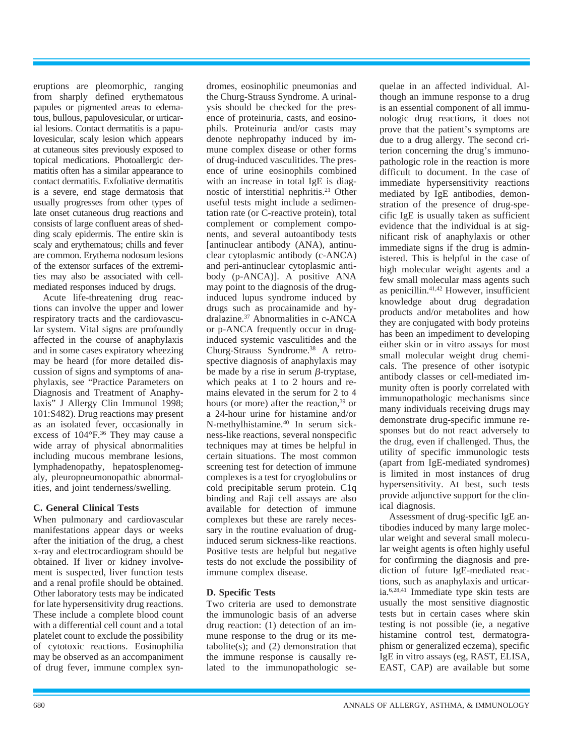eruptions are pleomorphic, ranging from sharply defined erythematous papules or pigmented areas to edematous, bullous, papulovesicular, or urticarial lesions. Contact dermatitis is a papulovesicular, scaly lesion which appears at cutaneous sites previously exposed to topical medications. Photoallergic dermatitis often has a similar appearance to contact dermatitis. Exfoliative dermatitis is a severe, end stage dermatosis that usually progresses from other types of late onset cutaneous drug reactions and consists of large confluent areas of shedding scaly epidermis. The entire skin is scaly and erythematous; chills and fever are common. Erythema nodosum lesions of the extensor surfaces of the extremities may also be associated with cellmediated responses induced by drugs.

Acute life-threatening drug reactions can involve the upper and lower respiratory tracts and the cardiovascular system. Vital signs are profoundly affected in the course of anaphylaxis and in some cases expiratory wheezing may be heard (for more detailed discussion of signs and symptoms of anaphylaxis, see "Practice Parameters on Diagnosis and Treatment of Anaphylaxis" J Allergy Clin Immunol 1998; 101:S482). Drug reactions may present as an isolated fever, occasionally in excess of 104°F.<sup>36</sup> They may cause a wide array of physical abnormalities including mucous membrane lesions, lymphadenopathy, hepatosplenomegaly, pleuropneumonopathic abnormalities, and joint tenderness/swelling.

## **C. General Clinical Tests**

When pulmonary and cardiovascular manifestations appear days or weeks after the initiation of the drug, a chest x-ray and electrocardiogram should be obtained. If liver or kidney involvement is suspected, liver function tests and a renal profile should be obtained. Other laboratory tests may be indicated for late hypersensitivity drug reactions. These include a complete blood count with a differential cell count and a total platelet count to exclude the possibility of cytotoxic reactions. Eosinophilia may be observed as an accompaniment of drug fever, immune complex syndromes, eosinophilic pneumonias and the Churg-Strauss Syndrome. A urinalysis should be checked for the presence of proteinuria, casts, and eosinophils. Proteinuria and/or casts may denote nephropathy induced by immune complex disease or other forms of drug-induced vasculitides. The presence of urine eosinophils combined with an increase in total IgE is diagnostic of interstitial nephritis.<sup>21</sup> Other useful tests might include a sedimentation rate (or C-reactive protein), total complement or complement components, and several autoantibody tests [antinuclear antibody (ANA), antinuclear cytoplasmic antibody (c-ANCA) and peri-antinuclear cytoplasmic antibody (p-ANCA)]. A positive ANA may point to the diagnosis of the druginduced lupus syndrome induced by drugs such as procainamide and hydralazine.37 Abnormalities in c-ANCA or p-ANCA frequently occur in druginduced systemic vasculitides and the Churg-Strauss Syndrome.38 A retrospective diagnosis of anaphylaxis may be made by a rise in serum  $\beta$ -tryptase, which peaks at 1 to 2 hours and remains elevated in the serum for 2 to 4 hours (or more) after the reaction,<sup>39</sup> or a 24-hour urine for histamine and/or N-methylhistamine.40 In serum sickness-like reactions, several nonspecific techniques may at times be helpful in certain situations. The most common screening test for detection of immune complexes is a test for cryoglobulins or cold precipitable serum protein. C1q binding and Raji cell assays are also available for detection of immune complexes but these are rarely necessary in the routine evaluation of druginduced serum sickness-like reactions. Positive tests are helpful but negative tests do not exclude the possibility of immune complex disease.

## **D. Specific Tests**

Two criteria are used to demonstrate the immunologic basis of an adverse drug reaction: (1) detection of an immune response to the drug or its me $tabolite(s)$ ; and  $(2)$  demonstration that the immune response is causally related to the immunopathologic sequelae in an affected individual. Although an immune response to a drug is an essential component of all immunologic drug reactions, it does not prove that the patient's symptoms are due to a drug allergy. The second criterion concerning the drug's immunopathologic role in the reaction is more difficult to document. In the case of immediate hypersensitivity reactions mediated by IgE antibodies, demonstration of the presence of drug-specific IgE is usually taken as sufficient evidence that the individual is at significant risk of anaphylaxis or other immediate signs if the drug is administered. This is helpful in the case of high molecular weight agents and a few small molecular mass agents such as penicillin.41,42 However, insufficient knowledge about drug degradation products and/or metabolites and how they are conjugated with body proteins has been an impediment to developing either skin or in vitro assays for most small molecular weight drug chemicals. The presence of other isotypic antibody classes or cell-mediated immunity often is poorly correlated with immunopathologic mechanisms since many individuals receiving drugs may demonstrate drug-specific immune responses but do not react adversely to the drug, even if challenged. Thus, the utility of specific immunologic tests (apart from IgE-mediated syndromes) is limited in most instances of drug hypersensitivity. At best, such tests provide adjunctive support for the clinical diagnosis.

Assessment of drug-specific IgE antibodies induced by many large molecular weight and several small molecular weight agents is often highly useful for confirming the diagnosis and prediction of future IgE-mediated reactions, such as anaphylaxis and urticaria.6,28,41 Immediate type skin tests are usually the most sensitive diagnostic tests but in certain cases where skin testing is not possible (ie, a negative histamine control test, dermatographism or generalized eczema), specific IgE in vitro assays (eg, RAST, ELISA, EAST, CAP) are available but some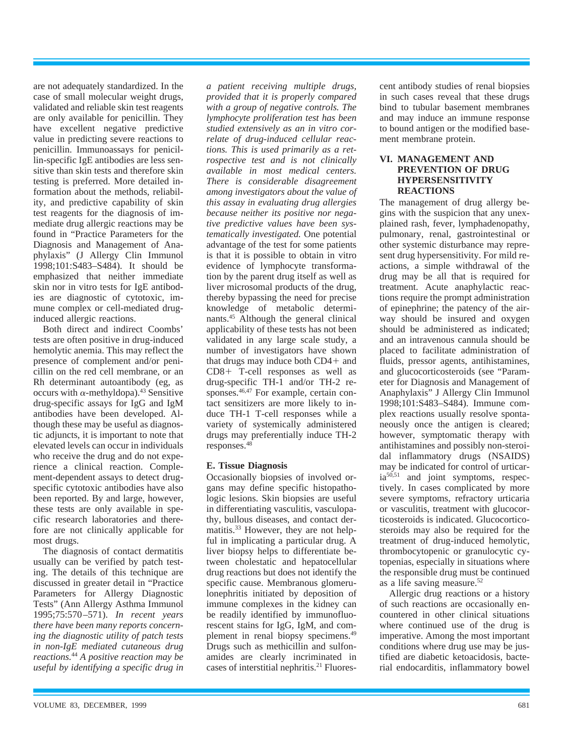are not adequately standardized. In the case of small molecular weight drugs, validated and reliable skin test reagents are only available for penicillin. They have excellent negative predictive value in predicting severe reactions to penicillin. Immunoassays for penicillin-specific IgE antibodies are less sensitive than skin tests and therefore skin testing is preferred. More detailed information about the methods, reliability, and predictive capability of skin test reagents for the diagnosis of immediate drug allergic reactions may be found in "Practice Parameters for the Diagnosis and Management of Anaphylaxis" (J Allergy Clin Immunol 1998;101:S483–S484). It should be emphasized that neither immediate skin nor in vitro tests for IgE antibodies are diagnostic of cytotoxic, immune complex or cell-mediated druginduced allergic reactions.

Both direct and indirect Coombs' tests are often positive in drug-induced hemolytic anemia. This may reflect the presence of complement and/or penicillin on the red cell membrane, or an Rh determinant autoantibody (eg, as occurs with  $\alpha$ -methyldopa).<sup>43</sup> Sensitive drug-specific assays for IgG and IgM antibodies have been developed. Although these may be useful as diagnostic adjuncts, it is important to note that elevated levels can occur in individuals who receive the drug and do not experience a clinical reaction. Complement-dependent assays to detect drugspecific cytotoxic antibodies have also been reported. By and large, however, these tests are only available in specific research laboratories and therefore are not clinically applicable for most drugs.

The diagnosis of contact dermatitis usually can be verified by patch testing. The details of this technique are discussed in greater detail in "Practice Parameters for Allergy Diagnostic Tests" (Ann Allergy Asthma Immunol 1995;75:570–571). *In recent years there have been many reports concerning the diagnostic utility of patch tests in non-IgE mediated cutaneous drug reactions.*<sup>44</sup> *A positive reaction may be useful by identifying a specific drug in*

*a patient receiving multiple drugs, provided that it is properly compared with a group of negative controls. The lymphocyte proliferation test has been studied extensively as an in vitro correlate of drug-induced cellular reactions. This is used primarily as a retrospective test and is not clinically available in most medical centers. There is considerable disagreement among investigators about the value of this assay in evaluating drug allergies because neither its positive nor negative predictive values have been systematically investigated.* One potential advantage of the test for some patients is that it is possible to obtain in vitro evidence of lymphocyte transformation by the parent drug itself as well as liver microsomal products of the drug, thereby bypassing the need for precise knowledge of metabolic determinants.45 Although the general clinical applicability of these tests has not been validated in any large scale study, a number of investigators have shown that drugs may induce both  $CD4+$  and  $CD8+$  T-cell responses as well as drug-specific TH-1 and/or TH-2 responses.<sup>46,47</sup> For example, certain contact sensitizers are more likely to induce TH-1 T-cell responses while a variety of systemically administered drugs may preferentially induce TH-2 responses.48

## **E. Tissue Diagnosis**

Occasionally biopsies of involved organs may define specific histopathologic lesions. Skin biopsies are useful in differentiating vasculitis, vasculopathy, bullous diseases, and contact dermatitis.<sup>33</sup> However, they are not helpful in implicating a particular drug. A liver biopsy helps to differentiate between cholestatic and hepatocellular drug reactions but does not identify the specific cause. Membranous glomerulonephritis initiated by deposition of immune complexes in the kidney can be readily identified by immunofluorescent stains for IgG, IgM, and complement in renal biopsy specimens.49 Drugs such as methicillin and sulfonamides are clearly incriminated in cases of interstitial nephritis.<sup>21</sup> Fluorescent antibody studies of renal biopsies in such cases reveal that these drugs bind to tubular basement membranes and may induce an immune response to bound antigen or the modified basement membrane protein.

### **VI. MANAGEMENT AND PREVENTION OF DRUG HYPERSENSITIVITY REACTIONS**

The management of drug allergy begins with the suspicion that any unexplained rash, fever, lymphadenopathy, pulmonary, renal, gastrointestinal or other systemic disturbance may represent drug hypersensitivity. For mild reactions, a simple withdrawal of the drug may be all that is required for treatment. Acute anaphylactic reactions require the prompt administration of epinephrine; the patency of the airway should be insured and oxygen should be administered as indicated; and an intravenous cannula should be placed to facilitate administration of fluids, pressor agents, antihistamines, and glucocorticosteroids (see "Parameter for Diagnosis and Management of Anaphylaxis" J Allergy Clin Immunol 1998;101:S483–S484). Immune complex reactions usually resolve spontaneously once the antigen is cleared; however, symptomatic therapy with antihistamines and possibly non-steroidal inflammatory drugs (NSAIDS) may be indicated for control of urticaria50,51 and joint symptoms, respectively. In cases complicated by more severe symptoms, refractory urticaria or vasculitis, treatment with glucocorticosteroids is indicated. Glucocorticosteroids may also be required for the treatment of drug-induced hemolytic, thrombocytopenic or granulocytic cytopenias, especially in situations where the responsible drug must be continued as a life saving measure.52

Allergic drug reactions or a history of such reactions are occasionally encountered in other clinical situations where continued use of the drug is imperative. Among the most important conditions where drug use may be justified are diabetic ketoacidosis, bacterial endocarditis, inflammatory bowel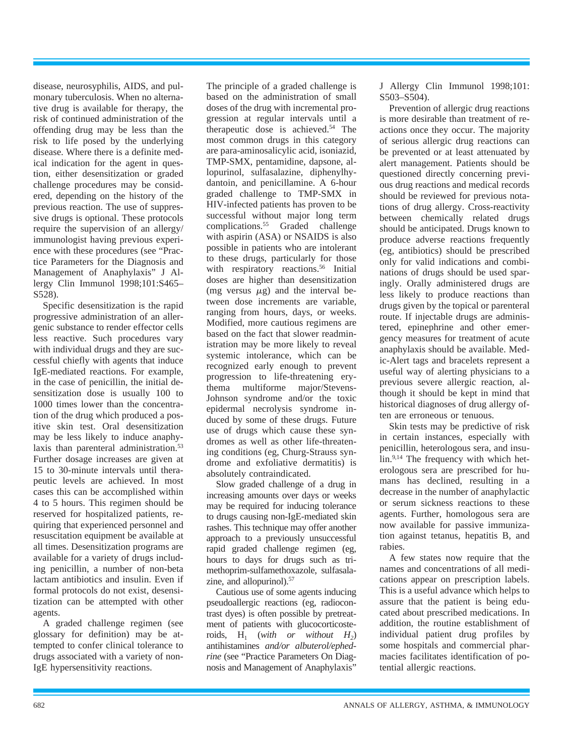disease, neurosyphilis, AIDS, and pulmonary tuberculosis. When no alternative drug is available for therapy, the risk of continued administration of the offending drug may be less than the risk to life posed by the underlying disease. Where there is a definite medical indication for the agent in question, either desensitization or graded challenge procedures may be considered, depending on the history of the previous reaction. The use of suppressive drugs is optional. These protocols require the supervision of an allergy/ immunologist having previous experience with these procedures (see "Practice Parameters for the Diagnosis and Management of Anaphylaxis" J Allergy Clin Immunol 1998;101:S465– S528).

Specific desensitization is the rapid progressive administration of an allergenic substance to render effector cells less reactive. Such procedures vary with individual drugs and they are successful chiefly with agents that induce IgE-mediated reactions. For example, in the case of penicillin, the initial desensitization dose is usually 100 to 1000 times lower than the concentration of the drug which produced a positive skin test. Oral desensitization may be less likely to induce anaphylaxis than parenteral administration.<sup>53</sup> Further dosage increases are given at 15 to 30-minute intervals until therapeutic levels are achieved. In most cases this can be accomplished within 4 to 5 hours. This regimen should be reserved for hospitalized patients, requiring that experienced personnel and resuscitation equipment be available at all times. Desensitization programs are available for a variety of drugs including penicillin, a number of non-beta lactam antibiotics and insulin. Even if formal protocols do not exist, desensitization can be attempted with other agents.

A graded challenge regimen (see glossary for definition) may be attempted to confer clinical tolerance to drugs associated with a variety of non-IgE hypersensitivity reactions.

The principle of a graded challenge is based on the administration of small doses of the drug with incremental progression at regular intervals until a therapeutic dose is achieved. $54$  The most common drugs in this category are para-aminosalicylic acid, isoniazid, TMP-SMX, pentamidine, dapsone, allopurinol, sulfasalazine, diphenylhydantoin, and penicillamine. A 6-hour graded challenge to TMP-SMX in HIV-infected patients has proven to be successful without major long term complications.55 Graded challenge with aspirin (ASA) or NSAIDS is also possible in patients who are intolerant to these drugs, particularly for those with respiratory reactions.<sup>56</sup> Initial doses are higher than desensitization (mg versus  $\mu$ g) and the interval between dose increments are variable, ranging from hours, days, or weeks. Modified, more cautious regimens are based on the fact that slower readministration may be more likely to reveal systemic intolerance, which can be recognized early enough to prevent progression to life-threatening erythema multiforme major/Stevens-Johnson syndrome and/or the toxic epidermal necrolysis syndrome induced by some of these drugs. Future use of drugs which cause these syndromes as well as other life-threatening conditions (eg, Churg-Strauss syndrome and exfoliative dermatitis) is absolutely contraindicated.

Slow graded challenge of a drug in increasing amounts over days or weeks may be required for inducing tolerance to drugs causing non-IgE-mediated skin rashes. This technique may offer another approach to a previously unsuccessful rapid graded challenge regimen (eg, hours to days for drugs such as trimethoprim-sulfamethoxazole, sulfasalazine, and allopurinol).57

Cautious use of some agents inducing pseudoallergic reactions (eg, radiocontrast dyes) is often possible by pretreatment of patients with glucocorticosteroids,  $H_1$  (*with or without H<sub>2</sub>*) antihistamines *and/or albuterol/ephedrine* (see "Practice Parameters On Diagnosis and Management of Anaphylaxis"

J Allergy Clin Immunol 1998;101: S503–S504).

Prevention of allergic drug reactions is more desirable than treatment of reactions once they occur. The majority of serious allergic drug reactions can be prevented or at least attenuated by alert management. Patients should be questioned directly concerning previous drug reactions and medical records should be reviewed for previous notations of drug allergy. Cross-reactivity between chemically related drugs should be anticipated. Drugs known to produce adverse reactions frequently (eg, antibiotics) should be prescribed only for valid indications and combinations of drugs should be used sparingly. Orally administered drugs are less likely to produce reactions than drugs given by the topical or parenteral route. If injectable drugs are administered, epinephrine and other emergency measures for treatment of acute anaphylaxis should be available. Medic-Alert tags and bracelets represent a useful way of alerting physicians to a previous severe allergic reaction, although it should be kept in mind that historical diagnoses of drug allergy often are erroneous or tenuous.

Skin tests may be predictive of risk in certain instances, especially with penicillin, heterologous sera, and insulin.9,14 The frequency with which heterologous sera are prescribed for humans has declined, resulting in a decrease in the number of anaphylactic or serum sickness reactions to these agents. Further, homologous sera are now available for passive immunization against tetanus, hepatitis B, and rabies.

A few states now require that the names and concentrations of all medications appear on prescription labels. This is a useful advance which helps to assure that the patient is being educated about prescribed medications. In addition, the routine establishment of individual patient drug profiles by some hospitals and commercial pharmacies facilitates identification of potential allergic reactions.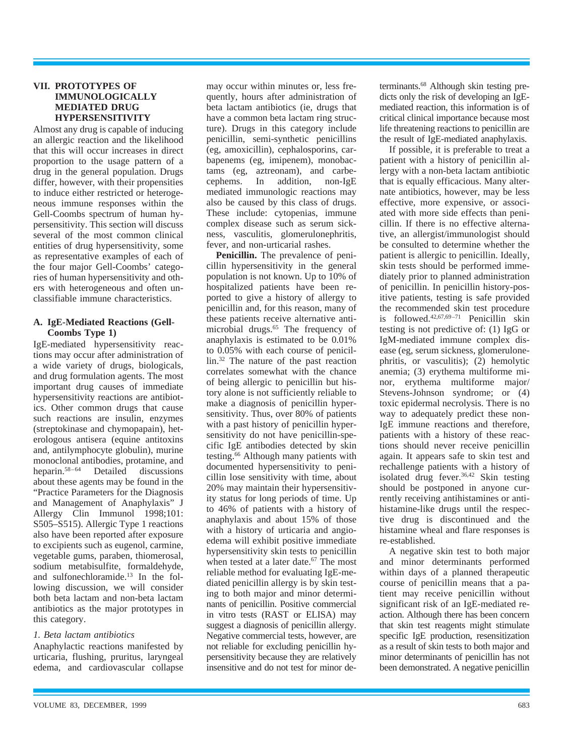#### **VII. PROTOTYPES OF IMMUNOLOGICALLY MEDIATED DRUG HYPERSENSITIVITY**

Almost any drug is capable of inducing an allergic reaction and the likelihood that this will occur increases in direct proportion to the usage pattern of a drug in the general population. Drugs differ, however, with their propensities to induce either restricted or heterogeneous immune responses within the Gell-Coombs spectrum of human hypersensitivity. This section will discuss several of the most common clinical entities of drug hypersensitivity, some as representative examples of each of the four major Gell-Coombs' categories of human hypersensitivity and others with heterogeneous and often unclassifiable immune characteristics.

## **A. IgE-Mediated Reactions (Gell-Coombs Type 1)**

IgE-mediated hypersensitivity reactions may occur after administration of a wide variety of drugs, biologicals, and drug formulation agents. The most important drug causes of immediate hypersensitivity reactions are antibiotics. Other common drugs that cause such reactions are insulin, enzymes (streptokinase and chymopapain), heterologous antisera (equine antitoxins and, antilymphocyte globulin), murine monoclonal antibodies, protamine, and<br>heparin.<sup>58–64</sup> Detailed discussions Detailed discussions about these agents may be found in the "Practice Parameters for the Diagnosis and Management of Anaphylaxis" J Allergy Clin Immunol 1998;101: S505–S515). Allergic Type 1 reactions also have been reported after exposure to excipients such as eugenol, carmine, vegetable gums, paraben, thiomerosal, sodium metabisulfite, formaldehyde, and sulfonechloramide.<sup>13</sup> In the following discussion, we will consider both beta lactam and non-beta lactam antibiotics as the major prototypes in this category.

## *1. Beta lactam antibiotics*

Anaphylactic reactions manifested by urticaria, flushing, pruritus, laryngeal edema, and cardiovascular collapse may occur within minutes or, less frequently, hours after administration of beta lactam antibiotics (ie, drugs that have a common beta lactam ring structure). Drugs in this category include penicillin, semi-synthetic penicillins (eg, amoxicillin), cephalosporins, carbapenems (eg, imipenem), monobactams (eg, aztreonam), and carbecephems. In addition, non-IgE mediated immunologic reactions may also be caused by this class of drugs. These include: cytopenias, immune complex disease such as serum sickness, vasculitis, glomerulonephritis, fever, and non-urticarial rashes.

**Penicillin.** The prevalence of penicillin hypersensitivity in the general population is not known. Up to 10% of hospitalized patients have been reported to give a history of allergy to penicillin and, for this reason, many of these patients receive alternative antimicrobial drugs.<sup>65</sup> The frequency of anaphylaxis is estimated to be 0.01% to 0.05% with each course of penicillin.32 The nature of the past reaction correlates somewhat with the chance of being allergic to penicillin but history alone is not sufficiently reliable to make a diagnosis of penicillin hypersensitivity. Thus, over 80% of patients with a past history of penicillin hypersensitivity do not have penicillin-specific IgE antibodies detected by skin testing.66 Although many patients with documented hypersensitivity to penicillin lose sensitivity with time, about 20% may maintain their hypersensitivity status for long periods of time. Up to 46% of patients with a history of anaphylaxis and about 15% of those with a history of urticaria and angioedema will exhibit positive immediate hypersensitivity skin tests to penicillin when tested at a later date.<sup>67</sup> The most reliable method for evaluating IgE-mediated penicillin allergy is by skin testing to both major and minor determinants of penicillin. Positive commercial in vitro tests (RAST or ELISA) may suggest a diagnosis of penicillin allergy. Negative commercial tests, however, are not reliable for excluding penicillin hypersensitivity because they are relatively insensitive and do not test for minor determinants.<sup>68</sup> Although skin testing predicts only the risk of developing an IgEmediated reaction, this information is of critical clinical importance because most life threatening reactions to penicillin are the result of IgE-mediated anaphylaxis.

If possible, it is preferable to treat a patient with a history of penicillin allergy with a non-beta lactam antibiotic that is equally efficacious. Many alternate antibiotics, however, may be less effective, more expensive, or associated with more side effects than penicillin. If there is no effective alternative, an allergist/immunologist should be consulted to determine whether the patient is allergic to penicillin. Ideally, skin tests should be performed immediately prior to planned administration of penicillin. In penicillin history-positive patients, testing is safe provided the recommended skin test procedure is followed. $42,67,69-71$  Penicillin skin testing is not predictive of: (1) IgG or IgM-mediated immune complex disease (eg, serum sickness, glomerulonephritis, or vasculitis); (2) hemolytic anemia; (3) erythema multiforme minor, erythema multiforme major/ Stevens-Johnson syndrome; or (4) toxic epidermal necrolysis. There is no way to adequately predict these non-IgE immune reactions and therefore, patients with a history of these reactions should never receive penicillin again. It appears safe to skin test and rechallenge patients with a history of isolated drug fever.<sup>36,42</sup> Skin testing should be postponed in anyone currently receiving antihistamines or antihistamine-like drugs until the respective drug is discontinued and the histamine wheal and flare responses is re-established.

A negative skin test to both major and minor determinants performed within days of a planned therapeutic course of penicillin means that a patient may receive penicillin without significant risk of an IgE-mediated reaction. Although there has been concern that skin test reagents might stimulate specific IgE production, resensitization as a result of skin tests to both major and minor determinants of penicillin has not been demonstrated. A negative penicillin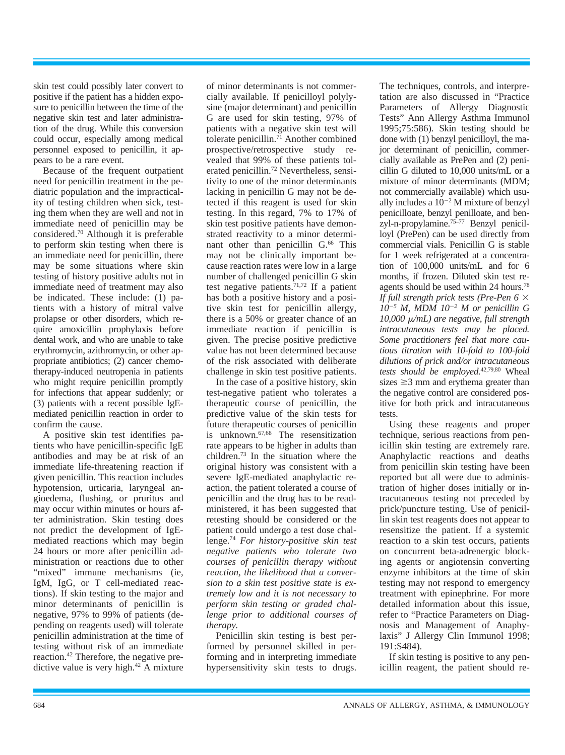skin test could possibly later convert to positive if the patient has a hidden exposure to penicillin between the time of the negative skin test and later administration of the drug. While this conversion could occur, especially among medical personnel exposed to penicillin, it appears to be a rare event.

Because of the frequent outpatient need for penicillin treatment in the pediatric population and the impracticality of testing children when sick, testing them when they are well and not in immediate need of penicillin may be considered.70 Although it is preferable to perform skin testing when there is an immediate need for penicillin, there may be some situations where skin testing of history positive adults not in immediate need of treatment may also be indicated. These include: (1) patients with a history of mitral valve prolapse or other disorders, which require amoxicillin prophylaxis before dental work, and who are unable to take erythromycin, azithromycin, or other appropriate antibiotics; (2) cancer chemotherapy-induced neutropenia in patients who might require penicillin promptly for infections that appear suddenly; or (3) patients with a recent possible IgEmediated penicillin reaction in order to confirm the cause.

A positive skin test identifies patients who have penicillin-specific IgE antibodies and may be at risk of an immediate life-threatening reaction if given penicillin. This reaction includes hypotension, urticaria, laryngeal angioedema, flushing, or pruritus and may occur within minutes or hours after administration. Skin testing does not predict the development of IgEmediated reactions which may begin 24 hours or more after penicillin administration or reactions due to other "mixed" immune mechanisms (ie, IgM, IgG, or T cell-mediated reactions). If skin testing to the major and minor determinants of penicillin is negative, 97% to 99% of patients (depending on reagents used) will tolerate penicillin administration at the time of testing without risk of an immediate reaction.42 Therefore, the negative predictive value is very high.42 A mixture

of minor determinants is not commercially available. If penicilloyl polylysine (major determinant) and penicillin G are used for skin testing, 97% of patients with a negative skin test will tolerate penicillin.<sup>71</sup> Another combined prospective/retrospective study revealed that 99% of these patients tolerated penicillin.72 Nevertheless, sensitivity to one of the minor determinants lacking in penicillin G may not be detected if this reagent is used for skin testing. In this regard, 7% to 17% of skin test positive patients have demonstrated reactivity to a minor determinant other than penicillin G.<sup>66</sup> This may not be clinically important because reaction rates were low in a large number of challenged penicillin G skin test negative patients.71,72 If a patient has both a positive history and a positive skin test for penicillin allergy, there is a 50% or greater chance of an immediate reaction if penicillin is given. The precise positive predictive value has not been determined because of the risk associated with deliberate challenge in skin test positive patients.

In the case of a positive history, skin test-negative patient who tolerates a therapeutic course of penicillin, the predictive value of the skin tests for future therapeutic courses of penicillin is unknown.67,68 The resensitization rate appears to be higher in adults than children.73 In the situation where the original history was consistent with a severe IgE-mediated anaphylactic reaction, the patient tolerated a course of penicillin and the drug has to be readministered, it has been suggested that retesting should be considered or the patient could undergo a test dose challenge.74 *For history-positive skin test negative patients who tolerate two courses of penicillin therapy without reaction, the likelihood that a conversion to a skin test positive state is extremely low and it is not necessary to perform skin testing or graded challenge prior to additional courses of therapy.*

Penicillin skin testing is best performed by personnel skilled in performing and in interpreting immediate hypersensitivity skin tests to drugs.

The techniques, controls, and interpretation are also discussed in "Practice Parameters of Allergy Diagnostic Tests" Ann Allergy Asthma Immunol 1995;75:586). Skin testing should be done with (1) benzyl penicilloyl, the major determinant of penicillin, commercially available as PrePen and (2) penicillin G diluted to 10,000 units/mL or a mixture of minor determinants (MDM; not commercially available) which usually includes a  $10^{-2}$  M mixture of benzyl penicilloate, benzyl penilloate, and benzyl-n-propylamine.75–77 Benzyl penicilloyl (PrePen) can be used directly from commercial vials. Penicillin G is stable for 1 week refrigerated at a concentration of 100,000 units/mL and for 6 months, if frozen. Diluted skin test reagents should be used within 24 hours.78 *If full strength prick tests (Pre-Pen 6*  $\times$  $10^{-5}$  *M, MDM 10<sup>-2</sup> M or penicillin G 10,000* <sup>m</sup>*/mL) are negative, full strength intracutaneous tests may be placed. Some practitioners feel that more cautious titration with 10-fold to 100-fold dilutions of prick and/or intracutaneous tests should be employed.*42,79,80 Wheal sizes  $\geq$ 3 mm and erythema greater than the negative control are considered positive for both prick and intracutaneous tests.

Using these reagents and proper technique, serious reactions from penicillin skin testing are extremely rare. Anaphylactic reactions and deaths from penicillin skin testing have been reported but all were due to administration of higher doses initially or intracutaneous testing not preceded by prick/puncture testing. Use of penicillin skin test reagents does not appear to resensitize the patient. If a systemic reaction to a skin test occurs, patients on concurrent beta-adrenergic blocking agents or angiotensin converting enzyme inhibitors at the time of skin testing may not respond to emergency treatment with epinephrine. For more detailed information about this issue, refer to "Practice Parameters on Diagnosis and Management of Anaphylaxis" J Allergy Clin Immunol 1998; 191:S484).

If skin testing is positive to any penicillin reagent, the patient should re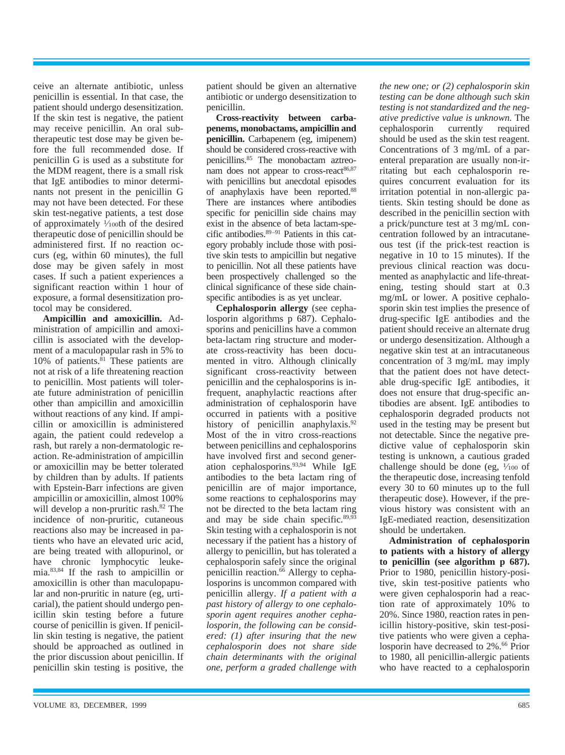ceive an alternate antibiotic, unless penicillin is essential. In that case, the patient should undergo desensitization. If the skin test is negative, the patient may receive penicillin. An oral subtherapeutic test dose may be given before the full recommended dose. If penicillin G is used as a substitute for the MDM reagent, there is a small risk that IgE antibodies to minor determinants not present in the penicillin G may not have been detected. For these skin test-negative patients, a test dose of approximately 1⁄100th of the desired therapeutic dose of penicillin should be administered first. If no reaction occurs (eg, within 60 minutes), the full dose may be given safely in most cases. If such a patient experiences a significant reaction within 1 hour of exposure, a formal desensitization protocol may be considered.

**Ampicillin and amoxicillin.** Administration of ampicillin and amoxicillin is associated with the development of a maculopapular rash in 5% to 10% of patients. ${}^{81}$  These patients are not at risk of a life threatening reaction to penicillin. Most patients will tolerate future administration of penicillin other than ampicillin and amoxicillin without reactions of any kind. If ampicillin or amoxicillin is administered again, the patient could redevelop a rash, but rarely a non-dermatologic reaction. Re-administration of ampicillin or amoxicillin may be better tolerated by children than by adults. If patients with Epstein-Barr infections are given ampicillin or amoxicillin, almost 100% will develop a non-pruritic rash.<sup>82</sup> The incidence of non-pruritic, cutaneous reactions also may be increased in patients who have an elevated uric acid, are being treated with allopurinol, or have chronic lymphocytic leukemia.83,84 If the rash to ampicillin or amoxicillin is other than maculopapular and non-pruritic in nature (eg, urticarial), the patient should undergo penicillin skin testing before a future course of penicillin is given. If penicillin skin testing is negative, the patient should be approached as outlined in the prior discussion about penicillin. If penicillin skin testing is positive, the

patient should be given an alternative antibiotic or undergo desensitization to penicillin.

**Cross-reactivity between carbapenems, monobactams, ampicillin and penicillin.** Carbapenem (eg, imipenem) should be considered cross-reactive with penicillins.85 The monobactam aztreonam does not appear to cross-react $86,87$ with penicillins but anecdotal episodes of anaphylaxis have been reported.88 There are instances where antibodies specific for penicillin side chains may exist in the absence of beta lactam-specific antibodies.89–91 Patients in this category probably include those with positive skin tests to ampicillin but negative to penicillin. Not all these patients have been prospectively challenged so the clinical significance of these side chainspecific antibodies is as yet unclear.

**Cephalosporin allergy** (see cephalosporin algorithms p 687). Cephalosporins and penicillins have a common beta-lactam ring structure and moderate cross-reactivity has been documented in vitro. Although clinically significant cross-reactivity between penicillin and the cephalosporins is infrequent, anaphylactic reactions after administration of cephalosporin have occurred in patients with a positive history of penicillin anaphylaxis.<sup>92</sup> Most of the in vitro cross-reactions between penicillins and cephalosporins have involved first and second generation cephalosporins.93,94 While IgE antibodies to the beta lactam ring of penicillin are of major importance, some reactions to cephalosporins may not be directed to the beta lactam ring and may be side chain specific. $89,93$ Skin testing with a cephalosporin is not necessary if the patient has a history of allergy to penicillin, but has tolerated a cephalosporin safely since the original penicillin reaction.<sup>66</sup> Allergy to cephalosporins is uncommon compared with penicillin allergy. *If a patient with a past history of allergy to one cephalosporin agent requires another cephalosporin, the following can be considered: (1) after insuring that the new cephalosporin does not share side chain determinants with the original one, perform a graded challenge with*

*the new one; or (2) cephalosporin skin testing can be done although such skin testing is not standardized and the negative predictive value is unknown.* The cephalosporin currently required should be used as the skin test reagent. Concentrations of 3 mg/mL of a parenteral preparation are usually non-irritating but each cephalosporin requires concurrent evaluation for its irritation potential in non-allergic patients. Skin testing should be done as described in the penicillin section with a prick/puncture test at 3 mg/mL concentration followed by an intracutaneous test (if the prick-test reaction is negative in 10 to 15 minutes). If the previous clinical reaction was documented as anaphylactic and life-threatening, testing should start at 0.3 mg/mL or lower. A positive cephalosporin skin test implies the presence of drug-specific IgE antibodies and the patient should receive an alternate drug or undergo desensitization. Although a negative skin test at an intracutaneous concentration of 3 mg/mL may imply that the patient does not have detectable drug-specific IgE antibodies, it does not ensure that drug-specific antibodies are absent. IgE antibodies to cephalosporin degraded products not used in the testing may be present but not detectable. Since the negative predictive value of cephalosporin skin testing is unknown, a cautious graded challenge should be done (eg,  $\frac{1}{100}$  of the therapeutic dose, increasing tenfold every 30 to 60 minutes up to the full therapeutic dose). However, if the previous history was consistent with an IgE-mediated reaction, desensitization should be undertaken.

**Administration of cephalosporin to patients with a history of allergy to penicillin (see algorithm p 687).** Prior to 1980, penicillin history-positive, skin test-positive patients who were given cephalosporin had a reaction rate of approximately 10% to 20%. Since 1980, reaction rates in penicillin history-positive, skin test-positive patients who were given a cephalosporin have decreased to 2%.<sup>66</sup> Prior to 1980, all penicillin-allergic patients who have reacted to a cephalosporin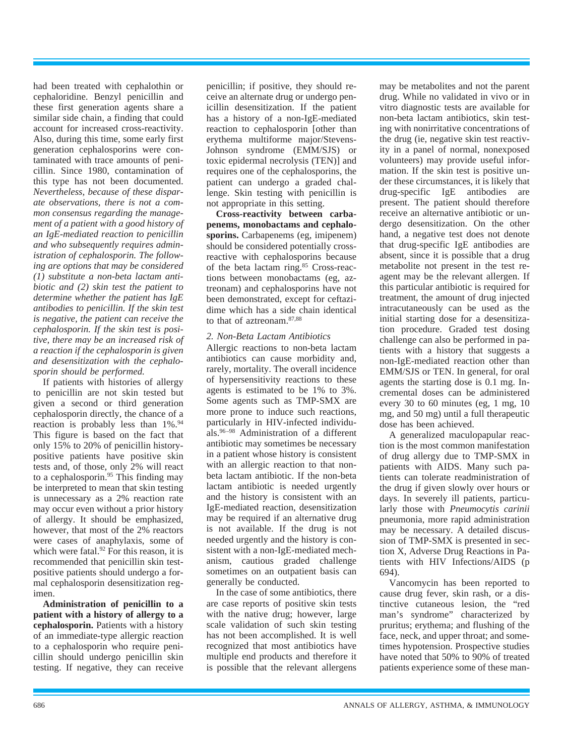had been treated with cephalothin or cephaloridine. Benzyl penicillin and these first generation agents share a similar side chain, a finding that could account for increased cross-reactivity. Also, during this time, some early first generation cephalosporins were contaminated with trace amounts of penicillin. Since 1980, contamination of this type has not been documented. *Nevertheless, because of these disparate observations, there is not a common consensus regarding the management of a patient with a good history of an IgE-mediated reaction to penicillin and who subsequently requires administration of cephalosporin. The following are options that may be considered (1) substitute a non-beta lactam antibiotic and (2) skin test the patient to determine whether the patient has IgE antibodies to penicillin. If the skin test is negative, the patient can receive the cephalosporin. If the skin test is positive, there may be an increased risk of a reaction if the cephalosporin is given and desensitization with the cephalosporin should be performed.*

If patients with histories of allergy to penicillin are not skin tested but given a second or third generation cephalosporin directly, the chance of a reaction is probably less than  $1\%$ .<sup>94</sup> This figure is based on the fact that only 15% to 20% of penicillin historypositive patients have positive skin tests and, of those, only 2% will react to a cephalosporin.95 This finding may be interpreted to mean that skin testing is unnecessary as a 2% reaction rate may occur even without a prior history of allergy. It should be emphasized, however, that most of the 2% reactors were cases of anaphylaxis, some of which were fatal. $92$  For this reason, it is recommended that penicillin skin testpositive patients should undergo a formal cephalosporin desensitization regimen.

**Administration of penicillin to a patient with a history of allergy to a cephalosporin.** Patients with a history of an immediate-type allergic reaction to a cephalosporin who require penicillin should undergo penicillin skin testing. If negative, they can receive penicillin; if positive, they should receive an alternate drug or undergo penicillin desensitization. If the patient has a history of a non-IgE-mediated reaction to cephalosporin [other than erythema multiforme major/Stevens-Johnson syndrome (EMM/SJS) or toxic epidermal necrolysis (TEN)] and requires one of the cephalosporins, the patient can undergo a graded challenge. Skin testing with penicillin is not appropriate in this setting.

**Cross-reactivity between carbapenems, monobactams and cephalosporins.** Carbapenems (eg, imipenem) should be considered potentially crossreactive with cephalosporins because of the beta lactam ring.<sup>85</sup> Cross-reactions between monobactams (eg, aztreonam) and cephalosporins have not been demonstrated, except for ceftazidime which has a side chain identical to that of aztreonam.87,88

## *2. Non-Beta Lactam Antibiotics*

Allergic reactions to non-beta lactam antibiotics can cause morbidity and, rarely, mortality. The overall incidence of hypersensitivity reactions to these agents is estimated to be 1% to 3%. Some agents such as TMP-SMX are more prone to induce such reactions, particularly in HIV-infected individuals.96–98 Administration of a different antibiotic may sometimes be necessary in a patient whose history is consistent with an allergic reaction to that nonbeta lactam antibiotic. If the non-beta lactam antibiotic is needed urgently and the history is consistent with an IgE-mediated reaction, desensitization may be required if an alternative drug is not available. If the drug is not needed urgently and the history is consistent with a non-IgE-mediated mechanism, cautious graded challenge sometimes on an outpatient basis can generally be conducted.

In the case of some antibiotics, there are case reports of positive skin tests with the native drug; however, large scale validation of such skin testing has not been accomplished. It is well recognized that most antibiotics have multiple end products and therefore it is possible that the relevant allergens may be metabolites and not the parent drug. While no validated in vivo or in vitro diagnostic tests are available for non-beta lactam antibiotics, skin testing with nonirritative concentrations of the drug (ie, negative skin test reactivity in a panel of normal, nonexposed volunteers) may provide useful information. If the skin test is positive under these circumstances, it is likely that drug-specific IgE antibodies are present. The patient should therefore receive an alternative antibiotic or undergo desensitization. On the other hand, a negative test does not denote that drug-specific IgE antibodies are absent, since it is possible that a drug metabolite not present in the test reagent may be the relevant allergen. If this particular antibiotic is required for treatment, the amount of drug injected intracutaneously can be used as the initial starting dose for a desensitization procedure. Graded test dosing challenge can also be performed in patients with a history that suggests a non-IgE-mediated reaction other than EMM/SJS or TEN. In general, for oral agents the starting dose is 0.1 mg. Incremental doses can be administered every 30 to 60 minutes (eg, 1 mg, 10 mg, and 50 mg) until a full therapeutic dose has been achieved.

A generalized maculopapular reaction is the most common manifestation of drug allergy due to TMP-SMX in patients with AIDS. Many such patients can tolerate readministration of the drug if given slowly over hours or days. In severely ill patients, particularly those with *Pneumocytis carinii* pneumonia, more rapid administration may be necessary. A detailed discussion of TMP-SMX is presented in section X, Adverse Drug Reactions in Patients with HIV Infections/AIDS (p 694).

Vancomycin has been reported to cause drug fever, skin rash, or a distinctive cutaneous lesion, the "red man's syndrome" characterized by pruritus; erythema; and flushing of the face, neck, and upper throat; and sometimes hypotension. Prospective studies have noted that 50% to 90% of treated patients experience some of these man-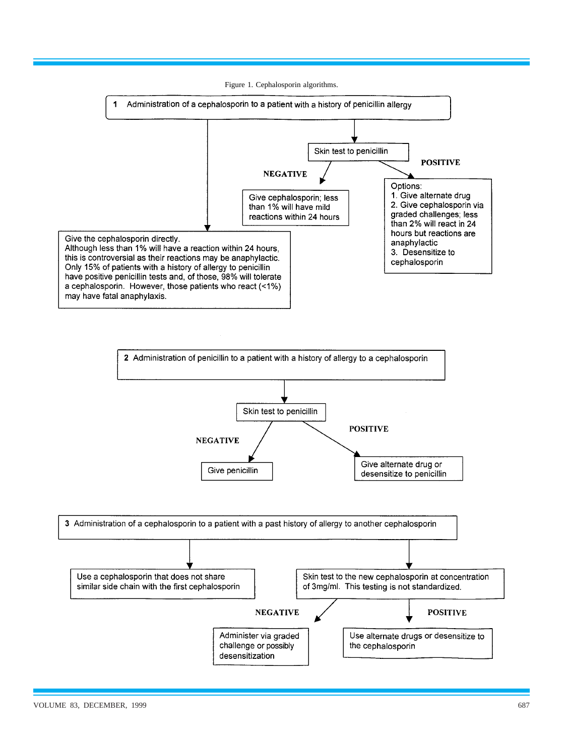



desensitize to penicillin

Give penicillin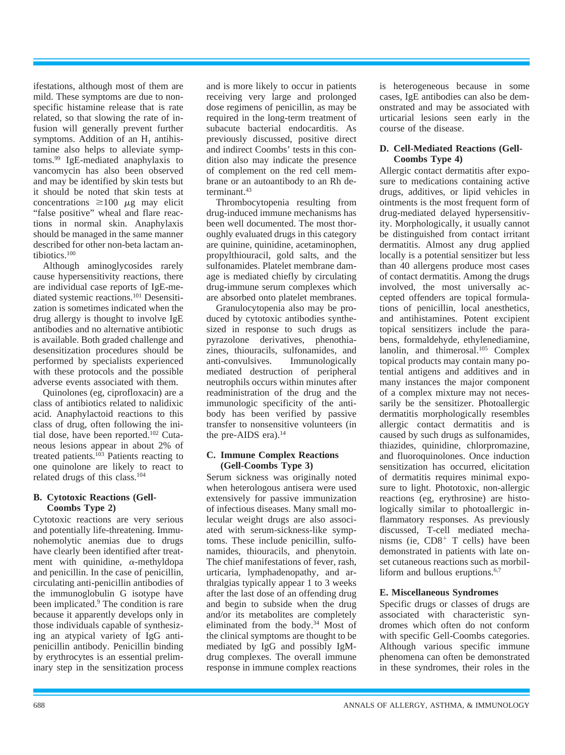ifestations, although most of them are mild. These symptoms are due to nonspecific histamine release that is rate related, so that slowing the rate of infusion will generally prevent further symptoms. Addition of an  $H_1$  antihistamine also helps to alleviate symptoms.99 IgE-mediated anaphylaxis to vancomycin has also been observed and may be identified by skin tests but it should be noted that skin tests at concentrations  $\geq 100 \mu$ g may elicit "false positive" wheal and flare reactions in normal skin. Anaphylaxis should be managed in the same manner described for other non-beta lactam antibiotics.100

Although aminoglycosides rarely cause hypersensitivity reactions, there are individual case reports of IgE-mediated systemic reactions.101 Desensitization is sometimes indicated when the drug allergy is thought to involve IgE antibodies and no alternative antibiotic is available. Both graded challenge and desensitization procedures should be performed by specialists experienced with these protocols and the possible adverse events associated with them.

Quinolones (eg, ciprofloxacin) are a class of antibiotics related to nalidixic acid. Anaphylactoid reactions to this class of drug, often following the initial dose, have been reported.102 Cutaneous lesions appear in about 2% of treated patients.103 Patients reacting to one quinolone are likely to react to related drugs of this class.104

### **B. Cytotoxic Reactions (Gell-Coombs Type 2)**

Cytotoxic reactions are very serious and potentially life-threatening. Immunohemolytic anemias due to drugs have clearly been identified after treatment with quinidine,  $\alpha$ -methyldopa and penicillin. In the case of penicillin, circulating anti-penicillin antibodies of the immunoglobulin G isotype have been implicated.9 The condition is rare because it apparently develops only in those individuals capable of synthesizing an atypical variety of IgG antipenicillin antibody. Penicillin binding by erythrocytes is an essential preliminary step in the sensitization process

and is more likely to occur in patients receiving very large and prolonged dose regimens of penicillin, as may be required in the long-term treatment of subacute bacterial endocarditis. As previously discussed, positive direct and indirect Coombs' tests in this condition also may indicate the presence of complement on the red cell membrane or an autoantibody to an Rh determinant.<sup>43</sup>

Thrombocytopenia resulting from drug-induced immune mechanisms has been well documented. The most thoroughly evaluated drugs in this category are quinine, quinidine, acetaminophen, propylthiouracil, gold salts, and the sulfonamides. Platelet membrane damage is mediated chiefly by circulating drug-immune serum complexes which are absorbed onto platelet membranes.

Granulocytopenia also may be produced by cytotoxic antibodies synthesized in response to such drugs as pyrazolone derivatives, phenothiazines, thiouracils, sulfonamides, and anti-convulsives. Immunologically mediated destruction of peripheral neutrophils occurs within minutes after readministration of the drug and the immunologic specificity of the antibody has been verified by passive transfer to nonsensitive volunteers (in the pre-AIDS era).<sup>14</sup>

### **C. Immune Complex Reactions (Gell-Coombs Type 3)**

Serum sickness was originally noted when heterologous antisera were used extensively for passive immunization of infectious diseases. Many small molecular weight drugs are also associated with serum-sickness-like symptoms. These include penicillin, sulfonamides, thiouracils, and phenytoin. The chief manifestations of fever, rash, urticaria, lymphadenopathy, and arthralgias typically appear 1 to 3 weeks after the last dose of an offending drug and begin to subside when the drug and/or its metabolites are completely eliminated from the body.34 Most of the clinical symptoms are thought to be mediated by IgG and possibly IgMdrug complexes. The overall immune response in immune complex reactions is heterogeneous because in some cases, IgE antibodies can also be demonstrated and may be associated with urticarial lesions seen early in the course of the disease.

## **D. Cell-Mediated Reactions (Gell-Coombs Type 4)**

Allergic contact dermatitis after exposure to medications containing active drugs, additives, or lipid vehicles in ointments is the most frequent form of drug-mediated delayed hypersensitivity. Morphologically, it usually cannot be distinguished from contact irritant dermatitis. Almost any drug applied locally is a potential sensitizer but less than 40 allergens produce most cases of contact dermatitis. Among the drugs involved, the most universally accepted offenders are topical formulations of penicillin, local anesthetics, and antihistamines. Potent excipient topical sensitizers include the parabens, formaldehyde, ethylenediamine, lanolin, and thimerosal.<sup>105</sup> Complex topical products may contain many potential antigens and additives and in many instances the major component of a complex mixture may not necessarily be the sensitizer. Photoallergic dermatitis morphologically resembles allergic contact dermatitis and is caused by such drugs as sulfonamides, thiazides, quinidine, chlorpromazine, and fluoroquinolones. Once induction sensitization has occurred, elicitation of dermatitis requires minimal exposure to light. Phototoxic, non-allergic reactions (eg, erythrosine) are histologically similar to photoallergic inflammatory responses. As previously discussed, T-cell mediated mechanisms (ie,  $CD8<sup>+</sup>$  T cells) have been demonstrated in patients with late onset cutaneous reactions such as morbilliform and bullous eruptions.<sup>6,7</sup>

## **E. Miscellaneous Syndromes**

Specific drugs or classes of drugs are associated with characteristic syndromes which often do not conform with specific Gell-Coombs categories. Although various specific immune phenomena can often be demonstrated in these syndromes, their roles in the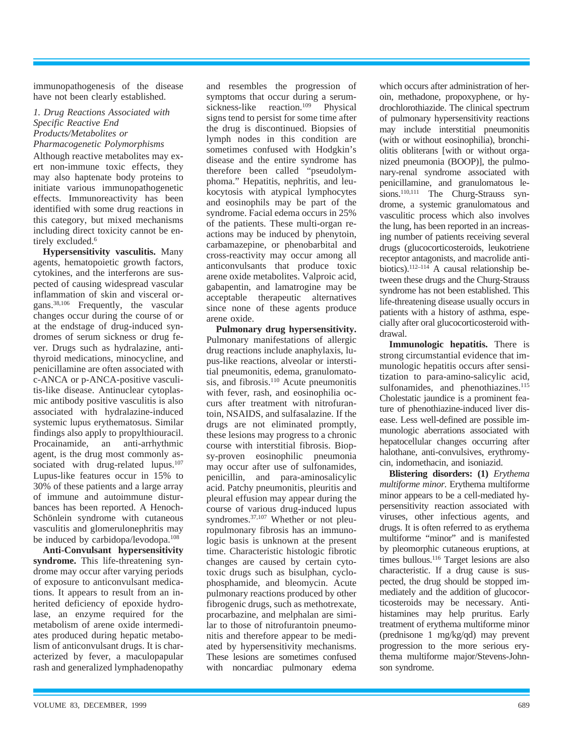immunopathogenesis of the disease have not been clearly established.

## *1. Drug Reactions Associated with Specific Reactive End Products/Metabolites or*

*Pharmacogenetic Polymorphisms*

Although reactive metabolites may exert non-immune toxic effects, they may also haptenate body proteins to initiate various immunopathogenetic effects. Immunoreactivity has been identified with some drug reactions in this category, but mixed mechanisms including direct toxicity cannot be entirely excluded.<sup>6</sup>

**Hypersensitivity vasculitis.** Many agents, hematopoietic growth factors, cytokines, and the interferons are suspected of causing widespread vascular inflammation of skin and visceral organs.38,106 Frequently, the vascular changes occur during the course of or at the endstage of drug-induced syndromes of serum sickness or drug fever. Drugs such as hydralazine, antithyroid medications, minocycline, and penicillamine are often associated with c-ANCA or p-ANCA-positive vasculitis-like disease. Antinuclear cytoplasmic antibody positive vasculitis is also associated with hydralazine-induced systemic lupus erythematosus. Similar findings also apply to propylthiouracil. Procainamide, an anti-arrhythmic agent, is the drug most commonly associated with drug-related lupus.<sup>107</sup> Lupus-like features occur in 15% to 30% of these patients and a large array of immune and autoimmune disturbances has been reported. A Henoch-Schönlein syndrome with cutaneous vasculitis and glomerulonephritis may be induced by carbidopa/levodopa.<sup>108</sup>

**Anti-Convulsant hypersensitivity syndrome.** This life-threatening syndrome may occur after varying periods of exposure to anticonvulsant medications. It appears to result from an inherited deficiency of epoxide hydrolase, an enzyme required for the metabolism of arene oxide intermediates produced during hepatic metabolism of anticonvulsant drugs. It is characterized by fever, a maculopapular rash and generalized lymphadenopathy and resembles the progression of symptoms that occur during a serumsickness-like reaction.<sup>109</sup> Physical signs tend to persist for some time after the drug is discontinued. Biopsies of lymph nodes in this condition are sometimes confused with Hodgkin's disease and the entire syndrome has therefore been called "pseudolymphoma." Hepatitis, nephritis, and leukocytosis with atypical lymphocytes and eosinophils may be part of the syndrome. Facial edema occurs in 25% of the patients. These multi-organ reactions may be induced by phenytoin, carbamazepine, or phenobarbital and cross-reactivity may occur among all anticonvulsants that produce toxic arene oxide metabolites. Valproic acid, gabapentin, and lamatrogine may be acceptable therapeutic alternatives since none of these agents produce arene oxide.

**Pulmonary drug hypersensitivity.** Pulmonary manifestations of allergic drug reactions include anaphylaxis, lupus-like reactions, alveolar or interstitial pneumonitis, edema, granulomatosis, and fibrosis.<sup>110</sup> Acute pneumonitis with fever, rash, and eosinophilia occurs after treatment with nitrofurantoin, NSAIDS, and sulfasalazine. If the drugs are not eliminated promptly, these lesions may progress to a chronic course with interstitial fibrosis. Biopsy-proven eosinophilic pneumonia may occur after use of sulfonamides, penicillin, and para-aminosalicylic acid. Patchy pneumonitis, pleuritis and pleural effusion may appear during the course of various drug-induced lupus syndromes.37,107 Whether or not pleuropulmonary fibrosis has an immunologic basis is unknown at the present time. Characteristic histologic fibrotic changes are caused by certain cytotoxic drugs such as bisulphan, cyclophosphamide, and bleomycin. Acute pulmonary reactions produced by other fibrogenic drugs, such as methotrexate, procarbazine, and melphalan are similar to those of nitrofurantoin pneumonitis and therefore appear to be mediated by hypersensitivity mechanisms. These lesions are sometimes confused with noncardiac pulmonary edema

which occurs after administration of heroin, methadone, propoxyphene, or hydrochlorothiazide. The clinical spectrum of pulmonary hypersensitivity reactions may include interstitial pneumonitis (with or without eosinophilia), bronchiolitis obliterans [with or without organized pneumonia (BOOP)], the pulmonary-renal syndrome associated with penicillamine, and granulomatous lesions.<sup>110,111</sup> The Churg-Strauss syndrome, a systemic granulomatous and vasculitic process which also involves the lung, has been reported in an increasing number of patients receiving several drugs (glucocorticosteroids, leukotriene receptor antagonists, and macrolide antibiotics).112–114 A causal relationship between these drugs and the Churg-Strauss syndrome has not been established. This life-threatening disease usually occurs in patients with a history of asthma, especially after oral glucocorticosteroid withdrawal.

**Immunologic hepatitis.** There is strong circumstantial evidence that immunologic hepatitis occurs after sensitization to para-amino-salicylic acid, sulfonamides, and phenothiazines.<sup>115</sup> Cholestatic jaundice is a prominent feature of phenothiazine-induced liver disease. Less well-defined are possible immunologic aberrations associated with hepatocellular changes occurring after halothane, anti-convulsives, erythromycin, indomethacin, and isoniazid.

**Blistering disorders: (1)** *Erythema multiforme minor.* Erythema multiforme minor appears to be a cell-mediated hypersensitivity reaction associated with viruses, other infectious agents, and drugs. It is often referred to as erythema multiforme "minor" and is manifested by pleomorphic cutaneous eruptions, at times bullous.<sup>116</sup> Target lesions are also characteristic. If a drug cause is suspected, the drug should be stopped immediately and the addition of glucocorticosteroids may be necessary. Antihistamines may help pruritus. Early treatment of erythema multiforme minor (prednisone 1 mg/kg/qd) may prevent progression to the more serious erythema multiforme major/Stevens-Johnson syndrome.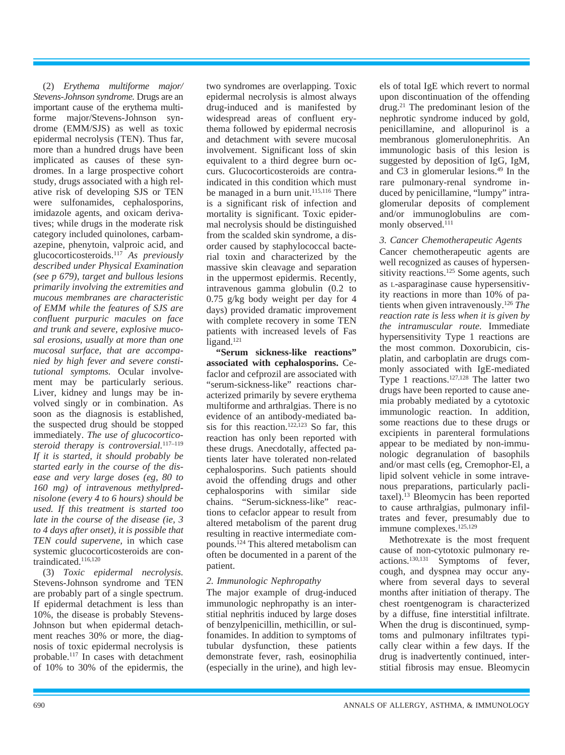(2) *Erythema multiforme major/ Stevens-Johnson syndrome.* Drugs are an important cause of the erythema multiforme major/Stevens-Johnson syndrome (EMM/SJS) as well as toxic epidermal necrolysis (TEN). Thus far, more than a hundred drugs have been implicated as causes of these syndromes. In a large prospective cohort study, drugs associated with a high relative risk of developing SJS or TEN were sulfonamides, cephalosporins, imidazole agents, and oxicam derivatives; while drugs in the moderate risk category included quinolones, carbamazepine, phenytoin, valproic acid, and glucocorticosteroids.117 *As previously described under Physical Examination (see p 679), target and bullous lesions primarily involving the extremities and mucous membranes are characteristic of EMM while the features of SJS are confluent purpuric macules on face and trunk and severe, explosive mucosal erosions, usually at more than one mucosal surface, that are accompanied by high fever and severe constitutional symptoms.* Ocular involvement may be particularly serious. Liver, kidney and lungs may be involved singly or in combination. As soon as the diagnosis is established, the suspected drug should be stopped immediately. *The use of glucocorticosteroid therapy is controversial.*117–119 *If it is started, it should probably be started early in the course of the disease and very large doses (eg, 80 to 160 mg) of intravenous methylprednisolone (every 4 to 6 hours) should be used. If this treatment is started too late in the course of the disease (ie, 3 to 4 days after onset), it is possible that TEN could supervene,* in which case systemic glucocorticosteroids are contraindicated.116,120

(3) *Toxic epidermal necrolysis.* Stevens-Johnson syndrome and TEN are probably part of a single spectrum. If epidermal detachment is less than 10%, the disease is probably Stevens-Johnson but when epidermal detachment reaches 30% or more, the diagnosis of toxic epidermal necrolysis is probable.117 In cases with detachment of 10% to 30% of the epidermis, the

two syndromes are overlapping. Toxic epidermal necrolysis is almost always drug-induced and is manifested by widespread areas of confluent erythema followed by epidermal necrosis and detachment with severe mucosal involvement. Significant loss of skin equivalent to a third degree burn occurs. Glucocorticosteroids are contraindicated in this condition which must be managed in a burn unit. $115,116$  There is a significant risk of infection and mortality is significant. Toxic epidermal necrolysis should be distinguished from the scalded skin syndrome, a disorder caused by staphylococcal bacterial toxin and characterized by the massive skin cleavage and separation in the uppermost epidermis. Recently, intravenous gamma globulin (0.2 to 0.75 g/kg body weight per day for 4 days) provided dramatic improvement with complete recovery in some TEN patients with increased levels of Fas ligand.<sup>121</sup>

**"Serum sickness-like reactions" associated with cephalosporins.** Cefaclor and cefprozil are associated with "serum-sickness-like" reactions characterized primarily by severe erythema multiforme and arthralgias. There is no evidence of an antibody-mediated basis for this reaction.<sup>122,123</sup> So far, this reaction has only been reported with these drugs. Anecdotally, affected patients later have tolerated non-related cephalosporins. Such patients should avoid the offending drugs and other cephalosporins with similar side chains. "Serum-sickness-like" reactions to cefaclor appear to result from altered metabolism of the parent drug resulting in reactive intermediate compounds.124 This altered metabolism can often be documented in a parent of the patient.

## *2. Immunologic Nephropathy*

The major example of drug-induced immunologic nephropathy is an interstitial nephritis induced by large doses of benzylpenicillin, methicillin, or sulfonamides. In addition to symptoms of tubular dysfunction, these patients demonstrate fever, rash, eosinophilia (especially in the urine), and high levels of total IgE which revert to normal upon discontinuation of the offending drug.21 The predominant lesion of the nephrotic syndrome induced by gold, penicillamine, and allopurinol is a membranous glomerulonephritis. An immunologic basis of this lesion is suggested by deposition of IgG, IgM, and C3 in glomerular lesions.49 In the rare pulmonary-renal syndrome induced by penicillamine, "lumpy" intraglomerular deposits of complement and/or immunoglobulins are commonly observed.<sup>111</sup>

## *3. Cancer Chemotherapeutic Agents*

Cancer chemotherapeutic agents are well recognized as causes of hypersensitivity reactions.<sup>125</sup> Some agents, such as L-asparaginase cause hypersensitivity reactions in more than 10% of patients when given intravenously.126 *The reaction rate is less when it is given by the intramuscular route.* Immediate hypersensitivity Type 1 reactions are the most common. Doxorubicin, cisplatin, and carboplatin are drugs commonly associated with IgE-mediated Type 1 reactions.127,128 The latter two drugs have been reported to cause anemia probably mediated by a cytotoxic immunologic reaction. In addition, some reactions due to these drugs or excipients in parenteral formulations appear to be mediated by non-immunologic degranulation of basophils and/or mast cells (eg, Cremophor-El, a lipid solvent vehicle in some intravenous preparations, particularly paclitaxel).13 Bleomycin has been reported to cause arthralgias, pulmonary infiltrates and fever, presumably due to immune complexes.125,129

Methotrexate is the most frequent cause of non-cytotoxic pulmonary reactions.130,131 Symptoms of fever, cough, and dyspnea may occur anywhere from several days to several months after initiation of therapy. The chest roentgenogram is characterized by a diffuse, fine interstitial infiltrate. When the drug is discontinued, symptoms and pulmonary infiltrates typically clear within a few days. If the drug is inadvertently continued, interstitial fibrosis may ensue. Bleomycin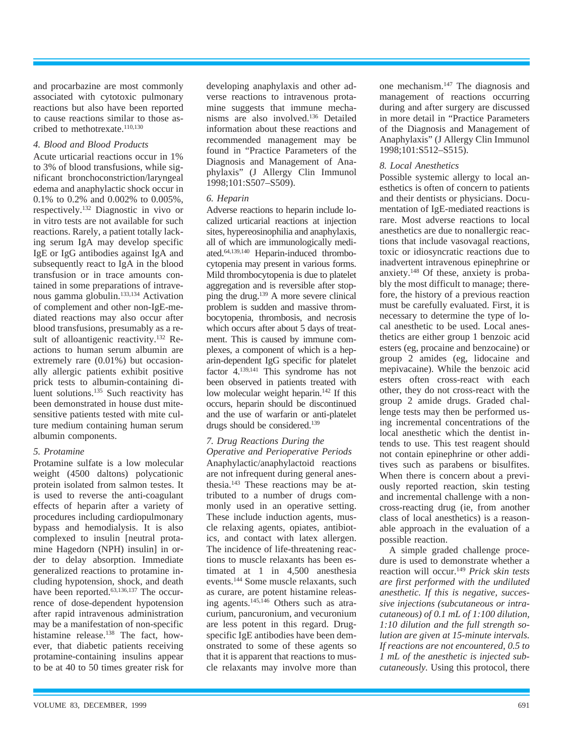and procarbazine are most commonly associated with cytotoxic pulmonary reactions but also have been reported to cause reactions similar to those ascribed to methotrexate.110,130

## *4. Blood and Blood Products*

Acute urticarial reactions occur in 1% to 3% of blood transfusions, while significant bronchoconstriction/laryngeal edema and anaphylactic shock occur in 0.1% to 0.2% and 0.002% to 0.005%, respectively.132 Diagnostic in vivo or in vitro tests are not available for such reactions. Rarely, a patient totally lacking serum IgA may develop specific IgE or IgG antibodies against IgA and subsequently react to IgA in the blood transfusion or in trace amounts contained in some preparations of intravenous gamma globulin.133,134 Activation of complement and other non-IgE-mediated reactions may also occur after blood transfusions, presumably as a result of alloantigenic reactivity.<sup>132</sup> Reactions to human serum albumin are extremely rare (0.01%) but occasionally allergic patients exhibit positive prick tests to albumin-containing diluent solutions.<sup>135</sup> Such reactivity has been demonstrated in house dust mitesensitive patients tested with mite culture medium containing human serum albumin components.

## *5. Protamine*

Protamine sulfate is a low molecular weight (4500 daltons) polycationic protein isolated from salmon testes. It is used to reverse the anti-coagulant effects of heparin after a variety of procedures including cardiopulmonary bypass and hemodialysis. It is also complexed to insulin [neutral protamine Hagedorn (NPH) insulin] in order to delay absorption. Immediate generalized reactions to protamine including hypotension, shock, and death have been reported.<sup>63,136,137</sup> The occurrence of dose-dependent hypotension after rapid intravenous administration may be a manifestation of non-specific histamine release.<sup>138</sup> The fact, however, that diabetic patients receiving protamine-containing insulins appear to be at 40 to 50 times greater risk for developing anaphylaxis and other adverse reactions to intravenous protamine suggests that immune mechanisms are also involved.136 Detailed information about these reactions and recommended management may be found in "Practice Parameters of the Diagnosis and Management of Anaphylaxis" (J Allergy Clin Immunol 1998;101:S507–S509).

## *6. Heparin*

Adverse reactions to heparin include localized urticarial reactions at injection sites, hypereosinophilia and anaphylaxis, all of which are immunologically mediated.64,139,140 Heparin-induced thrombocytopenia may present in various forms. Mild thrombocytopenia is due to platelet aggregation and is reversible after stopping the drug.139 A more severe clinical problem is sudden and massive thrombocytopenia, thrombosis, and necrosis which occurs after about 5 days of treatment. This is caused by immune complexes, a component of which is a heparin-dependent IgG specific for platelet factor 4.139,141 This syndrome has not been observed in patients treated with low molecular weight heparin.<sup>142</sup> If this occurs, heparin should be discontinued and the use of warfarin or anti-platelet drugs should be considered.<sup>139</sup>

## *7. Drug Reactions During the*

*Operative and Perioperative Periods* Anaphylactic/anaphylactoid reactions are not infrequent during general anesthesia.143 These reactions may be attributed to a number of drugs commonly used in an operative setting. These include induction agents, muscle relaxing agents, opiates, antibiotics, and contact with latex allergen. The incidence of life-threatening reactions to muscle relaxants has been estimated at 1 in 4,500 anesthesia events.144 Some muscle relaxants, such as curare, are potent histamine releasing agents.145,146 Others such as atracurium, pancuronium, and vecuronium are less potent in this regard. Drugspecific IgE antibodies have been demonstrated to some of these agents so that it is apparent that reactions to muscle relaxants may involve more than

one mechanism.147 The diagnosis and management of reactions occurring during and after surgery are discussed in more detail in "Practice Parameters of the Diagnosis and Management of Anaphylaxis" (J Allergy Clin Immunol 1998;101:S512–S515).

## *8. Local Anesthetics*

Possible systemic allergy to local anesthetics is often of concern to patients and their dentists or physicians. Documentation of IgE-mediated reactions is rare. Most adverse reactions to local anesthetics are due to nonallergic reactions that include vasovagal reactions, toxic or idiosyncratic reactions due to inadvertent intravenous epinephrine or anxiety.148 Of these, anxiety is probably the most difficult to manage; therefore, the history of a previous reaction must be carefully evaluated. First, it is necessary to determine the type of local anesthetic to be used. Local anesthetics are either group 1 benzoic acid esters (eg, procaine and benzocaine) or group 2 amides (eg, lidocaine and mepivacaine). While the benzoic acid esters often cross-react with each other, they do not cross-react with the group 2 amide drugs. Graded challenge tests may then be performed using incremental concentrations of the local anesthetic which the dentist intends to use. This test reagent should not contain epinephrine or other additives such as parabens or bisulfites. When there is concern about a previously reported reaction, skin testing and incremental challenge with a noncross-reacting drug (ie, from another class of local anesthetics) is a reasonable approach in the evaluation of a possible reaction.

A simple graded challenge procedure is used to demonstrate whether a reaction will occur.149 *Prick skin tests are first performed with the undiluted anesthetic. If this is negative, successive injections (subcutaneous or intracutaneous) of 0.1 mL of 1:100 dilution, 1:10 dilution and the full strength solution are given at 15-minute intervals. If reactions are not encountered, 0.5 to 1 mL of the anesthetic is injected subcutaneously.* Using this protocol, there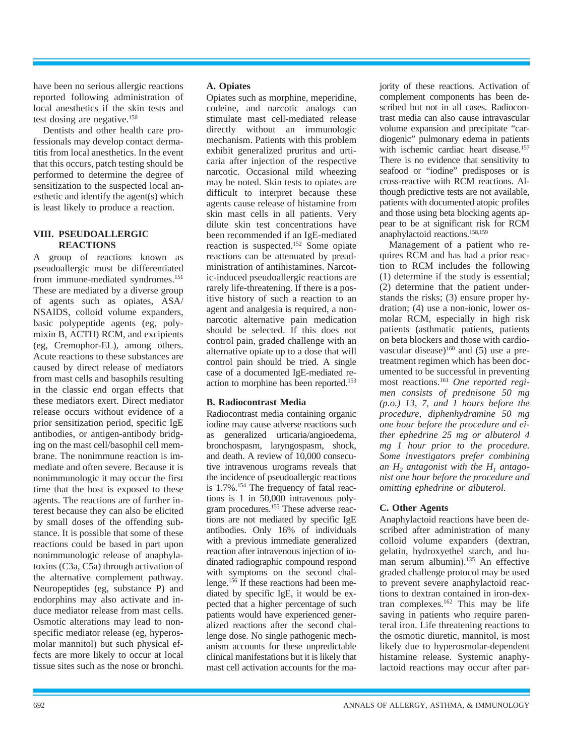have been no serious allergic reactions reported following administration of local anesthetics if the skin tests and test dosing are negative.150

Dentists and other health care professionals may develop contact dermatitis from local anesthetics. In the event that this occurs, patch testing should be performed to determine the degree of sensitization to the suspected local anesthetic and identify the agent(s) which is least likely to produce a reaction.

## **VIII. PSEUDOALLERGIC REACTIONS**

A group of reactions known as pseudoallergic must be differentiated from immune-mediated syndromes.151 These are mediated by a diverse group of agents such as opiates, ASA/ NSAIDS, colloid volume expanders, basic polypeptide agents (eg, polymixin B, ACTH) RCM, and excipients (eg, Cremophor-EL), among others. Acute reactions to these substances are caused by direct release of mediators from mast cells and basophils resulting in the classic end organ effects that these mediators exert. Direct mediator release occurs without evidence of a prior sensitization period, specific IgE antibodies, or antigen-antibody bridging on the mast cell/basophil cell membrane. The nonimmune reaction is immediate and often severe. Because it is nonimmunologic it may occur the first time that the host is exposed to these agents. The reactions are of further interest because they can also be elicited by small doses of the offending substance. It is possible that some of these reactions could be based in part upon nonimmunologic release of anaphylatoxins (C3a, C5a) through activation of the alternative complement pathway. Neuropeptides (eg, substance P) and endorphins may also activate and induce mediator release from mast cells. Osmotic alterations may lead to nonspecific mediator release (eg, hyperosmolar mannitol) but such physical effects are more likely to occur at local tissue sites such as the nose or bronchi.

## **A. Opiates**

Opiates such as morphine, meperidine, codeine, and narcotic analogs can stimulate mast cell-mediated release directly without an immunologic mechanism. Patients with this problem exhibit generalized pruritus and urticaria after injection of the respective narcotic. Occasional mild wheezing may be noted. Skin tests to opiates are difficult to interpret because these agents cause release of histamine from skin mast cells in all patients. Very dilute skin test concentrations have been recommended if an IgE-mediated reaction is suspected.152 Some opiate reactions can be attenuated by preadministration of antihistamines. Narcotic-induced pseudoallergic reactions are rarely life-threatening. If there is a positive history of such a reaction to an agent and analgesia is required, a nonnarcotic alternative pain medication should be selected. If this does not control pain, graded challenge with an alternative opiate up to a dose that will control pain should be tried. A single case of a documented IgE-mediated reaction to morphine has been reported.153

## **B. Radiocontrast Media**

Radiocontrast media containing organic iodine may cause adverse reactions such as generalized urticaria/angioedema, bronchospasm, laryngospasm, shock, and death. A review of 10,000 consecutive intravenous urograms reveals that the incidence of pseudoallergic reactions is 1.7%.154 The frequency of fatal reactions is 1 in 50,000 intravenous polygram procedures.<sup>155</sup> These adverse reactions are not mediated by specific IgE antibodies. Only 16% of individuals with a previous immediate generalized reaction after intravenous injection of iodinated radiographic compound respond with symptoms on the second challenge.156 If these reactions had been mediated by specific IgE, it would be expected that a higher percentage of such patients would have experienced generalized reactions after the second challenge dose. No single pathogenic mechanism accounts for these unpredictable clinical manifestations but it is likely that mast cell activation accounts for the majority of these reactions. Activation of complement components has been described but not in all cases. Radiocontrast media can also cause intravascular volume expansion and precipitate "cardiogenic" pulmonary edema in patients with ischemic cardiac heart disease.<sup>157</sup> There is no evidence that sensitivity to seafood or "iodine" predisposes or is cross-reactive with RCM reactions. Although predictive tests are not available, patients with documented atopic profiles and those using beta blocking agents appear to be at significant risk for RCM anaphylactoid reactions.158,159

Management of a patient who requires RCM and has had a prior reaction to RCM includes the following (1) determine if the study is essential; (2) determine that the patient understands the risks; (3) ensure proper hydration; (4) use a non-ionic, lower osmolar RCM, especially in high risk patients (asthmatic patients, patients on beta blockers and those with cardiovascular disease) $160$  and (5) use a pretreatment regimen which has been documented to be successful in preventing most reactions.161 *One reported regimen consists of prednisone 50 mg (p.o.) 13, 7, and 1 hours before the procedure, diphenhydramine 50 mg one hour before the procedure and either ephedrine 25 mg or albuterol 4 mg 1 hour prior to the procedure. Some investigators prefer combining* an  $H_2$  *antagonist with the*  $H_1$  *antagonist one hour before the procedure and omitting ephedrine or albuterol.*

## **C. Other Agents**

Anaphylactoid reactions have been described after administration of many colloid volume expanders (dextran, gelatin, hydroxyethel starch, and human serum albumin).<sup>135</sup> An effective graded challenge protocol may be used to prevent severe anaphylactoid reactions to dextran contained in iron-dextran complexes.162 This may be life saving in patients who require parenteral iron. Life threatening reactions to the osmotic diuretic, mannitol, is most likely due to hyperosmolar-dependent histamine release. Systemic anaphylactoid reactions may occur after par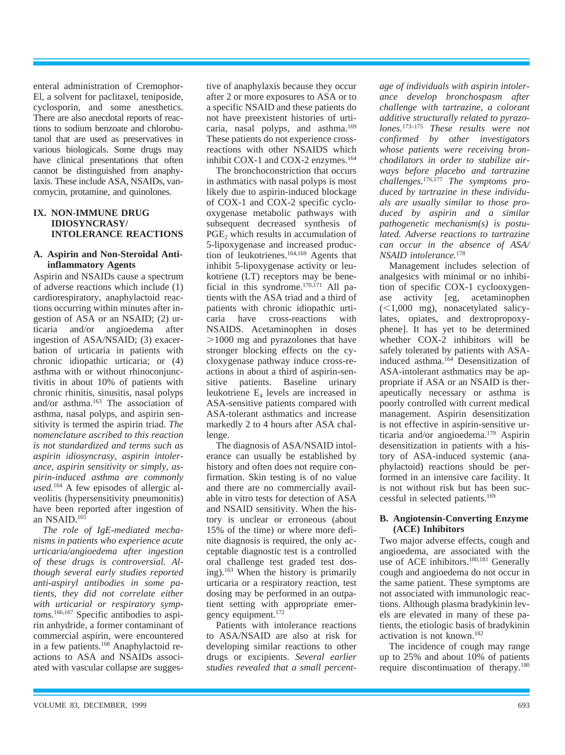enteral administration of Cremophor-El, a solvent for paclitaxel, teniposide, cyclosporin, and some anesthetics. There are also anecdotal reports of reactions to sodium benzoate and chlorobutanol that are used as preservatives in various biologicals. Some drugs may have clinical presentations that often cannot be distinguished from anaphylaxis. These include ASA, NSAIDs, vancomycin, protamine, and quinolones.

#### **IX. NON-IMMUNE DRUG IDIOSYNCRASY/ INTOLERANCE REACTIONS**

#### **A. Aspirin and Non-Steroidal Antiinflammatory Agents**

Aspirin and NSAIDs cause a spectrum of adverse reactions which include (1) cardiorespiratory, anaphylactoid reactions occurring within minutes after ingestion of ASA or an NSAID; (2) urticaria and/or angioedema after ingestion of ASA/NSAID; (3) exacerbation of urticaria in patients with chronic idiopathic urticaria; or (4) asthma with or without rhinoconjunctivitis in about 10% of patients with chronic rhinitis, sinusitis, nasal polyps and/or asthma.163 The association of asthma, nasal polyps, and aspirin sensitivity is termed the aspirin triad. *The nomenclature ascribed to this reaction is not standardized and terms such as aspirin idiosyncrasy, aspirin intolerance, aspirin sensitivity or simply, aspirin-induced asthma are commonly used.*<sup>164</sup> A few episodes of allergic alveolitis (hypersensitivity pneumonitis) have been reported after ingestion of an NSAID.165

*The role of IgE-mediated mechanisms in patients who experience acute urticaria/angioedema after ingestion of these drugs is controversial. Although several early studies reported anti-aspiryl antibodies in some patients, they did not correlate either with urticarial or respiratory symptoms.*166,167 Specific antibodies to aspirin anhydride, a former contaminant of commercial aspirin, were encountered in a few patients.168 Anaphylactoid reactions to ASA and NSAIDs associated with vascular collapse are suggestive of anaphylaxis because they occur after 2 or more exposures to ASA or to a specific NSAID and these patients do not have preexistent histories of urticaria, nasal polyps, and asthma.169 These patients do not experience crossreactions with other NSAIDS which inhibit COX-1 and COX-2 enzymes.<sup>164</sup>

The bronchoconstriction that occurs in asthmatics with nasal polyps is most likely due to aspirin-induced blockage of COX-1 and COX-2 specific cyclooxygenase metabolic pathways with subsequent decreased synthesis of  $PGE<sub>2</sub>$  which results in accumulation of 5-lipoxygenase and increased production of leukotrienes.164,169 Agents that inhibit 5-lipoxygenase activity or leukotriene (LT) receptors may be beneficial in this syndrome.<sup>170,171</sup> All patients with the ASA triad and a third of patients with chronic idiopathic urticaria have cross-reactions with NSAIDS. Acetaminophen in doses .1000 mg and pyrazolones that have stronger blocking effects on the cycloxygenase pathway induce cross-reactions in about a third of aspirin-sensitive patients. Baseline urinary leukotriene E4 levels are increased in ASA-sensitive patients compared with ASA-tolerant asthmatics and increase markedly 2 to 4 hours after ASA challenge.

The diagnosis of ASA/NSAID intolerance can usually be established by history and often does not require confirmation. Skin testing is of no value and there are no commercially available in vitro tests for detection of ASA and NSAID sensitivity. When the history is unclear or erroneous (about 15% of the time) or where more definite diagnosis is required, the only acceptable diagnostic test is a controlled oral challenge test graded test dosing).163 When the history is primarily urticaria or a respiratory reaction, test dosing may be performed in an outpatient setting with appropriate emergency equipment.172

Patients with intolerance reactions to ASA/NSAID are also at risk for developing similar reactions to other drugs or excipients. *Several earlier studies revealed that a small percent-* *age of individuals with aspirin intolerance develop bronchospasm after challenge with tartrazine, a colorant additive structurally related to pyrazolones.*173–175 *These results were not confirmed by other investigators whose patients were receiving bronchodilators in order to stabilize airways before placebo and tartrazine challenges.*176,177 *The symptoms produced by tartrazine in these individuals are usually similar to those produced by aspirin and a similar pathogenetic mechanism(s) is postulated. Adverse reactions to tartrazine can occur in the absence of ASA/ NSAID intolerance.*<sup>178</sup>

Management includes selection of analgesics with minimal or no inhibition of specific COX-1 cyclooxygenase activity [eg, acetaminophen  $(<1,000$  mg), nonacetylated salicylates, opiates, and dextropropoxyphene]. It has yet to be determined whether COX-2 inhibitors will be safely tolerated by patients with ASAinduced asthma.164 Desensitization of ASA-intolerant asthmatics may be appropriate if ASA or an NSAID is therapeutically necessary or asthma is poorly controlled with current medical management. Aspirin desensitization is not effective in aspirin-sensitive urticaria and/or angioedema.179 Aspirin desensitization in patients with a history of ASA-induced systemic (anaphylactoid) reactions should be performed in an intensive care facility. It is not without risk but has been successful in selected patients.169

### **B. Angiotensin-Converting Enzyme (ACE) Inhibitors**

Two major adverse effects, cough and angioedema, are associated with the use of ACE inhibitors.<sup>180,181</sup> Generally cough and angioedema do not occur in the same patient. These symptoms are not associated with immunologic reactions. Although plasma bradykinin levels are elevated in many of these patients, the etiologic basis of bradykinin activation is not known.182

The incidence of cough may range up to 25% and about 10% of patients require discontinuation of therapy.180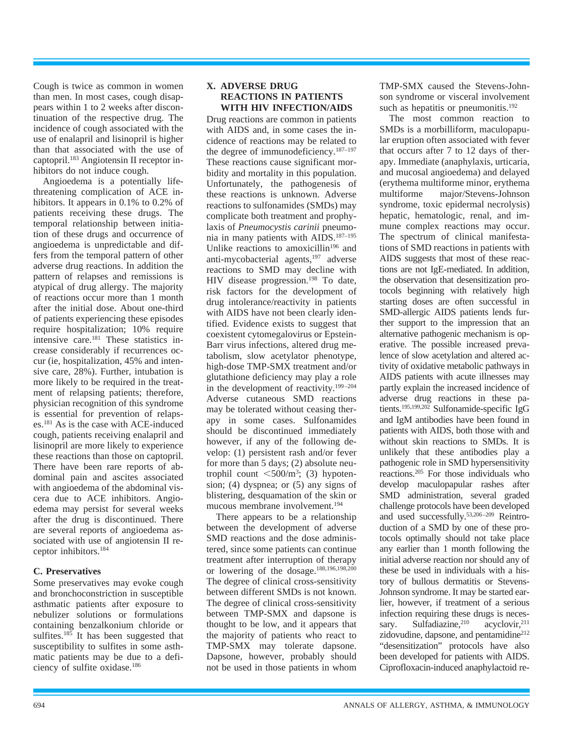Cough is twice as common in women than men. In most cases, cough disappears within 1 to 2 weeks after discontinuation of the respective drug. The incidence of cough associated with the use of enalapril and lisinopril is higher than that associated with the use of captopril.183 Angiotensin II receptor inhibitors do not induce cough.

Angioedema is a potentially lifethreatening complication of ACE inhibitors. It appears in 0.1% to 0.2% of patients receiving these drugs. The temporal relationship between initiation of these drugs and occurrence of angioedema is unpredictable and differs from the temporal pattern of other adverse drug reactions. In addition the pattern of relapses and remissions is atypical of drug allergy. The majority of reactions occur more than 1 month after the initial dose. About one-third of patients experiencing these episodes require hospitalization; 10% require intensive care.181 These statistics increase considerably if recurrences occur (ie, hospitalization, 45% and intensive care, 28%). Further, intubation is more likely to be required in the treatment of relapsing patients; therefore, physician recognition of this syndrome is essential for prevention of relapses.181 As is the case with ACE-induced cough, patients receiving enalapril and lisinopril are more likely to experience these reactions than those on captopril. There have been rare reports of abdominal pain and ascites associated with angioedema of the abdominal viscera due to ACE inhibitors. Angioedema may persist for several weeks after the drug is discontinued. There are several reports of angioedema associated with use of angiotensin II receptor inhibitors.184

## **C. Preservatives**

Some preservatives may evoke cough and bronchoconstriction in susceptible asthmatic patients after exposure to nebulizer solutions or formulations containing benzalkonium chloride or sulfites.<sup>185</sup> It has been suggested that susceptibility to sulfites in some asthmatic patients may be due to a deficiency of sulfite oxidase.186

#### **X. ADVERSE DRUG REACTIONS IN PATIENTS WITH HIV INFECTION/AIDS**

Drug reactions are common in patients with AIDS and, in some cases the incidence of reactions may be related to the degree of immunodeficiency.187–197 These reactions cause significant morbidity and mortality in this population. Unfortunately, the pathogenesis of these reactions is unknown. Adverse reactions to sulfonamides (SMDs) may complicate both treatment and prophylaxis of *Pneumocystis carinii* pneumonia in many patients with AIDS.187–195 Unlike reactions to amoxicillin<sup>196</sup> and anti-mycobacterial agents,197 adverse reactions to SMD may decline with HIV disease progression.<sup>198</sup> To date, risk factors for the development of drug intolerance/reactivity in patients with AIDS have not been clearly identified. Evidence exists to suggest that coexistent cytomegalovirus or Epstein-Barr virus infections, altered drug metabolism, slow acetylator phenotype, high-dose TMP-SMX treatment and/or glutathione deficiency may play a role in the development of reactivity.199–204 Adverse cutaneous SMD reactions may be tolerated without ceasing therapy in some cases. Sulfonamides should be discontinued immediately however, if any of the following develop: (1) persistent rash and/or fever for more than 5 days; (2) absolute neutrophil count  $\langle 500/m^3; (3)$  hypotension; (4) dyspnea; or (5) any signs of blistering, desquamation of the skin or mucous membrane involvement.194

There appears to be a relationship between the development of adverse SMD reactions and the dose administered, since some patients can continue treatment after interruption of therapy or lowering of the dosage.188,196,198,200 The degree of clinical cross-sensitivity between different SMDs is not known. The degree of clinical cross-sensitivity between TMP-SMX and dapsone is thought to be low, and it appears that the majority of patients who react to TMP-SMX may tolerate dapsone. Dapsone, however, probably should not be used in those patients in whom

TMP-SMX caused the Stevens-Johnson syndrome or visceral involvement such as hepatitis or pneumonitis. $192$ 

The most common reaction to SMDs is a morbilliform, maculopapular eruption often associated with fever that occurs after 7 to 12 days of therapy. Immediate (anaphylaxis, urticaria, and mucosal angioedema) and delayed (erythema multiforme minor, erythema multiforme major/Stevens-Johnson syndrome, toxic epidermal necrolysis) hepatic, hematologic, renal, and immune complex reactions may occur. The spectrum of clinical manifestations of SMD reactions in patients with AIDS suggests that most of these reactions are not IgE-mediated. In addition, the observation that desensitization protocols beginning with relatively high starting doses are often successful in SMD-allergic AIDS patients lends further support to the impression that an alternative pathogenic mechanism is operative. The possible increased prevalence of slow acetylation and altered activity of oxidative metabolic pathways in AIDS patients with acute illnesses may partly explain the increased incidence of adverse drug reactions in these patients.195,199,202 Sulfonamide-specific IgG and IgM antibodies have been found in patients with AIDS, both those with and without skin reactions to SMDs. It is unlikely that these antibodies play a pathogenic role in SMD hypersensitivity reactions.205 For those individuals who develop maculopapular rashes after SMD administration, several graded challenge protocols have been developed and used successfully.53,206–209 Reintroduction of a SMD by one of these protocols optimally should not take place any earlier than 1 month following the initial adverse reaction nor should any of these be used in individuals with a history of bullous dermatitis or Stevens-Johnson syndrome. It may be started earlier, however, if treatment of a serious infection requiring these drugs is necessary. Sulfadiazine,  $2^{10}$  acyclovir,  $2^{11}$ zidovudine, dapsone, and pentamidine<sup>212</sup> "desensitization" protocols have also been developed for patients with AIDS. Ciprofloxacin-induced anaphylactoid re-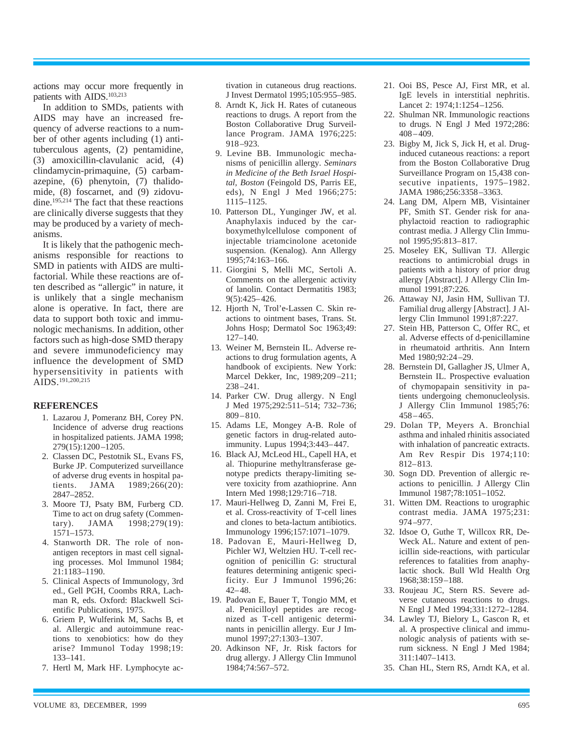actions may occur more frequently in patients with AIDS.103,213

In addition to SMDs, patients with AIDS may have an increased frequency of adverse reactions to a number of other agents including (1) antituberculous agents, (2) pentamidine, (3) amoxicillin-clavulanic acid, (4) clindamycin-primaquine, (5) carbamazepine, (6) phenytoin, (7) thalidomide, (8) foscarnet, and (9) zidovudine.195,214 The fact that these reactions are clinically diverse suggests that they may be produced by a variety of mechanisms.

It is likely that the pathogenic mechanisms responsible for reactions to SMD in patients with AIDS are multifactorial. While these reactions are often described as "allergic" in nature, it is unlikely that a single mechanism alone is operative. In fact, there are data to support both toxic and immunologic mechanisms. In addition, other factors such as high-dose SMD therapy and severe immunodeficiency may influence the development of SMD hypersensitivity in patients with AIDS.191,200,215

#### **REFERENCES**

- 1. Lazarou J, Pomeranz BH, Corey PN. Incidence of adverse drug reactions in hospitalized patients. JAMA 1998; 279(15):1200–1205.
- 2. Classen DC, Pestotnik SL, Evans FS, Burke JP. Computerized surveillance of adverse drug events in hospital pa-<br>tients. JAMA 1989:266(20): tients. JAMA 1989;266(20): 2847–2852.
- 3. Moore TJ, Psaty BM, Furberg CD. Time to act on drug safety (Commentary). JAMA 1998;279(19): 1571–1573.
- 4. Stanworth DR. The role of nonantigen receptors in mast cell signaling processes. Mol Immunol 1984; 21:1183–1190.
- 5. Clinical Aspects of Immunology, 3rd ed., Gell PGH, Coombs RRA, Lachman R, eds. Oxford: Blackwell Scientific Publications, 1975.
- 6. Griem P, Wulferink M, Sachs B, et al. Allergic and autoimmune reactions to xenobiotics: how do they arise? Immunol Today 1998;19: 133–141.
- 7. Hertl M, Mark HF. Lymphocyte ac-

tivation in cutaneous drug reactions. J Invest Dermatol 1995;105:955–985.

- 8. Arndt K, Jick H. Rates of cutaneous reactions to drugs. A report from the Boston Collaborative Drug Surveillance Program. JAMA 1976;225: 918–923.
- 9. Levine BB. Immunologic mechanisms of penicillin allergy. *Seminars in Medicine of the Beth Israel Hospital, Boston* (Feingold DS, Parris EE, eds), N Engl J Med 1966;275: 1115–1125.
- 10. Patterson DL, Yunginger JW, et al. Anaphylaxis induced by the carboxymethylcellulose component of injectable triamcinolone acetonide suspension. (Kenalog). Ann Allergy 1995;74:163–166.
- 11. Giorgini S, Melli MC, Sertoli A. Comments on the allergenic activity of lanolin. Contact Dermatitis 1983; 9(5):425–426.
- 12. Hjorth N, Trol'e-Lassen C. Skin reactions to ointment bases, Trans. St. Johns Hosp; Dermatol Soc 1963;49: 127–140.
- 13. Weiner M, Bernstein IL. Adverse reactions to drug formulation agents, A handbook of excipients. New York: Marcel Dekker, Inc, 1989;209–211; 238–241.
- 14. Parker CW. Drug allergy. N Engl J Med 1975;292:511–514; 732–736; 809–810.
- 15. Adams LE, Mongey A-B. Role of genetic factors in drug-related autoimmunity. Lupus 1994;3:443–447.
- 16. Black AJ, McLeod HL, Capell HA, et al. Thiopurine methyltransferase genotype predicts therapy-limiting severe toxicity from azathioprine. Ann Intern Med 1998;129:716–718.
- 17. Mauri-Hellweg D, Zanni M, Frei E, et al. Cross-reactivity of T-cell lines and clones to beta-lactum antibiotics. Immunology 1996;157:1071–1079.
- 18. Padovan E, Mauri-Hellweg D, Pichler WJ, Weltzien HU. T-cell recognition of penicillin G: structural features determining antigenic specificity. Eur J Immunol 1996;26: 42–48.
- 19. Padovan E, Bauer T, Tongio MM, et al. Penicilloyl peptides are recognized as T-cell antigenic determinants in penicillin allergy. Eur J Immunol 1997;27:1303–1307.
- 20. Adkinson NF, Jr. Risk factors for drug allergy. J Allergy Clin Immunol 1984;74:567–572.
- 21. Ooi BS, Pesce AJ, First MR, et al. IgE levels in interstitial nephritis. Lancet 2: 1974;1:1254–1256.
- 22. Shulman NR. Immunologic reactions to drugs. N Engl J Med 1972;286: 408–409.
- 23. Bigby M, Jick S, Jick H, et al. Druginduced cutaneous reactions: a report from the Boston Collaborative Drug Surveillance Program on 15,438 consecutive inpatients, 1975–1982. JAMA 1986;256:3358–3363.
- 24. Lang DM, Alpern MB, Visintainer PF, Smith ST. Gender risk for anaphylactoid reaction to radiographic contrast media. J Allergy Clin Immunol 1995;95:813–817.
- 25. Moseley EK, Sullivan TJ. Allergic reactions to antimicrobial drugs in patients with a history of prior drug allergy [Abstract]. J Allergy Clin Immunol 1991;87:226.
- 26. Attaway NJ, Jasin HM, Sullivan TJ. Familial drug allergy [Abstract]. J Allergy Clin Immunol 1991;87:227.
- 27. Stein HB, Patterson C, Offer RC, et al. Adverse effects of d-penicillamine in rheumatoid arthritis. Ann Intern Med 1980;92:24–29.
- 28. Bernstein DI, Gallagher JS, Ulmer A, Bernstein IL. Prospective evaluation of chymopapain sensitivity in patients undergoing chemonucleolysis. J Allergy Clin Immunol 1985;76: 458–465.
- 29. Dolan TP, Meyers A. Bronchial asthma and inhaled rhinitis associated with inhalation of pancreatic extracts. Am Rev Respir Dis 1974;110: 812–813.
- 30. Sogn DD. Prevention of allergic reactions to penicillin. J Allergy Clin Immunol 1987;78:1051–1052.
- 31. Witten DM. Reactions to urographic contrast media. JAMA 1975;231: 974–977.
- 32. Idsoe O, Guthe T, Willcox RR, De-Weck AL. Nature and extent of penicillin side-reactions, with particular references to fatalities from anaphylactic shock. Bull Wld Health Org 1968;38:159–188.
- 33. Roujeau JC, Stern RS. Severe adverse cutaneous reactions to drugs. N Engl J Med 1994;331:1272–1284.
- 34. Lawley TJ, Bielory L, Gascon R, et al. A prospective clinical and immunologic analysis of patients with serum sickness. N Engl J Med 1984; 311:1407–1413.
- 35. Chan HL, Stern RS, Arndt KA, et al.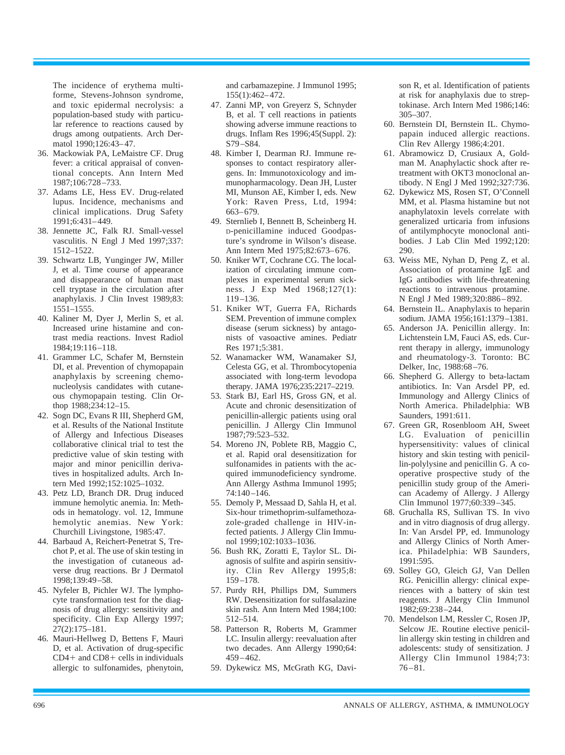The incidence of erythema multiforme, Stevens-Johnson syndrome, and toxic epidermal necrolysis: a population-based study with particular reference to reactions caused by drugs among outpatients. Arch Dermatol 1990;126:43–47.

- 36. Mackowiak PA, LeMaistre CF. Drug fever: a critical appraisal of conventional concepts. Ann Intern Med 1987;106:728–733.
- 37. Adams LE, Hess EV. Drug-related lupus. Incidence, mechanisms and clinical implications. Drug Safety 1991;6:431–449.
- 38. Jennette JC, Falk RJ. Small-vessel vasculitis. N Engl J Med 1997;337: 1512–1522.
- 39. Schwartz LB, Yunginger JW, Miller J, et al. Time course of appearance and disappearance of human mast cell tryptase in the circulation after anaphylaxis. J Clin Invest 1989;83: 1551–1555.
- 40. Kaliner M, Dyer J, Merlin S, et al. Increased urine histamine and contrast media reactions. Invest Radiol  $1984.19.116 - 118$
- 41. Grammer LC, Schafer M, Bernstein DI, et al. Prevention of chymopapain anaphylaxis by screening chemonucleolysis candidates with cutaneous chymopapain testing. Clin Orthop 1988;234:12–15.
- 42. Sogn DC, Evans R III, Shepherd GM, et al. Results of the National Institute of Allergy and Infectious Diseases collaborative clinical trial to test the predictive value of skin testing with major and minor penicillin derivatives in hospitalized adults. Arch Intern Med 1992;152:1025–1032.
- 43. Petz LD, Branch DR. Drug induced immune hemolytic anemia. In: Methods in hematology. vol. 12, Immune hemolytic anemias. New York: Churchill Livingstone, 1985:47.
- 44. Barbaud A, Reichert-Penetrat S, Trechot P, et al. The use of skin testing in the investigation of cutaneous adverse drug reactions. Br J Dermatol 1998;139:49–58.
- 45. Nyfeler B, Pichler WJ. The lymphocyte transformation test for the diagnosis of drug allergy: sensitivity and specificity. Clin Exp Allergy 1997; 27(2):175–181.
- 46. Mauri-Hellweg D, Bettens F, Mauri D, et al. Activation of drug-specific  $CD4+$  and  $CD8+$  cells in individuals allergic to sulfonamides, phenytoin,

and carbamazepine. J Immunol 1995; 155(1):462–472.

- 47. Zanni MP, von Greyerz S, Schnyder B, et al. T cell reactions in patients showing adverse immune reactions to drugs. Inflam Res 1996;45(Suppl. 2): S79–S84.
- 48. Kimber I, Dearman RJ. Immune responses to contact respiratory allergens. In: Immunotoxicology and immunopharmacology. Dean JH, Luster MI, Munson AE, Kimber I, eds. New York: Raven Press, Ltd, 1994: 663–679.
- 49. Sternlieb I, Bennett B, Scheinberg H. D-penicillamine induced Goodpasture's syndrome in Wilson's disease. Ann Intern Med 1975;82:673–676.
- 50. Kniker WT, Cochrane CG. The localization of circulating immune complexes in experimental serum sickness. J Exp Med 1968;127(1): 119–136.
- 51. Kniker WT, Guerra FA, Richards SEM. Prevention of immune complex disease (serum sickness) by antagonists of vasoactive amines. Pediatr  $Res 1971.5.381$
- 52. Wanamacker WM, Wanamaker SJ, Celesta GG, et al. Thrombocytopenia associated with long-term levodopa therapy. JAMA 1976;235:2217–2219.
- 53. Stark BJ, Earl HS, Gross GN, et al. Acute and chronic desensitization of penicillin-allergic patients using oral penicillin. J Allergy Clin Immunol 1987;79:523–532.
- 54. Moreno JN, Poblete RB, Maggio C, et al. Rapid oral desensitization for sulfonamides in patients with the acquired immunodeficiency syndrome. Ann Allergy Asthma Immunol 1995; 74:140–146.
- 55. Demoly P, Messaad D, Sahla H, et al. Six-hour trimethoprim-sulfamethozazole-graded challenge in HIV-infected patients. J Allergy Clin Immunol 1999;102:1033–1036.
- 56. Bush RK, Zoratti E, Taylor SL. Diagnosis of sulfite and aspirin sensitivity. Clin Rev Allergy 1995;8: 159–178.
- 57. Purdy RH, Phillips DM, Summers RW. Desensitization for sulfasalazine skin rash. Ann Intern Med 1984;100: 512–514.
- 58. Patterson R, Roberts M, Grammer LC. Insulin allergy: reevaluation after two decades. Ann Allergy 1990;64: 459–462.
- 59. Dykewicz MS, McGrath KG, Davi-

son R, et al. Identification of patients at risk for anaphylaxis due to streptokinase. Arch Intern Med 1986;146: 305–307.

- 60. Bernstein DI, Bernstein IL. Chymopapain induced allergic reactions. Clin Rev Allergy 1986;4:201.
- 61. Abramowicz D, Crusiaux A, Goldman M. Anaphylactic shock after retreatment with OKT3 monoclonal antibody. N Engl J Med 1992;327:736.
- 62. Dykewicz MS, Rosen ST, O'Connell MM, et al. Plasma histamine but not anaphylatoxin levels correlate with generalized urticaria from infusions of antilymphocyte monoclonal antibodies. J Lab Clin Med 1992;120: 290.
- 63. Weiss ME, Nyhan D, Peng Z, et al. Association of protamine IgE and IgG antibodies with life-threatening reactions to intravenous protamine. N Engl J Med 1989;320:886–892.
- 64. Bernstein IL. Anaphylaxis to heparin sodium. JAMA 1956;161:1379–1381.
- 65. Anderson JA. Penicillin allergy. In: Lichtenstein LM, Fauci AS, eds. Current therapy in allergy, immunology and rheumatology-3. Toronto: BC Delker, Inc, 1988:68–76.
- 66. Shepherd G. Allergy to beta-lactam antibiotics. In: Van Arsdel PP, ed. Immunology and Allergy Clinics of North America. Philadelphia: WB Saunders, 1991:611.
- 67. Green GR, Rosenbloom AH, Sweet LG. Evaluation of penicillin hypersensitivity: values of clinical history and skin testing with penicillin-polylysine and penicillin G. A cooperative prospective study of the penicillin study group of the American Academy of Allergy. J Allergy Clin Immunol 1977;60:339–345.
- 68. Gruchalla RS, Sullivan TS. In vivo and in vitro diagnosis of drug allergy. In: Van Arsdel PP, ed. Immunology and Allergy Clinics of North America. Philadelphia: WB Saunders, 1991:595.
- 69. Solley GO, Gleich GJ, Van Dellen RG. Penicillin allergy: clinical experiences with a battery of skin test reagents. J Allergy Clin Immunol 1982;69:238–244.
- 70. Mendelson LM, Ressler C, Rosen JP, Selcow JE. Routine elective penicillin allergy skin testing in children and adolescents: study of sensitization. J Allergy Clin Immunol 1984;73: 76–81.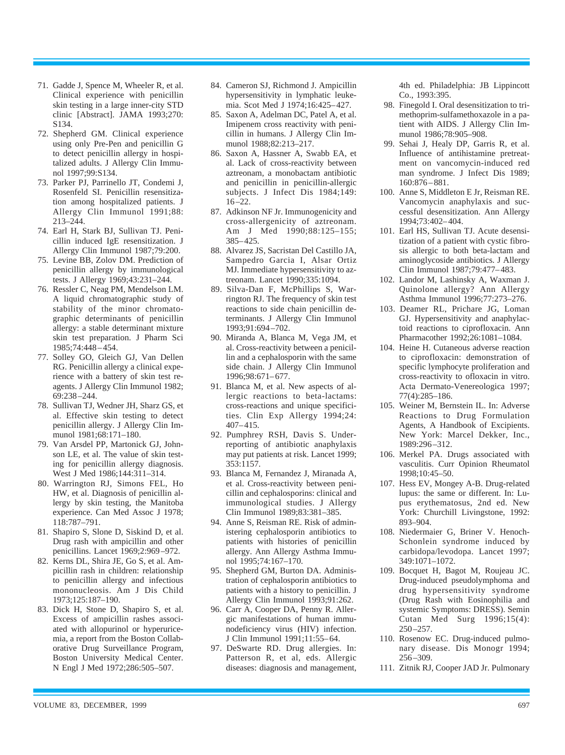- 71. Gadde J, Spence M, Wheeler R, et al. Clinical experience with penicillin skin testing in a large inner-city STD clinic [Abstract]. JAMA 1993;270: S134.
- 72. Shepherd GM. Clinical experience using only Pre-Pen and penicillin G to detect penicillin allergy in hospitalized adults. J Allergy Clin Immunol 1997;99:S134.
- 73. Parker PJ, Parrinello JT, Condemi J, Rosenfeld SI. Penicillin resensitization among hospitalized patients. J Allergy Clin Immunol 1991;88: 213–244.
- 74. Earl H, Stark BJ, Sullivan TJ. Penicillin induced IgE resensitization. J Allergy Clin Immunol 1987;79:200.
- 75. Levine BB, Zolov DM. Prediction of penicillin allergy by immunological tests. J Allergy 1969;43:231–244.
- 76. Ressler C, Neag PM, Mendelson LM. A liquid chromatographic study of stability of the minor chromatographic determinants of penicillin allergy: a stable determinant mixture skin test preparation. J Pharm Sci 1985;74:448–454.
- 77. Solley GO, Gleich GJ, Van Dellen RG. Penicillin allergy a clinical experience with a battery of skin test reagents. J Allergy Clin Immunol 1982; 69:238–244.
- 78. Sullivan TJ, Wedner JH, Sharz GS, et al. Effective skin testing to detect penicillin allergy. J Allergy Clin Immunol 1981;68:171–180.
- 79. Van Arsdel PP, Martonick GJ, Johnson LE, et al. The value of skin testing for penicillin allergy diagnosis. West J Med 1986;144:311–314.
- 80. Warrington RJ, Simons FEL, Ho HW, et al. Diagnosis of penicillin allergy by skin testing, the Manitoba experience. Can Med Assoc J 1978; 118:787–791.
- 81. Shapiro S, Slone D, Siskind D, et al. Drug rash with ampicillin and other penicillins. Lancet 1969;2:969–972.
- 82. Kerns DL, Shira JE, Go S, et al. Ampicillin rash in children: relationship to penicillin allergy and infectious mononucleosis. Am J Dis Child 1973;125:187–190.
- 83. Dick H, Stone D, Shapiro S, et al. Excess of ampicillin rashes associated with allopurinol or hyperuricemia, a report from the Boston Collaborative Drug Surveillance Program, Boston University Medical Center. N Engl J Med 1972;286:505–507.
- 84. Cameron SJ, Richmond J. Ampicillin hypersensitivity in lymphatic leukemia. Scot Med J 1974;16:425–427.
- 85. Saxon A, Adelman DC, Patel A, et al. Imipenem cross reactivity with penicillin in humans. J Allergy Clin Immunol 1988;82:213–217.
- 86. Saxon A, Hassner A, Swabb EA, et al. Lack of cross-reactivity between aztreonam, a monobactam antibiotic and penicillin in penicillin-allergic subjects. J Infect Dis 1984;149: 16–22.
- 87. Adkinson NF Jr. Immunogenicity and cross-allergenicity of aztreonam. Am J Med 1990;88:125–155; 385–425.
- 88. Alvarez JS, Sacristan Del Castillo JA, Sampedro Garcia I, Alsar Ortiz MJ. Immediate hypersensitivity to aztreonam. Lancet 1990;335:1094.
- 89. Silva-Dan F, McPhillips S, Warrington RJ. The frequency of skin test reactions to side chain penicillin determinants. J Allergy Clin Immunol 1993;91:694–702.
- 90. Miranda A, Blanca M, Vega JM, et al. Cross-reactivity between a penicillin and a cephalosporin with the same side chain. J Allergy Clin Immunol 1996;98:671–677.
- 91. Blanca M, et al. New aspects of allergic reactions to beta-lactams: cross-reactions and unique specificities. Clin Exp Allergy 1994;24: 407–415.
- 92. Pumphrey RSH, Davis S. Underreporting of antibiotic anaphylaxis may put patients at risk. Lancet 1999; 353:1157.
- 93. Blanca M, Fernandez J, Miranada A, et al. Cross-reactivity between penicillin and cephalosporins: clinical and immunological studies. J Allergy Clin Immunol 1989;83:381–385.
- 94. Anne S, Reisman RE. Risk of administering cephalosporin antibiotics to patients with histories of penicillin allergy. Ann Allergy Asthma Immunol 1995;74:167–170.
- 95. Shepherd GM, Burton DA. Administration of cephalosporin antibiotics to patients with a history to penicillin. J Allergy Clin Immunol 1993;91:262.
- 96. Carr A, Cooper DA, Penny R. Allergic manifestations of human immunodeficiency virus (HIV) infection. J Clin Immunol 1991;11:55–64.
- 97. DeSwarte RD. Drug allergies. In: Patterson R, et al, eds. Allergic diseases: diagnosis and management,

4th ed. Philadelphia: JB Lippincott Co., 1993:395.

- 98. Finegold I. Oral desensitization to trimethoprim-sulfamethoxazole in a patient with AIDS. J Allergy Clin Immunol 1986;78:905–908.
- 99. Sehai J, Healy DP, Garris R, et al. Influence of antihistamine pretreatment on vancomycin-induced red man syndrome. J Infect Dis 1989; 160:876–881.
- 100. Anne S, Middleton E Jr, Reisman RE. Vancomycin anaphylaxis and successful desensitization. Ann Allergy 1994;73:402–404.
- 101. Earl HS, Sullivan TJ. Acute desensitization of a patient with cystic fibrosis allergic to both beta-lactam and aminoglycoside antibiotics. J Allergy Clin Immunol 1987;79:477–483.
- 102. Landor M, Lashinsky A, Waxman J. Quinolone allergy? Ann Allergy Asthma Immunol 1996;77:273–276.
- 103. Deamer RL, Prichare JG, Loman GJ. Hypersensitivity and anaphylactoid reactions to ciprofloxacin. Ann Pharmacother 1992;26:1081–1084.
- 104. Heine H. Cutaneous adverse reaction to ciprofloxacin: demonstration of specific lymphocyte proliferation and cross-reactivity to ofloxacin in vitro. Acta Dermato-Venereologica 1997; 77(4):285–186.
- 105. Weiner M, Bernstein IL. In: Adverse Reactions to Drug Formulation Agents, A Handbook of Excipients. New York: Marcel Dekker, Inc., 1989:296–312.
- 106. Merkel PA. Drugs associated with vasculitis. Curr Opinion Rheumatol 1998;10:45–50.
- 107. Hess EV, Mongey A-B. Drug-related lupus: the same or different. In: Lupus erythematosus, 2nd ed. New York: Churchill Livingstone, 1992: 893–904.
- 108. Niedermaier G, Briner V. Henoch-Schonlein syndrome induced by carbidopa/levodopa. Lancet 1997; 349:1071–1072.
- 109. Bocquet H, Bagot M, Roujeau JC. Drug-induced pseudolymphoma and drug hypersensitivity syndrome (Drug Rash with Eosinophilia and systemic Symptoms: DRESS). Semin Cutan Med Surg 1996;15(4): 250–257.
- 110. Rosenow EC. Drug-induced pulmonary disease. Dis Monogr 1994; 256–309.
- 111. Zitnik RJ, Cooper JAD Jr. Pulmonary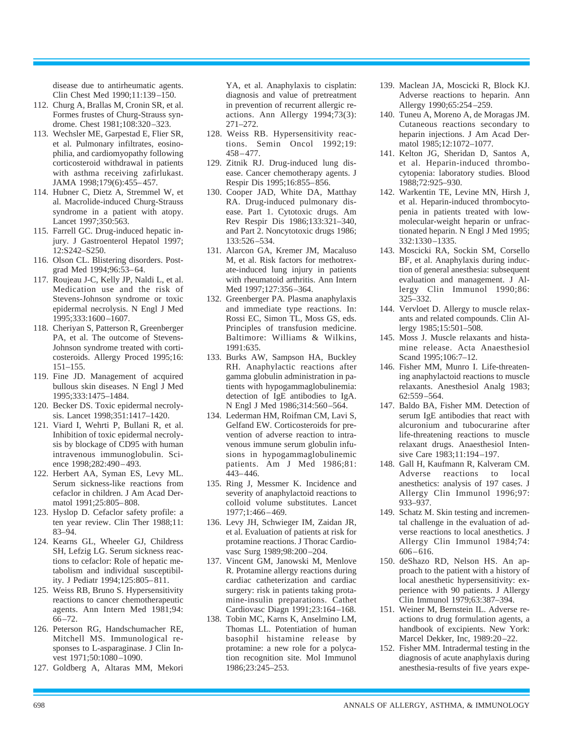disease due to antirheumatic agents. Clin Chest Med 1990;11:139–150.

- 112. Churg A, Brallas M, Cronin SR, et al. Formes frustes of Churg-Strauss syndrome. Chest 1981;108:320–323.
- 113. Wechsler ME, Garpestad E, Flier SR, et al. Pulmonary infiltrates, eosinophilia, and cardiomyopathy following corticosteroid withdrawal in patients with asthma receiving zafirlukast. JAMA 1998;179(6):455–457.
- 114. Hubner C, Dietz A, Stremmel W, et al. Macrolide-induced Churg-Strauss syndrome in a patient with atopy. Lancet 1997;350:563.
- 115. Farrell GC. Drug-induced hepatic injury. J Gastroenterol Hepatol 1997; 12:S242–S250.
- 116. Olson CL. Blistering disorders. Postgrad Med 1994;96:53–64.
- 117. Roujeau J-C, Kelly JP, Naldi L, et al. Medication use and the risk of Stevens-Johnson syndrome or toxic epidermal necrolysis. N Engl J Med 1995;333:1600–1607.
- 118. Cheriyan S, Patterson R, Greenberger PA, et al. The outcome of Stevens-Johnson syndrome treated with corticosteroids. Allergy Proced 1995;16: 151–155.
- 119. Fine JD. Management of acquired bullous skin diseases. N Engl J Med 1995;333:1475–1484.
- 120. Becker DS. Toxic epidermal necrolysis. Lancet 1998;351:1417–1420.
- 121. Viard I, Wehrti P, Bullani R, et al. Inhibition of toxic epidermal necrolysis by blockage of CD95 with human intravenous immunoglobulin. Science 1998;282:490–493.
- 122. Herbert AA, Syman ES, Levy ML. Serum sickness-like reactions from cefaclor in children. J Am Acad Dermatol 1991;25:805–808.
- 123. Hyslop D. Cefaclor safety profile: a ten year review. Clin Ther 1988;11: 83–94.
- 124. Kearns GL, Wheeler GJ, Childress SH, Lefzig LG. Serum sickness reactions to cefaclor: Role of hepatic metabolism and individual susceptibility. J Pediatr 1994;125:805–811.
- 125. Weiss RB, Bruno S. Hypersensitivity reactions to cancer chemotherapeutic agents. Ann Intern Med 1981;94: 66–72.
- 126. Peterson RG, Handschumacher RE, Mitchell MS. Immunological responses to L-asparaginase. J Clin Invest 1971;50:1080–1090.
- 127. Goldberg A, Altaras MM, Mekori

YA, et al. Anaphylaxis to cisplatin: diagnosis and value of pretreatment in prevention of recurrent allergic reactions. Ann Allergy 1994;73(3): 271–272.

- 128. Weiss RB. Hypersensitivity reactions. Semin Oncol 1992;19: 458–477.
- 129. Zitnik RJ. Drug-induced lung disease. Cancer chemotherapy agents. J Respir Dis 1995;16:855–856.
- 130. Cooper JAD, White DA, Matthay RA. Drug-induced pulmonary disease. Part 1. Cytotoxic drugs. Am Rev Respir Dis 1986;133:321–340, and Part 2. Noncytotoxic drugs 1986; 133:526–534.
- 131. Alarcon GA, Kremer JM, Macaluso M, et al. Risk factors for methotrexate-induced lung injury in patients with rheumatoid arthritis. Ann Intern Med 1997;127:356–364.
- 132. Greenberger PA. Plasma anaphylaxis and immediate type reactions. In: Rossi EC, Simon TL, Moss GS, eds. Principles of transfusion medicine. Baltimore: Williams & Wilkins, 1991:635.
- 133. Burks AW, Sampson HA, Buckley RH. Anaphylactic reactions after gamma globulin administration in patients with hypogammaglobulinemia: detection of IgE antibodies to IgA. N Engl J Med 1986;314:560–564.
- 134. Lederman HM, Roifman CM, Lavi S, Gelfand EW. Corticosteroids for prevention of adverse reaction to intravenous immune serum globulin infusions in hypogammaglobulinemic patients. Am J Med 1986;81: 443–446.
- 135. Ring J, Messmer K. Incidence and severity of anaphylactoid reactions to colloid volume substitutes. Lancet 1977;1:466–469.
- 136. Levy JH, Schwieger IM, Zaidan JR, et al. Evaluation of patients at risk for protamine reactions. J Thorac Cardiovasc Surg 1989;98:200–204.
- 137. Vincent GM, Janowski M, Menlove R. Protamine allergy reactions during cardiac catheterization and cardiac surgery: risk in patients taking protamine-insulin preparations. Cathet Cardiovasc Diagn 1991;23:164–168.
- 138. Tobin MC, Karns K, Anselmino LM, Thomas LL. Potentiation of human basophil histamine release by protamine: a new role for a polycation recognition site. Mol Immunol 1986;23:245–253.
- 139. Maclean JA, Moscicki R, Block KJ. Adverse reactions to heparin. Ann Allergy 1990;65:254–259.
- 140. Tuneu A, Moreno A, de Moragas JM. Cutaneous reactions secondary to heparin injections. J Am Acad Dermatol 1985;12:1072–1077.
- 141. Kelton JG, Sheridan D, Santos A, et al. Heparin-induced thrombocytopenia: laboratory studies. Blood 1988;72:925–930.
- 142. Warkentin TE, Levine MN, Hirsh J, et al. Heparin-induced thrombocytopenia in patients treated with lowmolecular-weight heparin or unfractionated heparin. N Engl J Med 1995; 332:1330–1335.
- 143. Moscicki RA, Sockin SM, Corsello BF, et al. Anaphylaxis during induction of general anesthesia: subsequent evaluation and management. J Allergy Clin Immunol 1990;86: 325–332.
- 144. Vervloet D. Allergy to muscle relaxants and related compounds. Clin Allergy 1985;15:501–508.
- 145. Moss J. Muscle relaxants and histamine release. Acta Anaesthesiol Scand 1995;106:7–12.
- 146. Fisher MM, Munro I. Life-threatening anaphylactoid reactions to muscle relaxants. Anesthesiol Analg 1983; 62:559–564.
- 147. Baldo BA, Fisher MM. Detection of serum IgE antibodies that react with alcuronium and tubocurarine after life-threatening reactions to muscle relaxant drugs. Anaesthesiol Intensive Care 1983;11:194–197.
- 148. Gall H, Kaufmann R, Kalveram CM. Adverse reactions to local anesthetics: analysis of 197 cases. J Allergy Clin Immunol 1996;97: 933–937.
- 149. Schatz M. Skin testing and incremental challenge in the evaluation of adverse reactions to local anesthetics. J Allergy Clin Immunol 1984;74: 606–616.
- 150. deShazo RD, Nelson HS. An approach to the patient with a history of local anesthetic hypersensitivity: experience with 90 patients. J Allergy Clin Immunol 1979;63:387–394.
- 151. Weiner M, Bernstein IL. Adverse reactions to drug formulation agents, a handbook of excipients. New York: Marcel Dekker, Inc, 1989:20–22.
- 152. Fisher MM. Intradermal testing in the diagnosis of acute anaphylaxis during anesthesia-results of five years expe-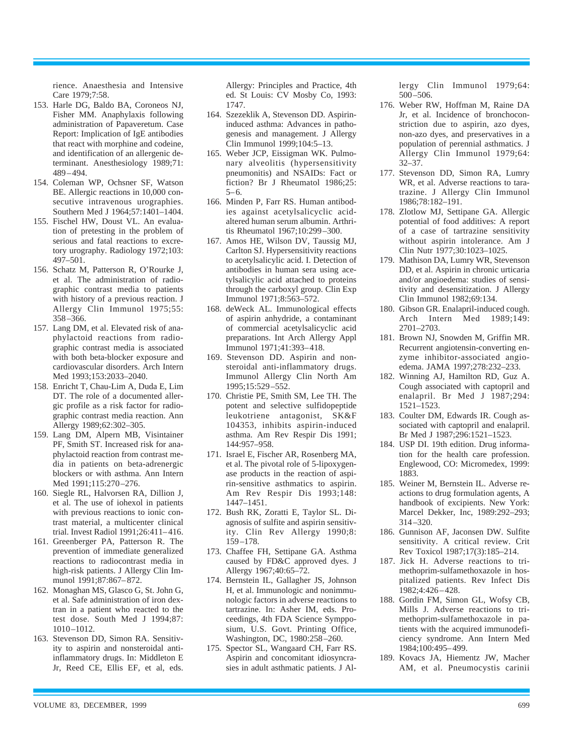rience. Anaesthesia and Intensive Care 1979;7:58.

- 153. Harle DG, Baldo BA, Coroneos NJ, Fisher MM. Anaphylaxis following administration of Papaveretum. Case Report: Implication of IgE antibodies that react with morphine and codeine, and identification of an allergenic determinant. Anesthesiology 1989;71: 489–494.
- 154. Coleman WP, Ochsner SF, Watson BE. Allergic reactions in 10,000 consecutive intravenous urographies. Southern Med J 1964;57:1401–1404.
- 155. Fischel HW, Doust VL. An evaluation of pretesting in the problem of serious and fatal reactions to excretory urography. Radiology 1972;103: 497–501.
- 156. Schatz M, Patterson R, O'Rourke J, et al. The administration of radiographic contrast media to patients with history of a previous reaction. J Allergy Clin Immunol 1975;55: 358–366.
- 157. Lang DM, et al. Elevated risk of anaphylactoid reactions from radiographic contrast media is associated with both beta-blocker exposure and cardiovascular disorders. Arch Intern Med 1993;153:2033–2040.
- 158. Enricht T, Chau-Lim A, Duda E, Lim DT. The role of a documented allergic profile as a risk factor for radiographic contrast media reaction. Ann Allergy 1989;62:302–305.
- 159. Lang DM, Alpern MB, Visintainer PF, Smith ST. Increased risk for anaphylactoid reaction from contrast media in patients on beta-adrenergic blockers or with asthma. Ann Intern Med 1991;115:270–276.
- 160. Siegle RL, Halvorsen RA, Dillion J, et al. The use of iohexol in patients with previous reactions to ionic contrast material, a multicenter clinical trial. Invest Radiol 1991;26:411–416.
- 161. Greenberger PA, Patterson R. The prevention of immediate generalized reactions to radiocontrast media in high-risk patients. J Allergy Clin Immunol 1991;87:867–872.
- 162. Monaghan MS, Glasco G, St. John G, et al. Safe administration of iron dextran in a patient who reacted to the test dose. South Med J 1994;87: 1010–1012.
- 163. Stevenson DD, Simon RA. Sensitivity to aspirin and nonsteroidal antiinflammatory drugs. In: Middleton E Jr, Reed CE, Ellis EF, et al, eds.

Allergy: Principles and Practice, 4th ed. St Louis: CV Mosby Co, 1993: 1747.

- 164. Szezeklik A, Stevenson DD. Aspirininduced asthma: Advances in pathogenesis and management. J Allergy Clin Immunol 1999;104:5–13.
- 165. Weber JCP, Eissigman WK. Pulmonary alveolitis (hypersensitivity pneumonitis) and NSAIDs: Fact or fiction? Br J Rheumatol 1986;25: 5–6.
- 166. Minden P, Farr RS. Human antibodies against acetylsalicyclic acidaltered human serum albumin. Arthritis Rheumatol 1967;10:299–300.
- 167. Amos HE, Wilson DV, Taussig MJ, Carlton SJ. Hypersensitivity reactions to acetylsalicylic acid. I. Detection of antibodies in human sera using acetylsalicylic acid attached to proteins through the carboxyl group. Clin Exp Immunol 1971;8:563–572.
- 168. deWeck AL. Immunological effects of aspirin anhydride, a contaminant of commercial acetylsalicyclic acid preparations. Int Arch Allergy Appl Immunol 1971;41:393–418.
- 169. Stevenson DD. Aspirin and nonsteroidal anti-inflammatory drugs. Immunol Allergy Clin North Am 1995;15:529–552.
- 170. Christie PE, Smith SM, Lee TH. The potent and selective sulfidopeptide leukotriene antagonist, SK&F 104353, inhibits aspirin-induced asthma. Am Rev Respir Dis 1991; 144:957–958.
- 171. Israel E, Fischer AR, Rosenberg MA, et al. The pivotal role of 5-lipoxygenase products in the reaction of aspirin-sensitive asthmatics to aspirin. Am Rev Respir Dis 1993;148: 1447–1451.
- 172. Bush RK, Zoratti E, Taylor SL. Diagnosis of sulfite and aspirin sensitivity. Clin Rev Allergy 1990;8: 159–178.
- 173. Chaffee FH, Settipane GA. Asthma caused by FD&C approved dyes. J Allergy 1967;40:65–72.
- 174. Bernstein IL, Gallagher JS, Johnson H, et al. Immunologic and nonimmunologic factors in adverse reactions to tartrazine. In: Asher IM, eds. Proceedings, 4th FDA Science Sympposium, U.S. Govt. Printing Office, Washington, DC, 1980:258–260.
- 175. Spector SL, Wangaard CH, Farr RS. Aspirin and concomitant idiosyncrasies in adult asthmatic patients. J Al-

lergy Clin Immunol 1979;64: 500–506.

- 176. Weber RW, Hoffman M, Raine DA Jr, et al. Incidence of bronchoconstriction due to aspirin, azo dyes, non-azo dyes, and preservatives in a population of perennial asthmatics. J Allergy Clin Immunol 1979;64: 32–37.
- 177. Stevenson DD, Simon RA, Lumry WR, et al. Adverse reactions to taratrazine. J Allergy Clin Immunol 1986;78:182–191.
- 178. Zlotlow MJ, Settipane GA. Allergic potential of food additives: A report of a case of tartrazine sensitivity without aspirin intolerance. Am J Clin Nutr 1977;30:1023–1025.
- 179. Mathison DA, Lumry WR, Stevenson DD, et al. Aspirin in chronic urticaria and/or angioedema: studies of sensitivity and desensitization. J Allergy Clin Immunol 1982;69:134.
- 180. Gibson GR. Enalapril-induced cough. Arch Intern Med 1989;149: 2701–2703.
- 181. Brown NJ, Snowden M, Griffin MR. Recurrent angiotensin-converting enzyme inhibitor-associated angioedema. JAMA 1997;278:232–233.
- 182. Winning AJ, Hamilton RD, Guz A. Cough associated with captopril and enalapril. Br Med J 1987;294: 1521–1523.
- 183. Coulter DM, Edwards IR. Cough associated with captopril and enalapril. Br Med J 1987;296:1521–1523.
- 184. USP DI. 19th edition. Drug information for the health care profession. Englewood, CO: Micromedex, 1999: 1883.
- 185. Weiner M, Bernstein IL. Adverse reactions to drug formulation agents, A handbook of excipients. New York: Marcel Dekker, Inc, 1989:292–293; 314–320.
- 186. Gunnison AF, Jaconsen DW. Sulfite sensitivity. A critical review. Crit Rev Toxicol 1987;17(3):185–214.
- 187. Jick H. Adverse reactions to trimethoprim-sulfamethoxazole in hospitalized patients. Rev Infect Dis 1982;4:426–428.
- 188. Gordin FM, Simon GL, Wofsy CB, Mills J. Adverse reactions to trimethoprim-sulfamethoxazole in patients with the acquired immunodeficiency syndrome. Ann Intern Med 1984;100:495–499.
- 189. Kovacs JA, Hiementz JW, Macher AM, et al. Pneumocystis carinii